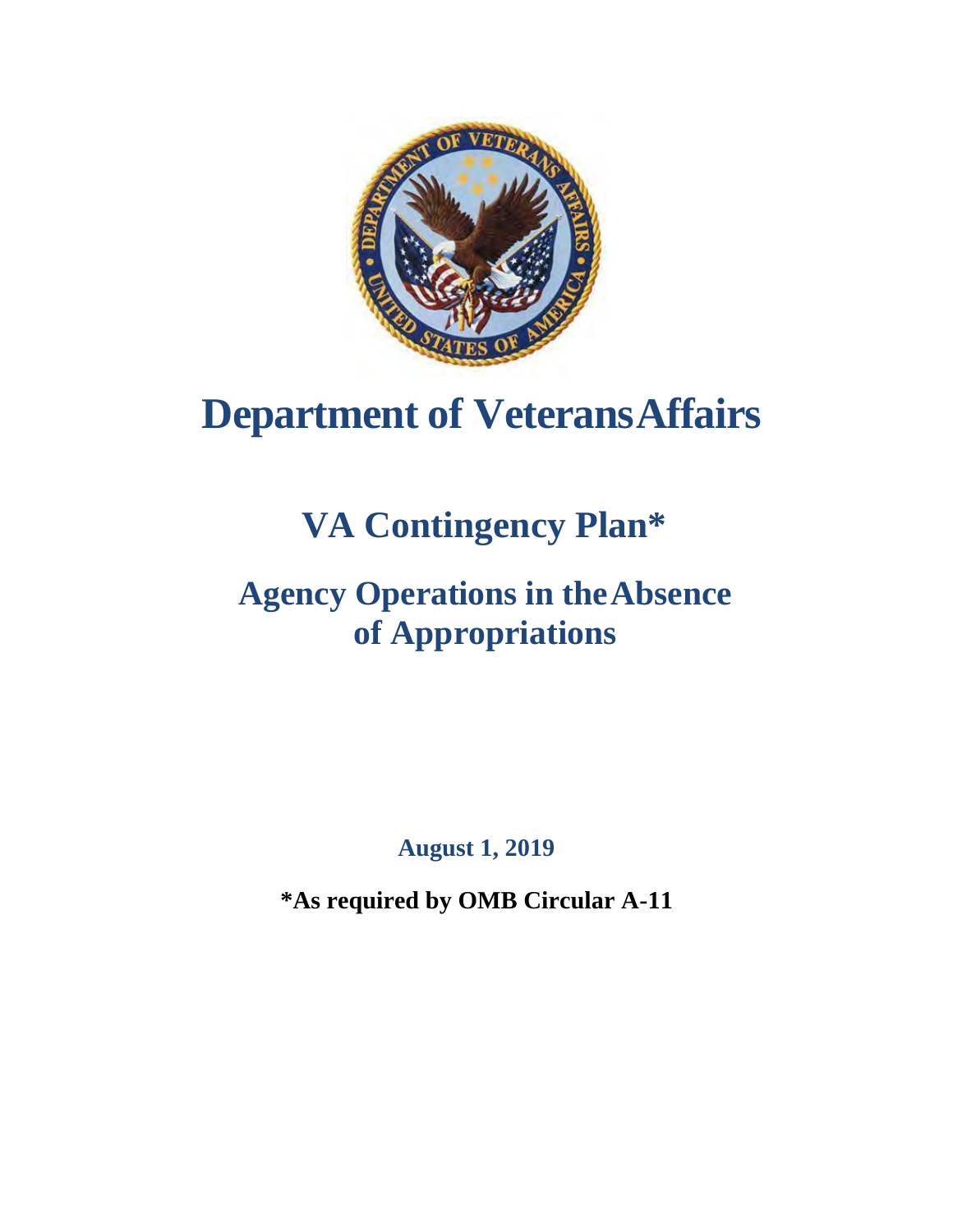

# **Department of VeteransAffairs**

# **VA Contingency Plan\***

## **Agency Operations in theAbsence of Appropriations**

**August 1, 2019**

**\*As required by OMB Circular A-11**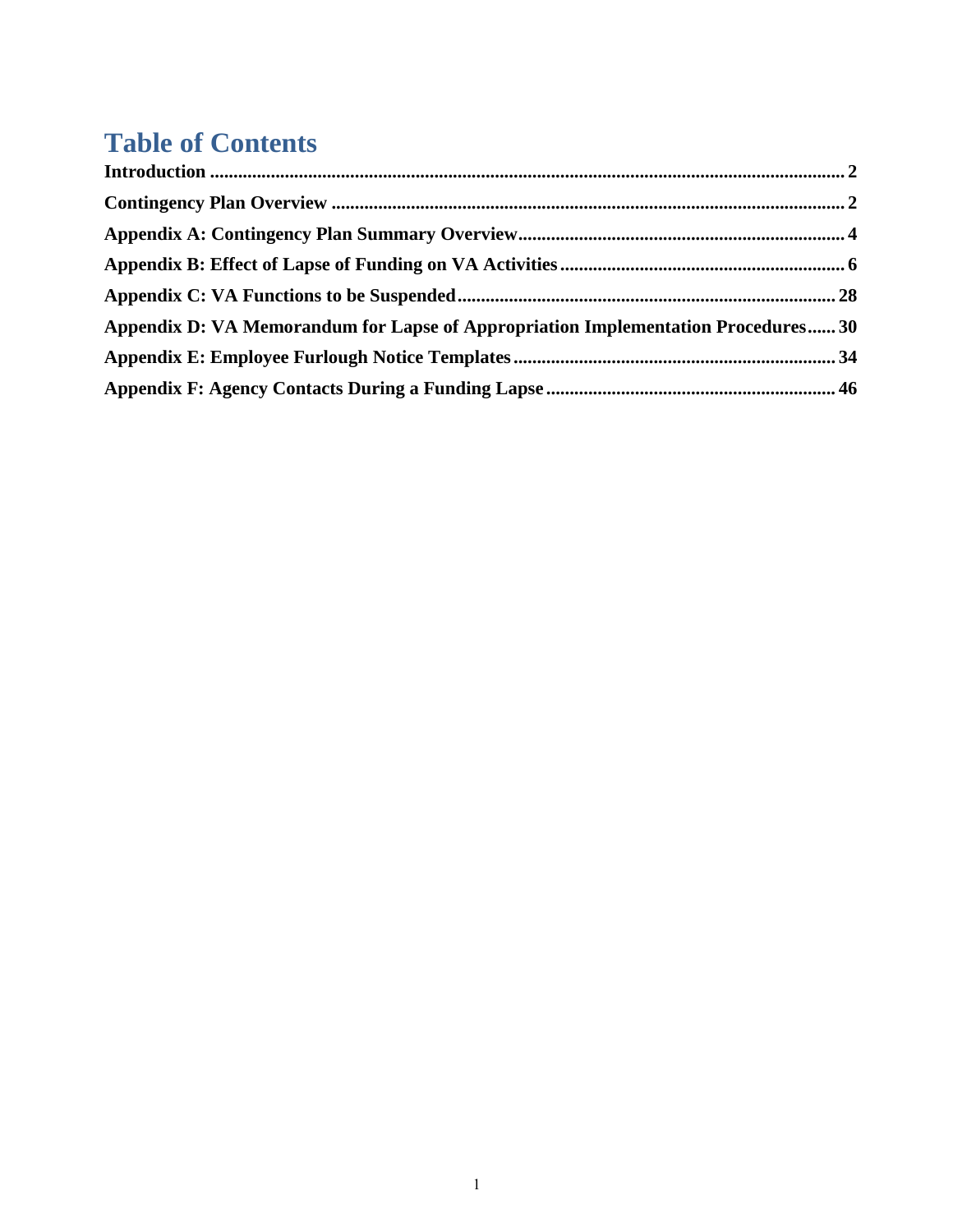## **Table of Contents**

| Appendix D: VA Memorandum for Lapse of Appropriation Implementation Procedures 30 |  |
|-----------------------------------------------------------------------------------|--|
|                                                                                   |  |
|                                                                                   |  |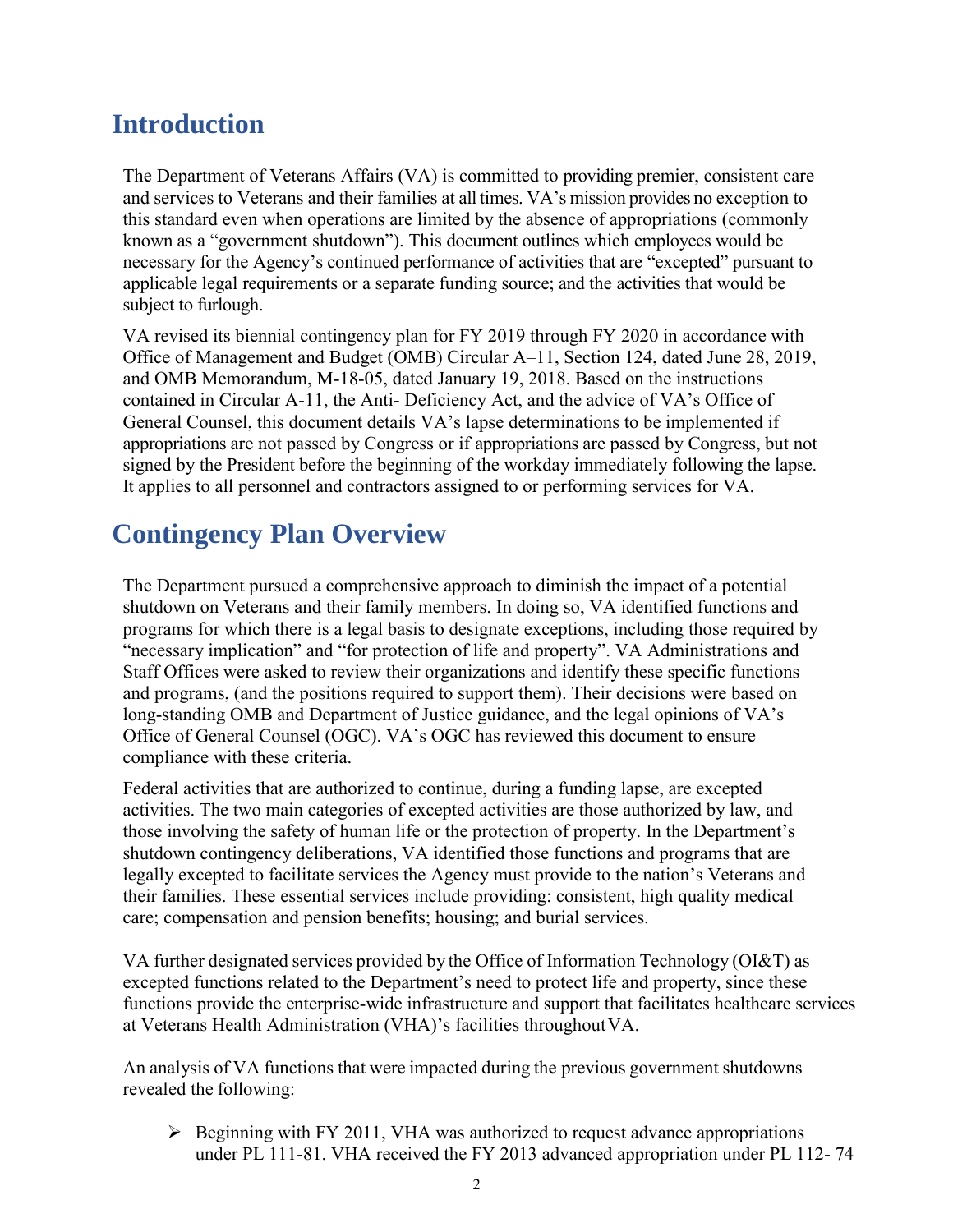## **Introduction**

The Department of Veterans Affairs (VA) is committed to providing premier, consistent care and services to Veterans and their families at all times. VA's mission provides no exception to this standard even when operations are limited by the absence of appropriations (commonly known as a "government shutdown"). This document outlines which employees would be necessary for the Agency's continued performance of activities that are "excepted" pursuant to applicable legal requirements or a separate funding source; and the activities that would be subject to furlough.

VA revised its biennial contingency plan for FY 2019 through FY 2020 in accordance with Office of Management and Budget (OMB) Circular A–11, Section 124, dated June 28, 2019, and OMB Memorandum, M-18-05, dated January 19, 2018. Based on the instructions contained in Circular A-11, the Anti- Deficiency Act, and the advice of VA's Office of General Counsel, this document details VA's lapse determinations to be implemented if appropriations are not passed by Congress or if appropriations are passed by Congress, but not signed by the President before the beginning of the workday immediately following the lapse. It applies to all personnel and contractors assigned to or performing services for VA.

## **Contingency Plan Overview**

The Department pursued a comprehensive approach to diminish the impact of a potential shutdown on Veterans and their family members. In doing so, VA identified functions and programs for which there is a legal basis to designate exceptions, including those required by "necessary implication" and "for protection of life and property". VA Administrations and Staff Offices were asked to review their organizations and identify these specific functions and programs, (and the positions required to support them). Their decisions were based on long-standing OMB and Department of Justice guidance, and the legal opinions of VA's Office of General Counsel (OGC). VA's OGC has reviewed this document to ensure compliance with these criteria.

Federal activities that are authorized to continue, during a funding lapse, are excepted activities. The two main categories of excepted activities are those authorized by law, and those involving the safety of human life or the protection of property. In the Department's shutdown contingency deliberations, VA identified those functions and programs that are legally excepted to facilitate services the Agency must provide to the nation's Veterans and their families. These essential services include providing: consistent, high quality medical care; compensation and pension benefits; housing; and burial services.

VA further designated services provided by the Office of Information Technology (OI&T) as excepted functions related to the Department's need to protect life and property, since these functions provide the enterprise-wide infrastructure and support that facilitates healthcare services at Veterans Health Administration (VHA)'s facilities throughoutVA.

An analysis of VA functions that were impacted during the previous government shutdowns revealed the following:

➢ Beginning with FY 2011, VHA was authorized to request advance appropriations under PL 111-81. VHA received the FY 2013 advanced appropriation under PL 112- 74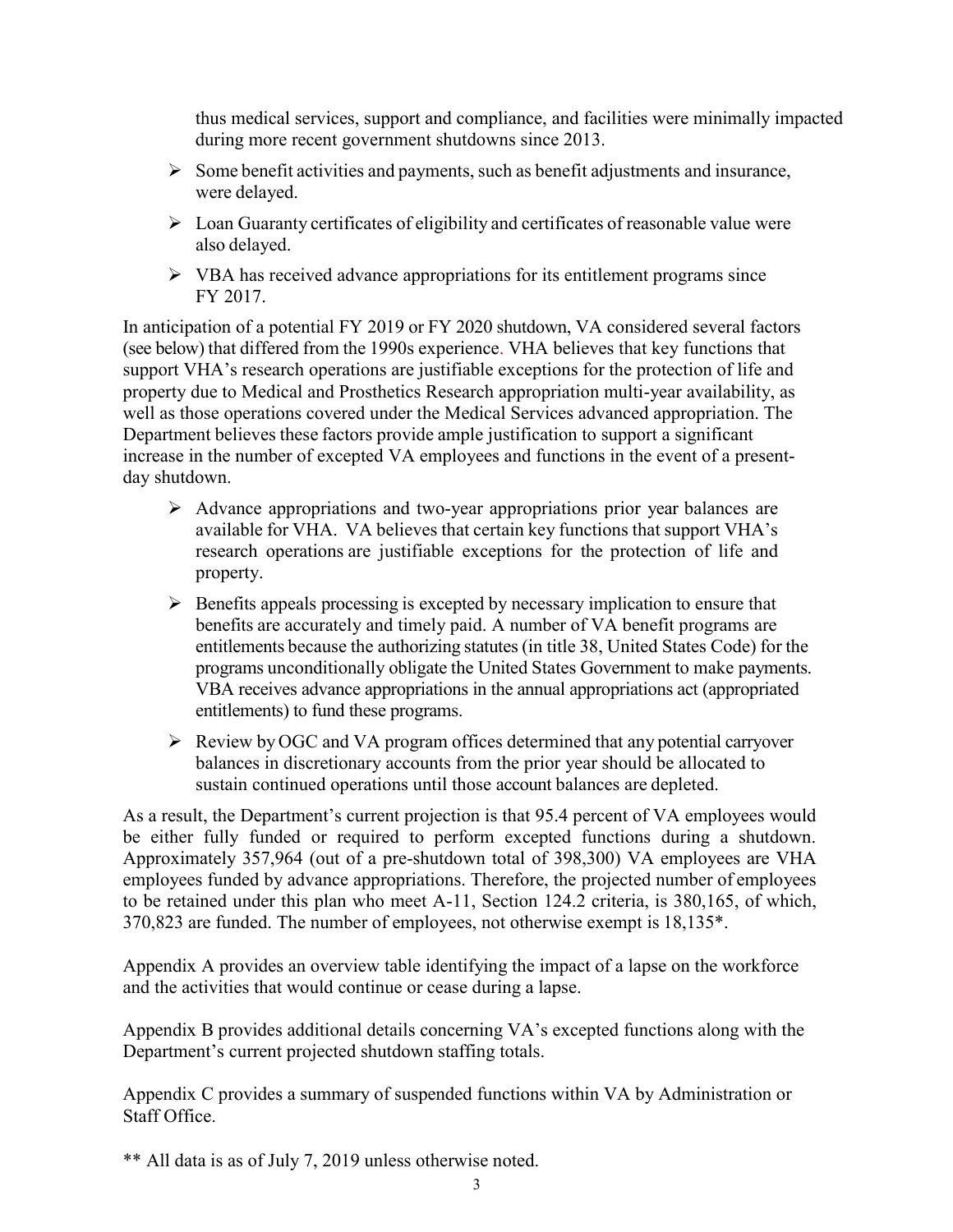thus medical services, support and compliance, and facilities were minimally impacted during more recent government shutdowns since 2013.

- $\triangleright$  Some benefit activities and payments, such as benefit adjustments and insurance, were delayed.
- ➢ Loan Guaranty certificates of eligibility and certificates of reasonable value were also delayed.
- ➢ VBA has received advance appropriations for its entitlement programs since FY 2017.

In anticipation of a potential FY 2019 or FY 2020 shutdown, VA considered several factors (see below) that differed from the 1990s experience. VHA believes that key functions that support VHA's research operations are justifiable exceptions for the protection of life and property due to Medical and Prosthetics Research appropriation multi-year availability, as well as those operations covered under the Medical Services advanced appropriation. The Department believes these factors provide ample justification to support a significant increase in the number of excepted VA employees and functions in the event of a presentday shutdown.

- ➢ Advance appropriations and two-year appropriations prior year balances are available for VHA. VA believes that certain key functions that support VHA's research operations are justifiable exceptions for the protection of life and property.
- ➢ Benefits appeals processing is excepted by necessary implication to ensure that benefits are accurately and timely paid. A number of VA benefit programs are entitlements because the authorizing statutes(in title 38, United States Code) for the programs unconditionally obligate the United States Government to make payments. VBA receives advance appropriations in the annual appropriations act (appropriated entitlements) to fund these programs.
- ➢ Review by OGC and VA program offices determined that any potential carryover balances in discretionary accounts from the prior year should be allocated to sustain continued operations until those account balances are depleted.

As a result, the Department's current projection is that 95.4 percent of VA employees would be either fully funded or required to perform excepted functions during a shutdown. Approximately 357,964 (out of a pre-shutdown total of 398,300) VA employees are VHA employees funded by advance appropriations. Therefore, the projected number of employees to be retained under this plan who meet A-11, Section 124.2 criteria, is 380,165, of which, 370,823 are funded. The number of employees, not otherwise exempt is 18,135\*.

Appendix A provides an overview table identifying the impact of a lapse on the workforce and the activities that would continue or cease during a lapse.

Appendix B provides additional details concerning VA's excepted functions along with the Department's current projected shutdown staffing totals.

Appendix C provides a summary of suspended functions within VA by Administration or Staff Office.

\*\* All data is as of July 7, 2019 unless otherwise noted.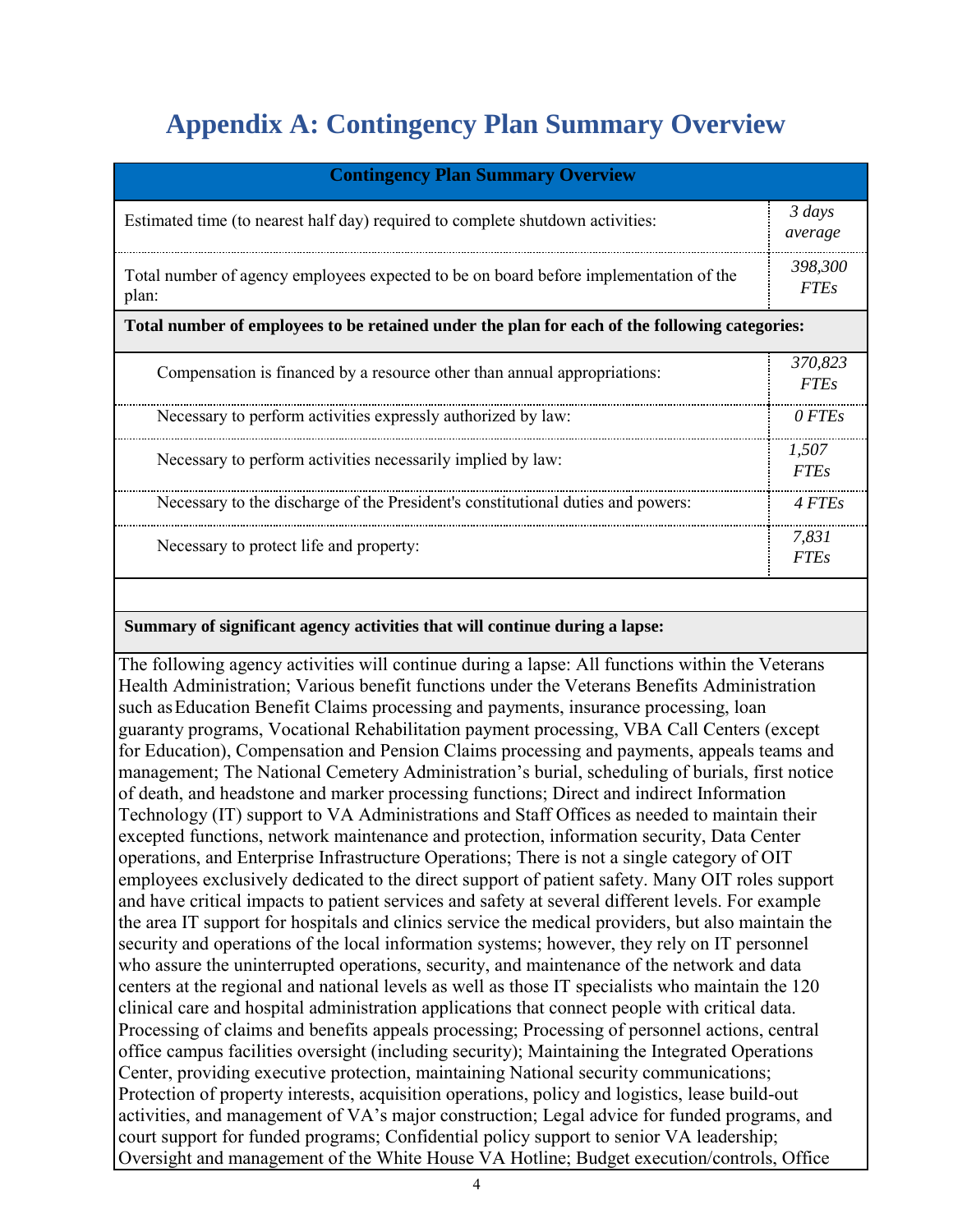## **Appendix A: Contingency Plan Summary Overview**

| <b>Contingency Plan Summary Overview</b>                                                       |                        |  |  |  |  |  |  |  |
|------------------------------------------------------------------------------------------------|------------------------|--|--|--|--|--|--|--|
| Estimated time (to nearest half day) required to complete shutdown activities:                 |                        |  |  |  |  |  |  |  |
| Total number of agency employees expected to be on board before implementation of the<br>plan: |                        |  |  |  |  |  |  |  |
| Total number of employees to be retained under the plan for each of the following categories:  |                        |  |  |  |  |  |  |  |
| Compensation is financed by a resource other than annual appropriations:                       | 370,823<br><b>FTEs</b> |  |  |  |  |  |  |  |
| Necessary to perform activities expressly authorized by law:                                   | 0 FTEs                 |  |  |  |  |  |  |  |
| Necessary to perform activities necessarily implied by law:                                    | 1.507<br><i>FTEs</i>   |  |  |  |  |  |  |  |
| Necessary to the discharge of the President's constitutional duties and powers:                | 4 FTEs                 |  |  |  |  |  |  |  |
| Necessary to protect life and property:                                                        | 7.831<br><i>FTEs</i>   |  |  |  |  |  |  |  |

#### **Summary of significant agency activities that will continue during a lapse:**

The following agency activities will continue during a lapse: All functions within the Veterans Health Administration; Various benefit functions under the Veterans Benefits Administration such asEducation Benefit Claims processing and payments, insurance processing, loan guaranty programs, Vocational Rehabilitation payment processing, VBA Call Centers (except for Education), Compensation and Pension Claims processing and payments, appeals teams and management; The National Cemetery Administration's burial, scheduling of burials, first notice of death, and headstone and marker processing functions; Direct and indirect Information Technology (IT) support to VA Administrations and Staff Offices as needed to maintain their excepted functions, network maintenance and protection, information security, Data Center operations, and Enterprise Infrastructure Operations; There is not a single category of OIT employees exclusively dedicated to the direct support of patient safety. Many OIT roles support and have critical impacts to patient services and safety at several different levels. For example the area IT support for hospitals and clinics service the medical providers, but also maintain the security and operations of the local information systems; however, they rely on IT personnel who assure the uninterrupted operations, security, and maintenance of the network and data centers at the regional and national levels as well as those IT specialists who maintain the 120 clinical care and hospital administration applications that connect people with critical data. Processing of claims and benefits appeals processing; Processing of personnel actions, central office campus facilities oversight (including security); Maintaining the Integrated Operations Center, providing executive protection, maintaining National security communications; Protection of property interests, acquisition operations, policy and logistics, lease build-out activities, and management of VA's major construction; Legal advice for funded programs, and court support for funded programs; Confidential policy support to senior VA leadership; Oversight and management of the White House VA Hotline; Budget execution/controls, Office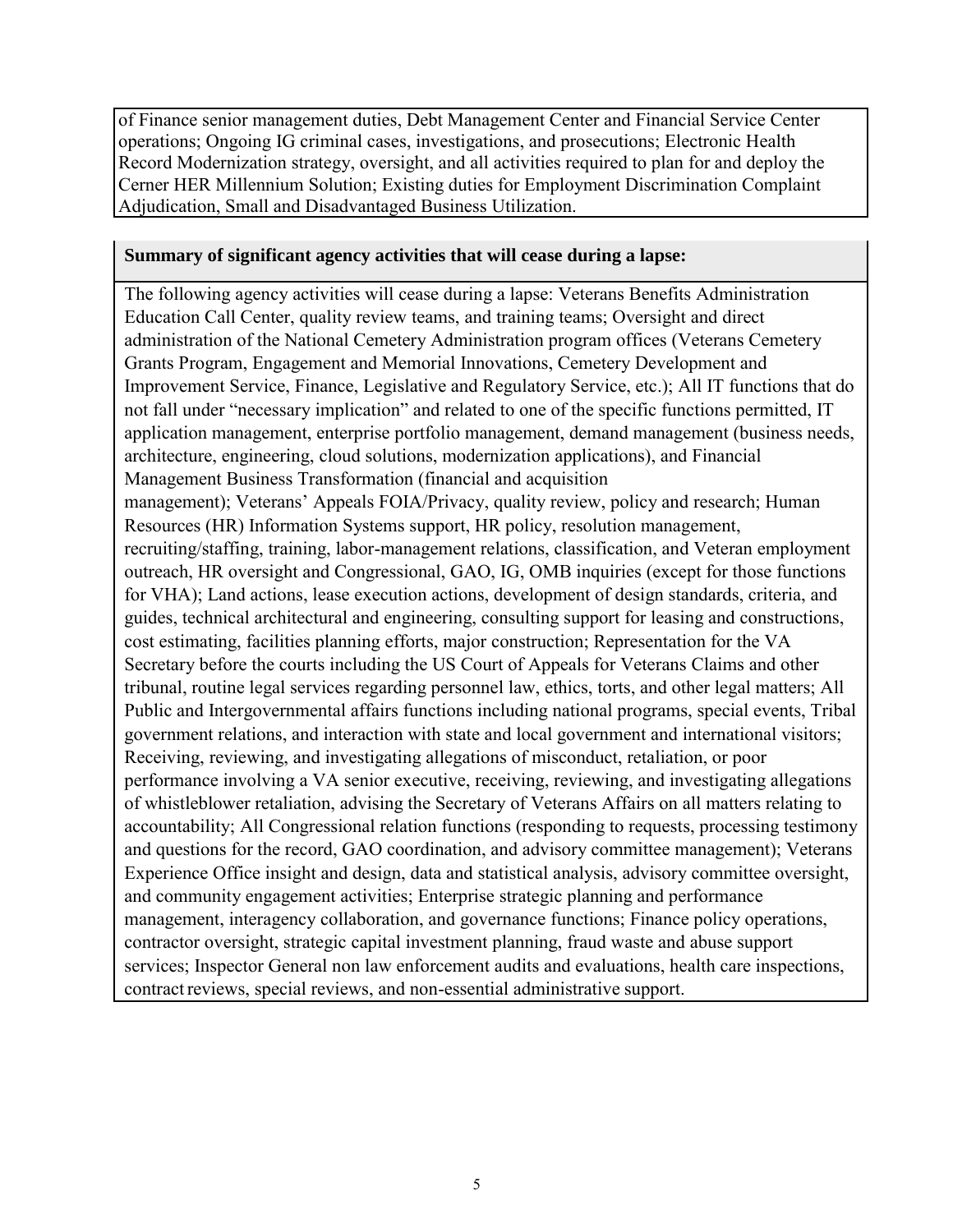of Finance senior management duties, Debt Management Center and Financial Service Center operations; Ongoing IG criminal cases, investigations, and prosecutions; Electronic Health Record Modernization strategy, oversight, and all activities required to plan for and deploy the Cerner HER Millennium Solution; Existing duties for Employment Discrimination Complaint Adjudication, Small and Disadvantaged Business Utilization.

#### **Summary of significant agency activities that will cease during a lapse:**

The following agency activities will cease during a lapse: Veterans Benefits Administration Education Call Center, quality review teams, and training teams; Oversight and direct administration of the National Cemetery Administration program offices (Veterans Cemetery Grants Program, Engagement and Memorial Innovations, Cemetery Development and Improvement Service, Finance, Legislative and Regulatory Service, etc.); All IT functions that do not fall under "necessary implication" and related to one of the specific functions permitted, IT application management, enterprise portfolio management, demand management (business needs, architecture, engineering, cloud solutions, modernization applications), and Financial Management Business Transformation (financial and acquisition management); Veterans' Appeals FOIA/Privacy, quality review, policy and research; Human Resources (HR) Information Systems support, HR policy, resolution management, recruiting/staffing, training, labor-management relations, classification, and Veteran employment outreach, HR oversight and Congressional, GAO, IG, OMB inquiries (except for those functions for VHA); Land actions, lease execution actions, development of design standards, criteria, and guides, technical architectural and engineering, consulting support for leasing and constructions, cost estimating, facilities planning efforts, major construction; Representation for the VA Secretary before the courts including the US Court of Appeals for Veterans Claims and other tribunal, routine legal services regarding personnel law, ethics, torts, and other legal matters; All Public and Intergovernmental affairs functions including national programs, special events, Tribal government relations, and interaction with state and local government and international visitors; Receiving, reviewing, and investigating allegations of misconduct, retaliation, or poor performance involving a VA senior executive, receiving, reviewing, and investigating allegations of whistleblower retaliation, advising the Secretary of Veterans Affairs on all matters relating to accountability; All Congressional relation functions (responding to requests, processing testimony and questions for the record, GAO coordination, and advisory committee management); Veterans Experience Office insight and design, data and statistical analysis, advisory committee oversight, and community engagement activities; Enterprise strategic planning and performance management, interagency collaboration, and governance functions; Finance policy operations, contractor oversight, strategic capital investment planning, fraud waste and abuse support services; Inspector General non law enforcement audits and evaluations, health care inspections, contract reviews, special reviews, and non-essential administrative support.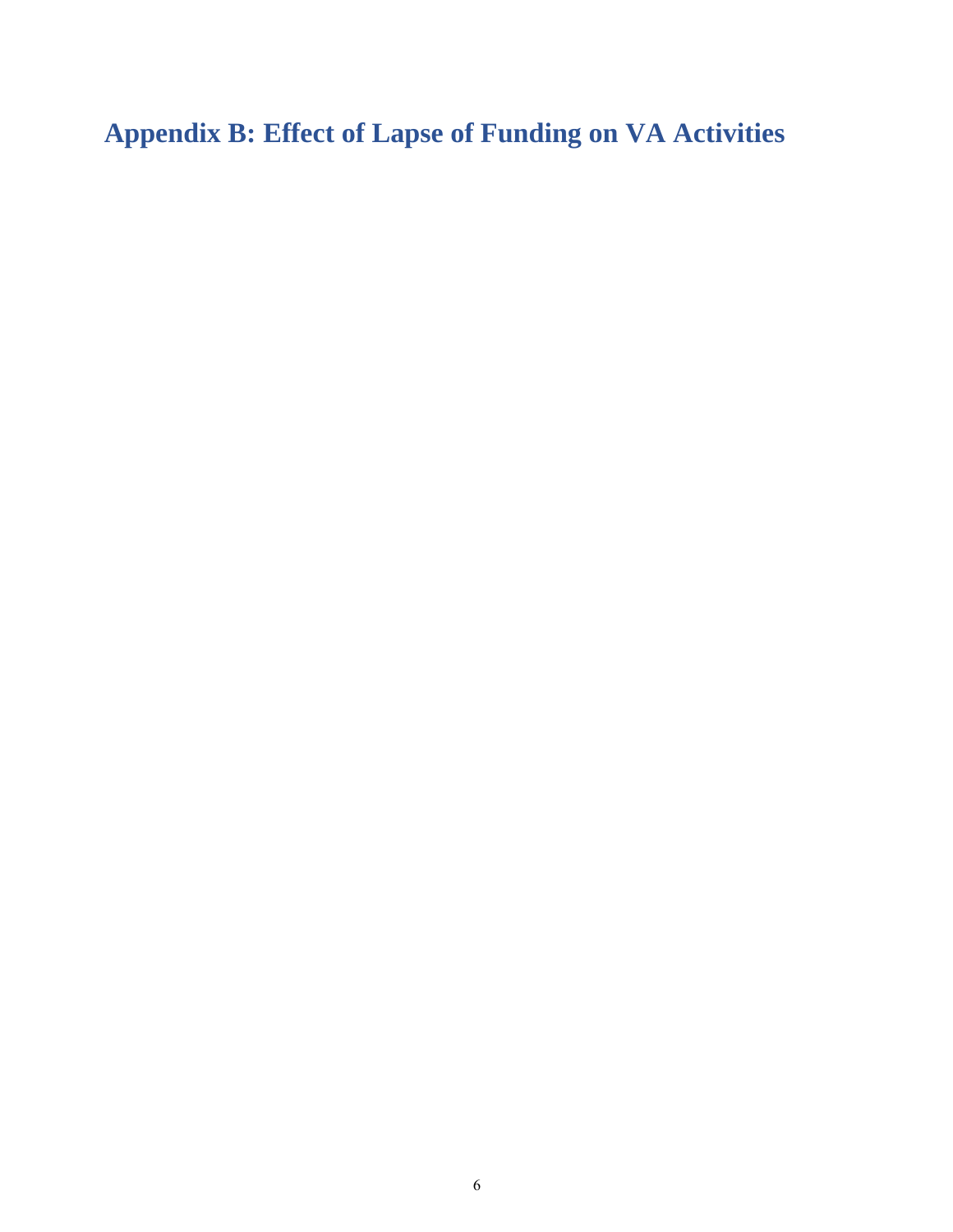**Appendix B: Effect of Lapse of Funding on VA Activities**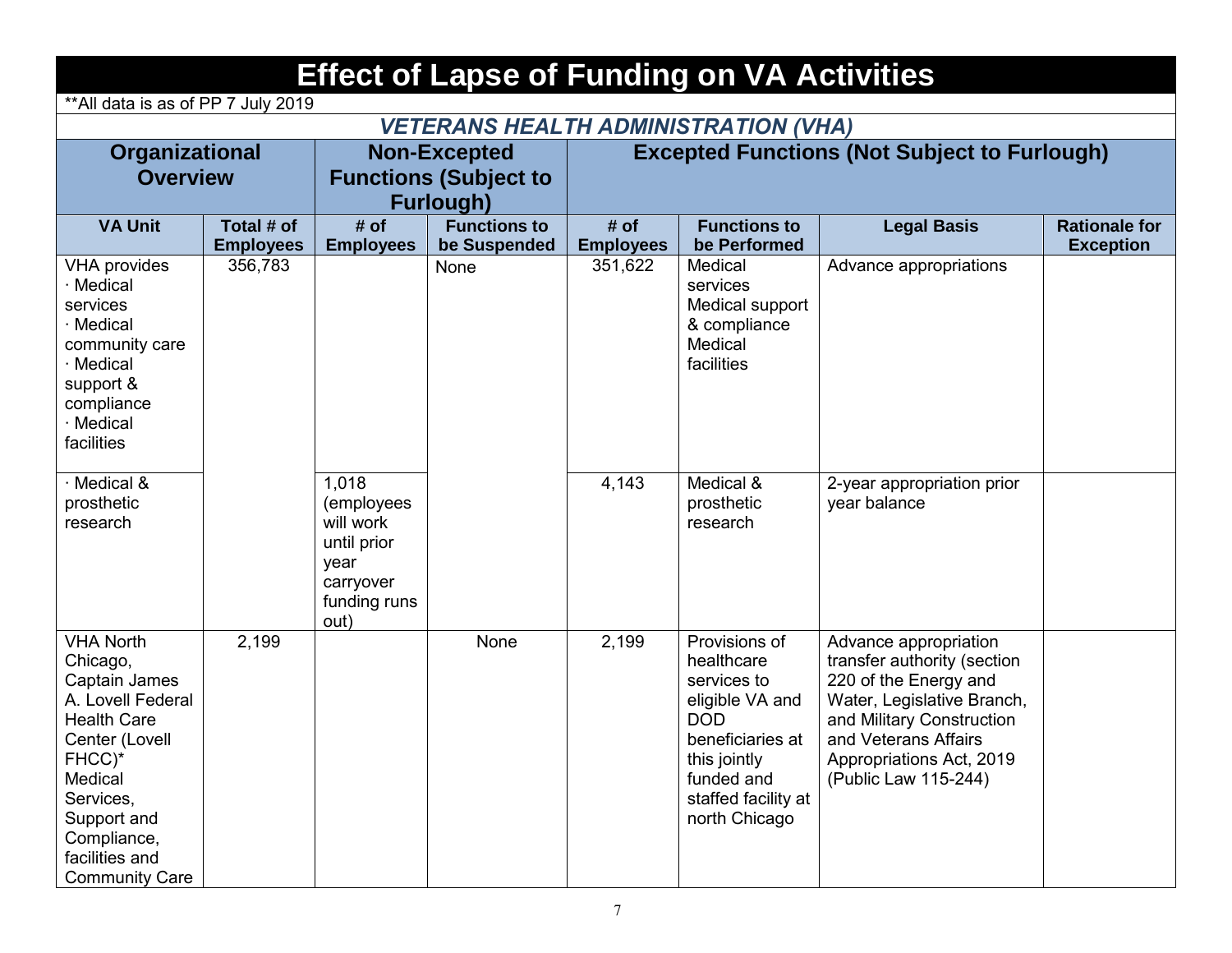| <b>Effect of Lapse of Funding on VA Activities</b>                                                                                                                                                                    |                                                 |                                                                                              |                                             |                  |                                                                                                                                                                       |                                                                                                                                                                                                                      |                      |  |  |  |
|-----------------------------------------------------------------------------------------------------------------------------------------------------------------------------------------------------------------------|-------------------------------------------------|----------------------------------------------------------------------------------------------|---------------------------------------------|------------------|-----------------------------------------------------------------------------------------------------------------------------------------------------------------------|----------------------------------------------------------------------------------------------------------------------------------------------------------------------------------------------------------------------|----------------------|--|--|--|
| ** All data is as of PP 7 July 2019                                                                                                                                                                                   |                                                 |                                                                                              |                                             |                  |                                                                                                                                                                       |                                                                                                                                                                                                                      |                      |  |  |  |
|                                                                                                                                                                                                                       |                                                 |                                                                                              | <b>VETERANS HEALTH ADMINISTRATION (VHA)</b> |                  |                                                                                                                                                                       |                                                                                                                                                                                                                      |                      |  |  |  |
| Organizational                                                                                                                                                                                                        |                                                 |                                                                                              | <b>Non-Excepted</b>                         |                  |                                                                                                                                                                       | <b>Excepted Functions (Not Subject to Furlough)</b>                                                                                                                                                                  |                      |  |  |  |
|                                                                                                                                                                                                                       | <b>Functions (Subject to</b><br><b>Overview</b> |                                                                                              |                                             |                  |                                                                                                                                                                       |                                                                                                                                                                                                                      |                      |  |  |  |
|                                                                                                                                                                                                                       |                                                 |                                                                                              | <b>Furlough)</b>                            |                  |                                                                                                                                                                       |                                                                                                                                                                                                                      |                      |  |  |  |
| <b>VA Unit</b>                                                                                                                                                                                                        | Total # of                                      | # of                                                                                         | <b>Functions to</b>                         | # of             | <b>Functions to</b>                                                                                                                                                   | <b>Legal Basis</b>                                                                                                                                                                                                   | <b>Rationale for</b> |  |  |  |
|                                                                                                                                                                                                                       | <b>Employees</b>                                | <b>Employees</b>                                                                             | be Suspended                                | <b>Employees</b> | be Performed                                                                                                                                                          |                                                                                                                                                                                                                      | <b>Exception</b>     |  |  |  |
| <b>VHA provides</b><br>· Medical<br>services<br>· Medical<br>community care<br>· Medical<br>support &<br>compliance<br>· Medical<br>facilities                                                                        | 356,783                                         |                                                                                              | None                                        | 351,622          | Medical<br>services<br>Medical support<br>& compliance<br>Medical<br>facilities                                                                                       | Advance appropriations                                                                                                                                                                                               |                      |  |  |  |
| · Medical &<br>prosthetic<br>research                                                                                                                                                                                 |                                                 | 1,018<br>(employees<br>will work<br>until prior<br>year<br>carryover<br>funding runs<br>out) |                                             | 4,143            | Medical &<br>prosthetic<br>research                                                                                                                                   | 2-year appropriation prior<br>year balance                                                                                                                                                                           |                      |  |  |  |
| <b>VHA North</b><br>Chicago,<br>Captain James<br>A. Lovell Federal<br><b>Health Care</b><br>Center (Lovell<br>FHCC)*<br>Medical<br>Services,<br>Support and<br>Compliance,<br>facilities and<br><b>Community Care</b> | 2,199                                           |                                                                                              | None                                        | 2,199            | Provisions of<br>healthcare<br>services to<br>eligible VA and<br><b>DOD</b><br>beneficiaries at<br>this jointly<br>funded and<br>staffed facility at<br>north Chicago | Advance appropriation<br>transfer authority (section<br>220 of the Energy and<br>Water, Legislative Branch,<br>and Military Construction<br>and Veterans Affairs<br>Appropriations Act, 2019<br>(Public Law 115-244) |                      |  |  |  |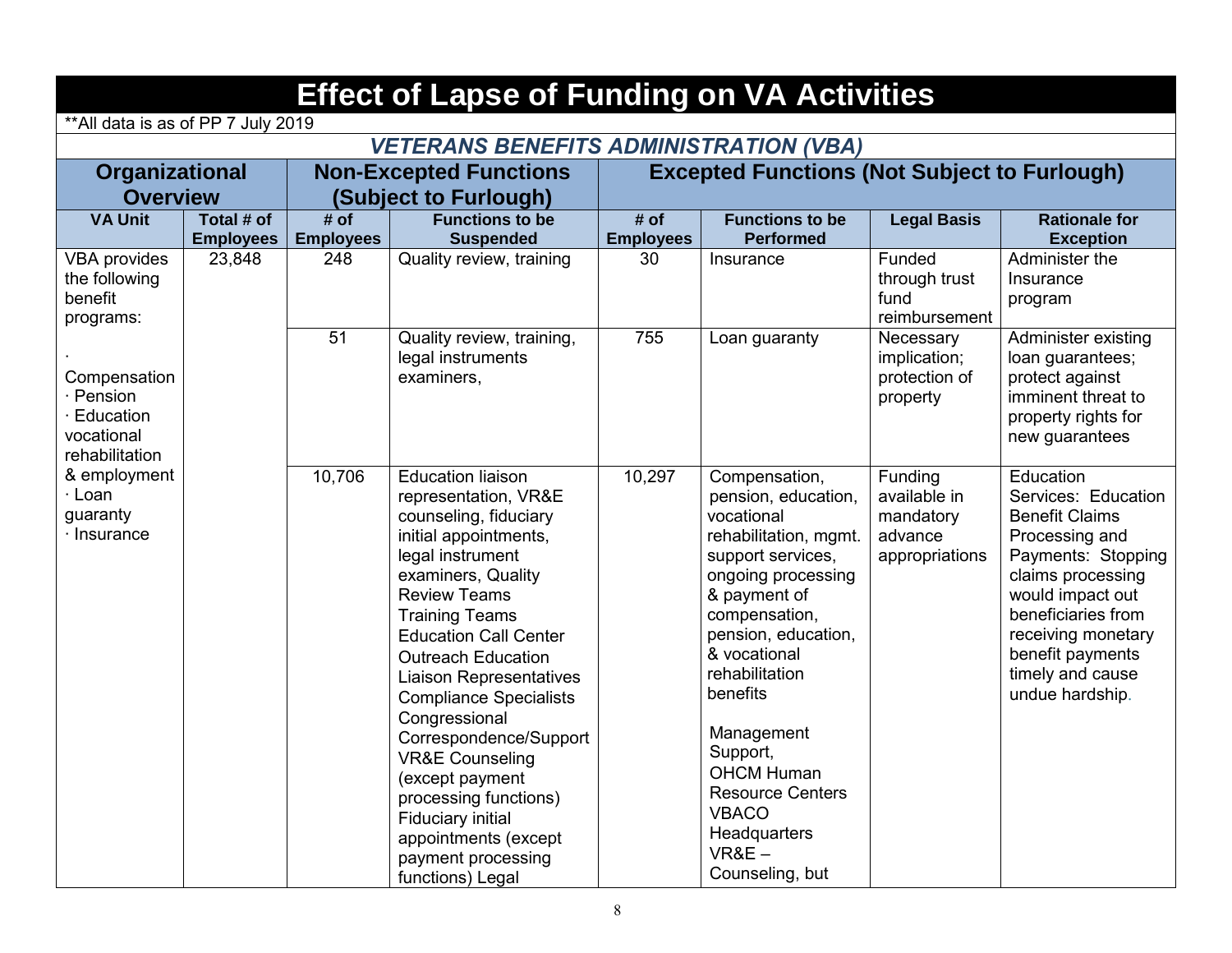| <b>Effect of Lapse of Funding on VA Activities</b>                     |                                |                          |                                                                                                                                                                                                                                                                                                                                                                                                                                                                                                                                                 |                          |                                                                                                                                                                                                                                                                                                                                                                      |                                                                   |                                                                                                                                                                                                                                                   |  |  |  |
|------------------------------------------------------------------------|--------------------------------|--------------------------|-------------------------------------------------------------------------------------------------------------------------------------------------------------------------------------------------------------------------------------------------------------------------------------------------------------------------------------------------------------------------------------------------------------------------------------------------------------------------------------------------------------------------------------------------|--------------------------|----------------------------------------------------------------------------------------------------------------------------------------------------------------------------------------------------------------------------------------------------------------------------------------------------------------------------------------------------------------------|-------------------------------------------------------------------|---------------------------------------------------------------------------------------------------------------------------------------------------------------------------------------------------------------------------------------------------|--|--|--|
| ** All data is as of PP 7 July 2019                                    |                                |                          |                                                                                                                                                                                                                                                                                                                                                                                                                                                                                                                                                 |                          |                                                                                                                                                                                                                                                                                                                                                                      |                                                                   |                                                                                                                                                                                                                                                   |  |  |  |
|                                                                        |                                |                          | <b>VETERANS BENEFITS ADMINISTRATION (VBA)</b>                                                                                                                                                                                                                                                                                                                                                                                                                                                                                                   |                          |                                                                                                                                                                                                                                                                                                                                                                      |                                                                   |                                                                                                                                                                                                                                                   |  |  |  |
| Organizational                                                         |                                |                          | <b>Non-Excepted Functions</b>                                                                                                                                                                                                                                                                                                                                                                                                                                                                                                                   |                          | <b>Excepted Functions (Not Subject to Furlough)</b>                                                                                                                                                                                                                                                                                                                  |                                                                   |                                                                                                                                                                                                                                                   |  |  |  |
| <b>Overview</b>                                                        |                                |                          | (Subject to Furlough)                                                                                                                                                                                                                                                                                                                                                                                                                                                                                                                           |                          |                                                                                                                                                                                                                                                                                                                                                                      |                                                                   |                                                                                                                                                                                                                                                   |  |  |  |
| <b>VA Unit</b>                                                         | Total # of<br><b>Employees</b> | # of<br><b>Employees</b> | <b>Functions to be</b><br><b>Suspended</b>                                                                                                                                                                                                                                                                                                                                                                                                                                                                                                      | # of<br><b>Employees</b> | <b>Functions to be</b><br><b>Performed</b>                                                                                                                                                                                                                                                                                                                           | <b>Legal Basis</b>                                                | <b>Rationale for</b><br><b>Exception</b>                                                                                                                                                                                                          |  |  |  |
| <b>VBA provides</b><br>the following<br>benefit<br>programs:           | 23,848                         | 248                      | Quality review, training                                                                                                                                                                                                                                                                                                                                                                                                                                                                                                                        | 30                       | Insurance                                                                                                                                                                                                                                                                                                                                                            | Funded<br>through trust<br>fund<br>reimbursement                  | Administer the<br>Insurance<br>program                                                                                                                                                                                                            |  |  |  |
| Compensation<br>· Pension<br>Education<br>vocational<br>rehabilitation |                                | 51                       | Quality review, training,<br>legal instruments<br>examiners,                                                                                                                                                                                                                                                                                                                                                                                                                                                                                    | 755                      | Loan guaranty                                                                                                                                                                                                                                                                                                                                                        | Necessary<br>implication;<br>protection of<br>property            | Administer existing<br>loan guarantees;<br>protect against<br>imminent threat to<br>property rights for<br>new guarantees                                                                                                                         |  |  |  |
| & employment<br>· Loan<br>guaranty<br>$\cdot$ Insurance                |                                | 10,706                   | <b>Education liaison</b><br>representation, VR&E<br>counseling, fiduciary<br>initial appointments,<br>legal instrument<br>examiners, Quality<br><b>Review Teams</b><br><b>Training Teams</b><br><b>Education Call Center</b><br><b>Outreach Education</b><br><b>Liaison Representatives</b><br><b>Compliance Specialists</b><br>Congressional<br>Correspondence/Support<br><b>VR&amp;E Counseling</b><br>(except payment<br>processing functions)<br><b>Fiduciary initial</b><br>appointments (except<br>payment processing<br>functions) Legal | 10,297                   | Compensation,<br>pension, education,<br>vocational<br>rehabilitation, mgmt.<br>support services,<br>ongoing processing<br>& payment of<br>compensation,<br>pension, education,<br>& vocational<br>rehabilitation<br>benefits<br>Management<br>Support,<br><b>OHCM Human</b><br><b>Resource Centers</b><br><b>VBACO</b><br>Headquarters<br>$VR&E-$<br>Counseling, but | Funding<br>available in<br>mandatory<br>advance<br>appropriations | Education<br>Services: Education<br><b>Benefit Claims</b><br>Processing and<br>Payments: Stopping<br>claims processing<br>would impact out<br>beneficiaries from<br>receiving monetary<br>benefit payments<br>timely and cause<br>undue hardship. |  |  |  |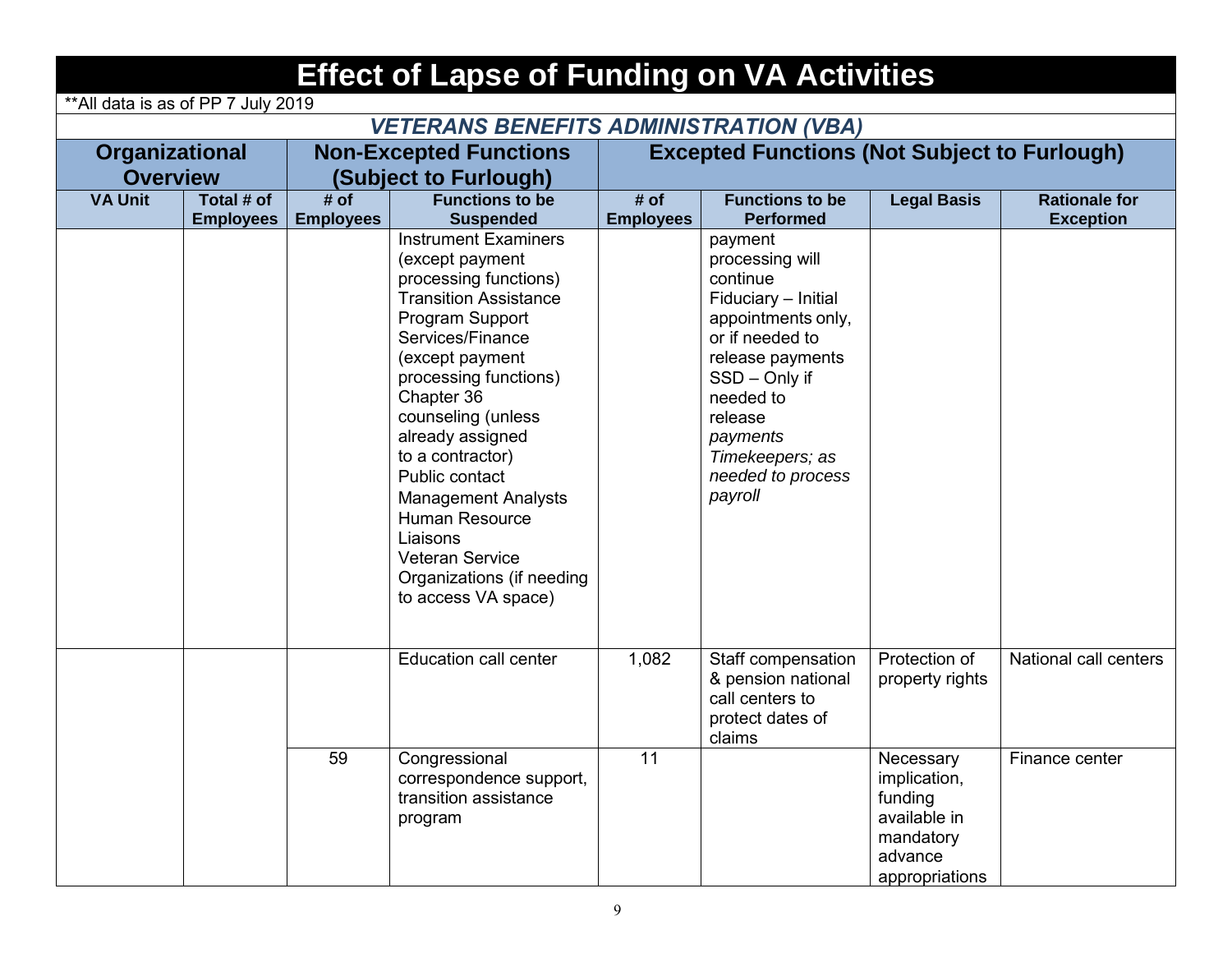|                                     |                  |                  | <b>Effect of Lapse of Funding on VA Activities</b>                                                                                                                                                                                                                                                                                                                                                                                        |                                                     |                                                                                                                                                                                                                                    |                                                                                                |                       |  |  |
|-------------------------------------|------------------|------------------|-------------------------------------------------------------------------------------------------------------------------------------------------------------------------------------------------------------------------------------------------------------------------------------------------------------------------------------------------------------------------------------------------------------------------------------------|-----------------------------------------------------|------------------------------------------------------------------------------------------------------------------------------------------------------------------------------------------------------------------------------------|------------------------------------------------------------------------------------------------|-----------------------|--|--|
| ** All data is as of PP 7 July 2019 |                  |                  |                                                                                                                                                                                                                                                                                                                                                                                                                                           |                                                     |                                                                                                                                                                                                                                    |                                                                                                |                       |  |  |
|                                     |                  |                  | <b>VETERANS BENEFITS ADMINISTRATION (VBA)</b>                                                                                                                                                                                                                                                                                                                                                                                             |                                                     |                                                                                                                                                                                                                                    |                                                                                                |                       |  |  |
| Organizational                      |                  |                  | <b>Non-Excepted Functions</b>                                                                                                                                                                                                                                                                                                                                                                                                             | <b>Excepted Functions (Not Subject to Furlough)</b> |                                                                                                                                                                                                                                    |                                                                                                |                       |  |  |
| <b>Overview</b>                     |                  |                  | (Subject to Furlough)                                                                                                                                                                                                                                                                                                                                                                                                                     |                                                     |                                                                                                                                                                                                                                    |                                                                                                |                       |  |  |
| <b>VA Unit</b>                      | Total # of       | # of             | <b>Functions to be</b>                                                                                                                                                                                                                                                                                                                                                                                                                    | # of                                                | <b>Functions to be</b>                                                                                                                                                                                                             | <b>Legal Basis</b>                                                                             | <b>Rationale for</b>  |  |  |
|                                     | <b>Employees</b> | <b>Employees</b> | <b>Suspended</b>                                                                                                                                                                                                                                                                                                                                                                                                                          | <b>Employees</b>                                    | <b>Performed</b>                                                                                                                                                                                                                   |                                                                                                | <b>Exception</b>      |  |  |
|                                     |                  |                  | <b>Instrument Examiners</b><br>(except payment<br>processing functions)<br><b>Transition Assistance</b><br>Program Support<br>Services/Finance<br>(except payment<br>processing functions)<br>Chapter 36<br>counseling (unless<br>already assigned<br>to a contractor)<br>Public contact<br><b>Management Analysts</b><br><b>Human Resource</b><br>Liaisons<br><b>Veteran Service</b><br>Organizations (if needing<br>to access VA space) |                                                     | payment<br>processing will<br>continue<br>Fiduciary - Initial<br>appointments only,<br>or if needed to<br>release payments<br>SSD - Only if<br>needed to<br>release<br>payments<br>Timekeepers; as<br>needed to process<br>payroll |                                                                                                |                       |  |  |
|                                     |                  |                  | Education call center                                                                                                                                                                                                                                                                                                                                                                                                                     | 1,082                                               | Staff compensation<br>& pension national<br>call centers to<br>protect dates of<br>claims                                                                                                                                          | Protection of<br>property rights                                                               | National call centers |  |  |
|                                     |                  | 59               | Congressional<br>correspondence support,<br>transition assistance<br>program                                                                                                                                                                                                                                                                                                                                                              | 11                                                  |                                                                                                                                                                                                                                    | Necessary<br>implication,<br>funding<br>available in<br>mandatory<br>advance<br>appropriations | Finance center        |  |  |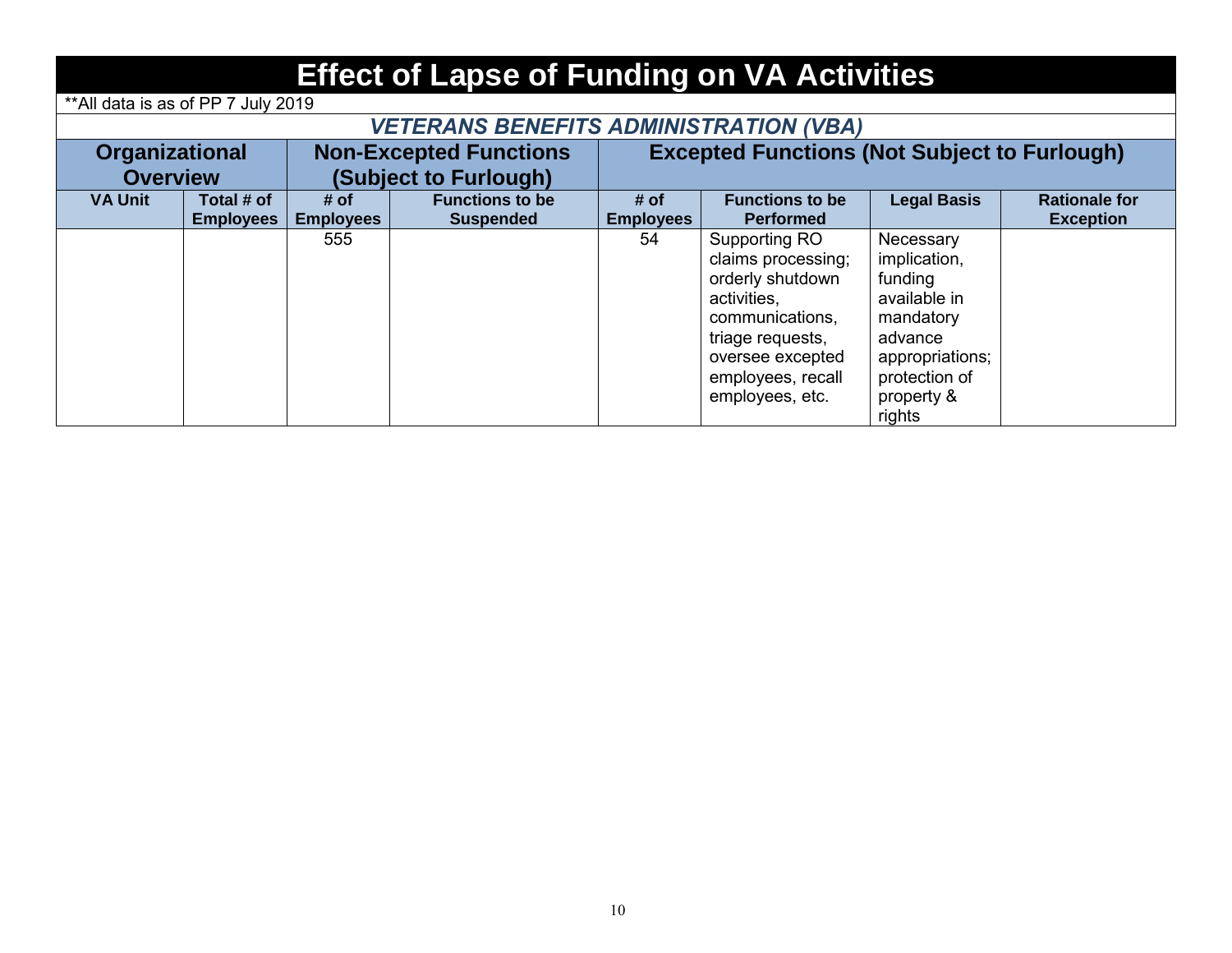| <b>Effect of Lapse of Funding on VA Activities</b> |                                                        |                          |                                            |                                                     |                                                                                                                                                                           |                                                                                                                                          |                                          |  |  |  |
|----------------------------------------------------|--------------------------------------------------------|--------------------------|--------------------------------------------|-----------------------------------------------------|---------------------------------------------------------------------------------------------------------------------------------------------------------------------------|------------------------------------------------------------------------------------------------------------------------------------------|------------------------------------------|--|--|--|
| ** All data is as of PP 7 July 2019                |                                                        |                          |                                            |                                                     |                                                                                                                                                                           |                                                                                                                                          |                                          |  |  |  |
| <b>VETERANS BENEFITS ADMINISTRATION (VBA)</b>      |                                                        |                          |                                            |                                                     |                                                                                                                                                                           |                                                                                                                                          |                                          |  |  |  |
|                                                    | <b>Organizational</b><br><b>Non-Excepted Functions</b> |                          |                                            | <b>Excepted Functions (Not Subject to Furlough)</b> |                                                                                                                                                                           |                                                                                                                                          |                                          |  |  |  |
| <b>Overview</b>                                    |                                                        |                          | (Subject to Furlough)                      |                                                     |                                                                                                                                                                           |                                                                                                                                          |                                          |  |  |  |
| <b>VA Unit</b>                                     | Total # of<br><b>Employees</b>                         | # of<br><b>Employees</b> | <b>Functions to be</b><br><b>Suspended</b> | # of<br><b>Employees</b>                            | <b>Functions to be</b><br><b>Performed</b>                                                                                                                                | <b>Legal Basis</b>                                                                                                                       | <b>Rationale for</b><br><b>Exception</b> |  |  |  |
|                                                    |                                                        | 555                      |                                            | 54                                                  | Supporting RO<br>claims processing;<br>orderly shutdown<br>activities,<br>communications,<br>triage requests,<br>oversee excepted<br>employees, recall<br>employees, etc. | Necessary<br>implication,<br>funding<br>available in<br>mandatory<br>advance<br>appropriations;<br>protection of<br>property &<br>rights |                                          |  |  |  |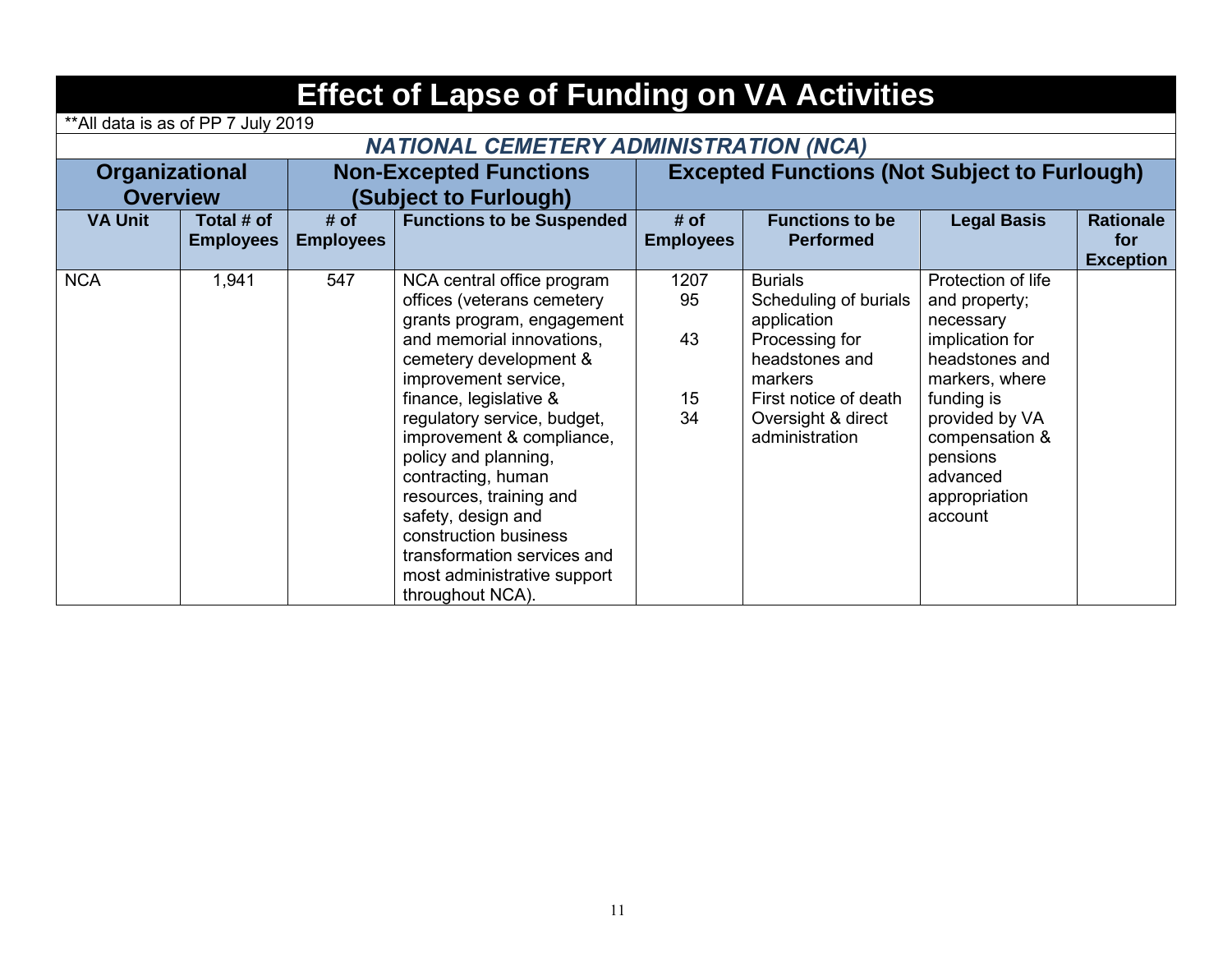|                 | <b>Effect of Lapse of Funding on VA Activities</b>     |                          |                                                                                                                                                                                                                                                                                                                                                                                                                                                                       |                              |                                                                                                                                                                        |                                                                                                                                                                                                               |                                             |  |  |  |  |  |
|-----------------|--------------------------------------------------------|--------------------------|-----------------------------------------------------------------------------------------------------------------------------------------------------------------------------------------------------------------------------------------------------------------------------------------------------------------------------------------------------------------------------------------------------------------------------------------------------------------------|------------------------------|------------------------------------------------------------------------------------------------------------------------------------------------------------------------|---------------------------------------------------------------------------------------------------------------------------------------------------------------------------------------------------------------|---------------------------------------------|--|--|--|--|--|
|                 | **All data is as of PP 7 July 2019                     |                          |                                                                                                                                                                                                                                                                                                                                                                                                                                                                       |                              |                                                                                                                                                                        |                                                                                                                                                                                                               |                                             |  |  |  |  |  |
|                 | <b>NATIONAL CEMETERY ADMINISTRATION (NCA)</b>          |                          |                                                                                                                                                                                                                                                                                                                                                                                                                                                                       |                              |                                                                                                                                                                        |                                                                                                                                                                                                               |                                             |  |  |  |  |  |
|                 | <b>Non-Excepted Functions</b><br><b>Organizational</b> |                          |                                                                                                                                                                                                                                                                                                                                                                                                                                                                       |                              | <b>Excepted Functions (Not Subject to Furlough)</b>                                                                                                                    |                                                                                                                                                                                                               |                                             |  |  |  |  |  |
| <b>Overview</b> |                                                        |                          | (Subject to Furlough)                                                                                                                                                                                                                                                                                                                                                                                                                                                 |                              |                                                                                                                                                                        |                                                                                                                                                                                                               |                                             |  |  |  |  |  |
| <b>VA Unit</b>  | Total # of<br><b>Employees</b>                         | # of<br><b>Employees</b> | <b>Functions to be Suspended</b>                                                                                                                                                                                                                                                                                                                                                                                                                                      | # of<br><b>Employees</b>     | <b>Functions to be</b><br><b>Performed</b>                                                                                                                             | <b>Legal Basis</b>                                                                                                                                                                                            | <b>Rationale</b><br>for<br><b>Exception</b> |  |  |  |  |  |
| <b>NCA</b>      | 1,941                                                  | 547                      | NCA central office program<br>offices (veterans cemetery<br>grants program, engagement<br>and memorial innovations,<br>cemetery development &<br>improvement service,<br>finance, legislative &<br>regulatory service, budget,<br>improvement & compliance,<br>policy and planning,<br>contracting, human<br>resources, training and<br>safety, design and<br>construction business<br>transformation services and<br>most administrative support<br>throughout NCA). | 1207<br>95<br>43<br>15<br>34 | <b>Burials</b><br>Scheduling of burials<br>application<br>Processing for<br>headstones and<br>markers<br>First notice of death<br>Oversight & direct<br>administration | Protection of life<br>and property;<br>necessary<br>implication for<br>headstones and<br>markers, where<br>funding is<br>provided by VA<br>compensation &<br>pensions<br>advanced<br>appropriation<br>account |                                             |  |  |  |  |  |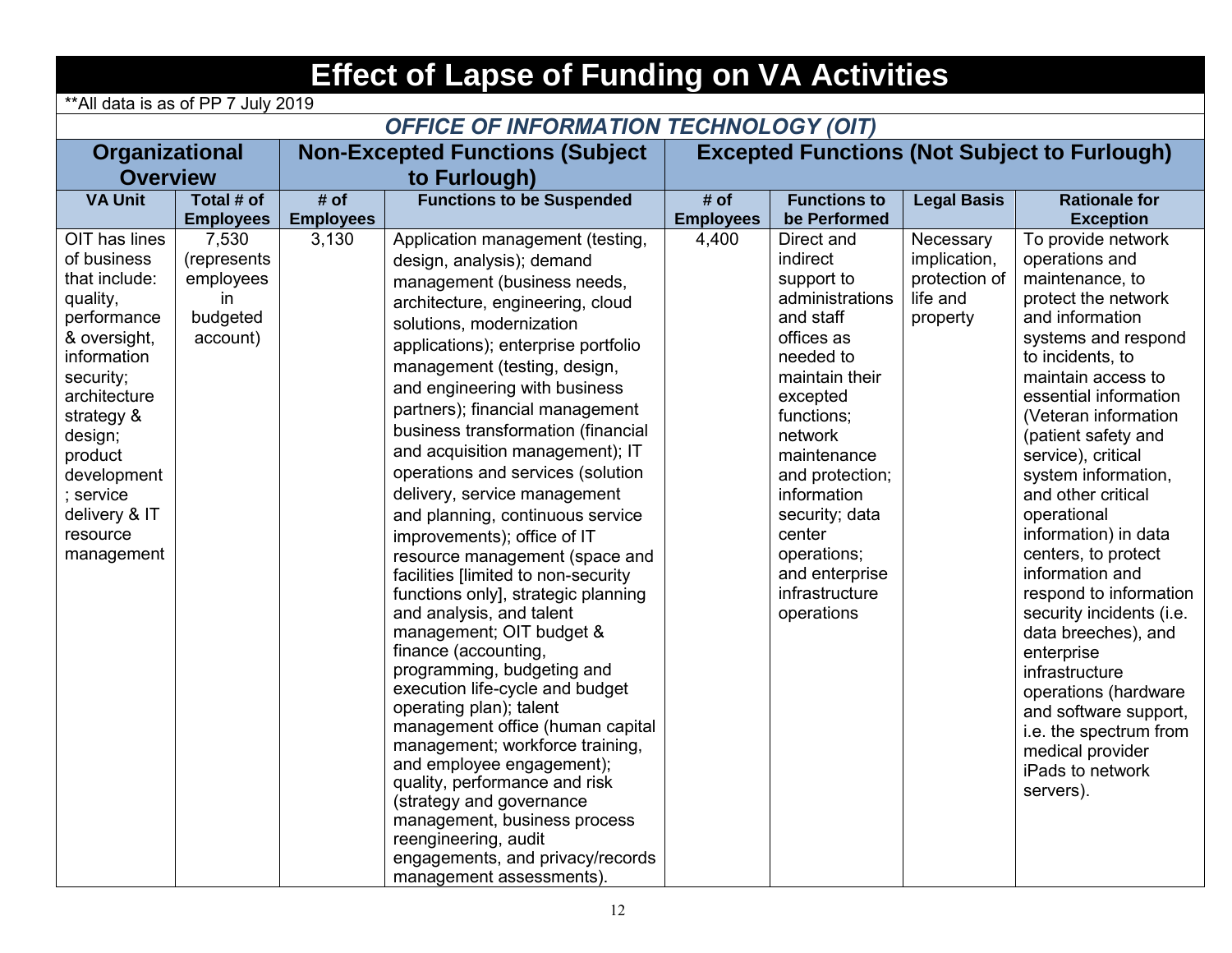| <b>Effect of Lapse of Funding on VA Activities</b>                                                                                                                                                                                              |                                                                  |                  |                                                                                                                                                                                                                                                                                                                                                                                                                                                                                                                                                                                                                                                                                                                                                                                                                                                                                                                                                                                                                                                                                                               |                                                     |                                                                                                                                                                                                                                                                                                      |                                                                    |                                                                                                                                                                                                                                                                                                                                                                                                                                                                                                                                                                                                                                             |  |  |  |  |
|-------------------------------------------------------------------------------------------------------------------------------------------------------------------------------------------------------------------------------------------------|------------------------------------------------------------------|------------------|---------------------------------------------------------------------------------------------------------------------------------------------------------------------------------------------------------------------------------------------------------------------------------------------------------------------------------------------------------------------------------------------------------------------------------------------------------------------------------------------------------------------------------------------------------------------------------------------------------------------------------------------------------------------------------------------------------------------------------------------------------------------------------------------------------------------------------------------------------------------------------------------------------------------------------------------------------------------------------------------------------------------------------------------------------------------------------------------------------------|-----------------------------------------------------|------------------------------------------------------------------------------------------------------------------------------------------------------------------------------------------------------------------------------------------------------------------------------------------------------|--------------------------------------------------------------------|---------------------------------------------------------------------------------------------------------------------------------------------------------------------------------------------------------------------------------------------------------------------------------------------------------------------------------------------------------------------------------------------------------------------------------------------------------------------------------------------------------------------------------------------------------------------------------------------------------------------------------------------|--|--|--|--|
| ** All data is as of PP 7 July 2019                                                                                                                                                                                                             |                                                                  |                  |                                                                                                                                                                                                                                                                                                                                                                                                                                                                                                                                                                                                                                                                                                                                                                                                                                                                                                                                                                                                                                                                                                               |                                                     |                                                                                                                                                                                                                                                                                                      |                                                                    |                                                                                                                                                                                                                                                                                                                                                                                                                                                                                                                                                                                                                                             |  |  |  |  |
|                                                                                                                                                                                                                                                 | <b>OFFICE OF INFORMATION TECHNOLOGY (OIT)</b>                    |                  |                                                                                                                                                                                                                                                                                                                                                                                                                                                                                                                                                                                                                                                                                                                                                                                                                                                                                                                                                                                                                                                                                                               |                                                     |                                                                                                                                                                                                                                                                                                      |                                                                    |                                                                                                                                                                                                                                                                                                                                                                                                                                                                                                                                                                                                                                             |  |  |  |  |
| Organizational                                                                                                                                                                                                                                  |                                                                  |                  | <b>Non-Excepted Functions (Subject</b>                                                                                                                                                                                                                                                                                                                                                                                                                                                                                                                                                                                                                                                                                                                                                                                                                                                                                                                                                                                                                                                                        | <b>Excepted Functions (Not Subject to Furlough)</b> |                                                                                                                                                                                                                                                                                                      |                                                                    |                                                                                                                                                                                                                                                                                                                                                                                                                                                                                                                                                                                                                                             |  |  |  |  |
| <b>Overview</b>                                                                                                                                                                                                                                 |                                                                  |                  | to Furlough)                                                                                                                                                                                                                                                                                                                                                                                                                                                                                                                                                                                                                                                                                                                                                                                                                                                                                                                                                                                                                                                                                                  |                                                     |                                                                                                                                                                                                                                                                                                      |                                                                    |                                                                                                                                                                                                                                                                                                                                                                                                                                                                                                                                                                                                                                             |  |  |  |  |
| <b>VA Unit</b>                                                                                                                                                                                                                                  | Total # of                                                       | # of             | <b>Functions to be Suspended</b>                                                                                                                                                                                                                                                                                                                                                                                                                                                                                                                                                                                                                                                                                                                                                                                                                                                                                                                                                                                                                                                                              | # of                                                | <b>Functions to</b>                                                                                                                                                                                                                                                                                  | <b>Legal Basis</b>                                                 | <b>Rationale for</b>                                                                                                                                                                                                                                                                                                                                                                                                                                                                                                                                                                                                                        |  |  |  |  |
|                                                                                                                                                                                                                                                 | <b>Employees</b>                                                 | <b>Employees</b> |                                                                                                                                                                                                                                                                                                                                                                                                                                                                                                                                                                                                                                                                                                                                                                                                                                                                                                                                                                                                                                                                                                               | <b>Employees</b>                                    | be Performed                                                                                                                                                                                                                                                                                         |                                                                    | <b>Exception</b>                                                                                                                                                                                                                                                                                                                                                                                                                                                                                                                                                                                                                            |  |  |  |  |
| OIT has lines<br>of business<br>that include:<br>quality,<br>performance<br>& oversight,<br>information<br>security;<br>architecture<br>strategy &<br>design;<br>product<br>development<br>; service<br>delivery & IT<br>resource<br>management | 7,530<br>(represents<br>employees<br>in.<br>budgeted<br>account) | 3,130            | Application management (testing,<br>design, analysis); demand<br>management (business needs,<br>architecture, engineering, cloud<br>solutions, modernization<br>applications); enterprise portfolio<br>management (testing, design,<br>and engineering with business<br>partners); financial management<br>business transformation (financial<br>and acquisition management); IT<br>operations and services (solution<br>delivery, service management<br>and planning, continuous service<br>improvements); office of IT<br>resource management (space and<br>facilities [limited to non-security<br>functions only], strategic planning<br>and analysis, and talent<br>management; OIT budget &<br>finance (accounting,<br>programming, budgeting and<br>execution life-cycle and budget<br>operating plan); talent<br>management office (human capital<br>management; workforce training,<br>and employee engagement);<br>quality, performance and risk<br>(strategy and governance<br>management, business process<br>reengineering, audit<br>engagements, and privacy/records<br>management assessments). | 4,400                                               | Direct and<br>indirect<br>support to<br>administrations<br>and staff<br>offices as<br>needed to<br>maintain their<br>excepted<br>functions;<br>network<br>maintenance<br>and protection;<br>information<br>security; data<br>center<br>operations;<br>and enterprise<br>infrastructure<br>operations | Necessary<br>implication,<br>protection of<br>life and<br>property | To provide network<br>operations and<br>maintenance, to<br>protect the network<br>and information<br>systems and respond<br>to incidents, to<br>maintain access to<br>essential information<br>(Veteran information<br>(patient safety and<br>service), critical<br>system information,<br>and other critical<br>operational<br>information) in data<br>centers, to protect<br>information and<br>respond to information<br>security incidents (i.e.<br>data breeches), and<br>enterprise<br>infrastructure<br>operations (hardware<br>and software support,<br>i.e. the spectrum from<br>medical provider<br>iPads to network<br>servers). |  |  |  |  |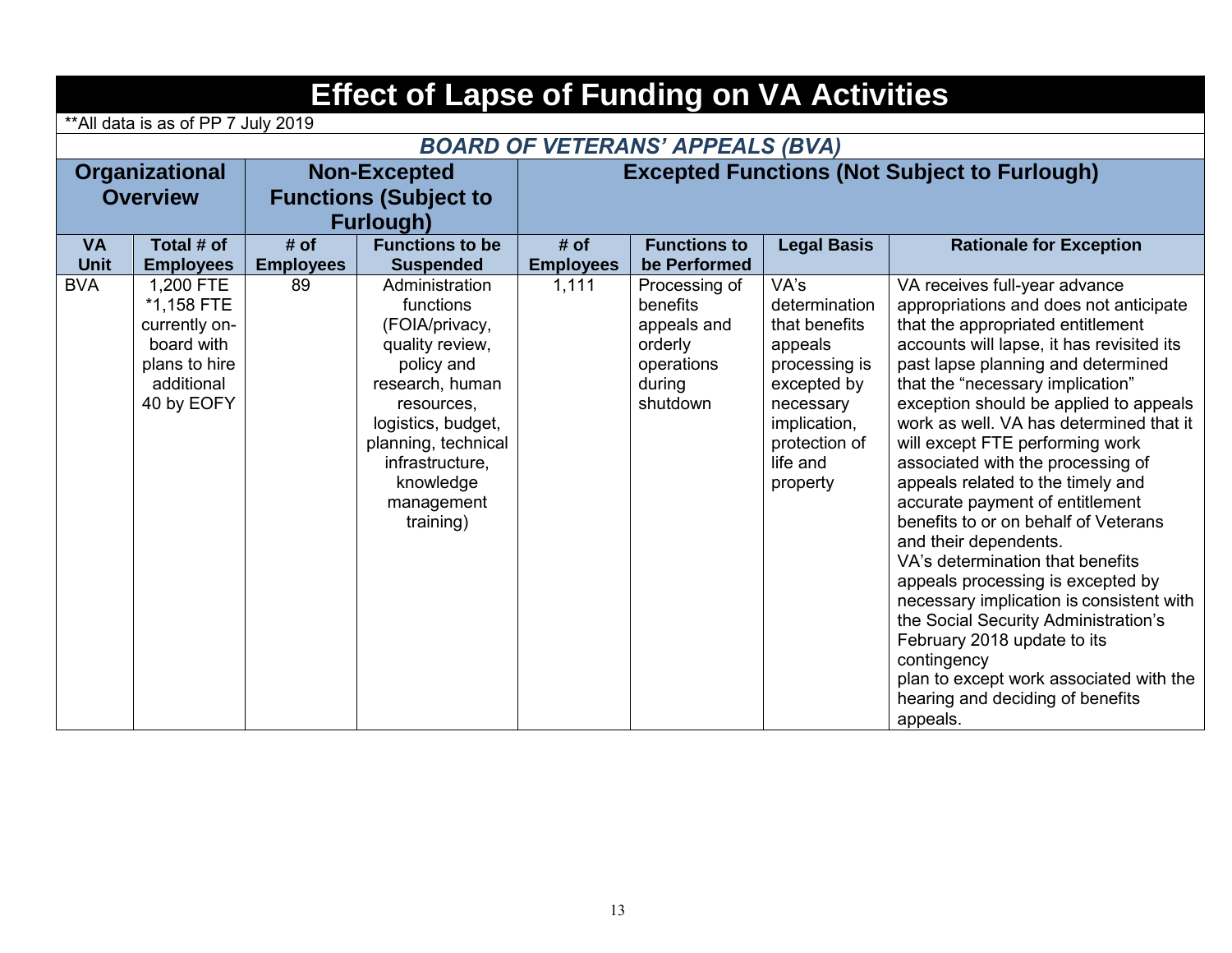|                          | <b>Effect of Lapse of Funding on VA Activities</b>                                                  |                          |                                                                                                                                                                                                                         |                          |                                                                                         |                                                                                                                                                         |                                                                                                                                                                                                                                                                                                                                                                                                                                                                                                                                                                                                                                                                                                                                                                                                                                                 |  |  |  |  |
|--------------------------|-----------------------------------------------------------------------------------------------------|--------------------------|-------------------------------------------------------------------------------------------------------------------------------------------------------------------------------------------------------------------------|--------------------------|-----------------------------------------------------------------------------------------|---------------------------------------------------------------------------------------------------------------------------------------------------------|-------------------------------------------------------------------------------------------------------------------------------------------------------------------------------------------------------------------------------------------------------------------------------------------------------------------------------------------------------------------------------------------------------------------------------------------------------------------------------------------------------------------------------------------------------------------------------------------------------------------------------------------------------------------------------------------------------------------------------------------------------------------------------------------------------------------------------------------------|--|--|--|--|
|                          | **All data is as of PP 7 July 2019                                                                  |                          |                                                                                                                                                                                                                         |                          |                                                                                         |                                                                                                                                                         |                                                                                                                                                                                                                                                                                                                                                                                                                                                                                                                                                                                                                                                                                                                                                                                                                                                 |  |  |  |  |
|                          | <b>BOARD OF VETERANS' APPEALS (BVA)</b>                                                             |                          |                                                                                                                                                                                                                         |                          |                                                                                         |                                                                                                                                                         |                                                                                                                                                                                                                                                                                                                                                                                                                                                                                                                                                                                                                                                                                                                                                                                                                                                 |  |  |  |  |
|                          | <b>Organizational</b>                                                                               |                          | <b>Non-Excepted</b>                                                                                                                                                                                                     |                          | <b>Excepted Functions (Not Subject to Furlough)</b>                                     |                                                                                                                                                         |                                                                                                                                                                                                                                                                                                                                                                                                                                                                                                                                                                                                                                                                                                                                                                                                                                                 |  |  |  |  |
|                          | <b>Overview</b>                                                                                     |                          | <b>Functions (Subject to</b>                                                                                                                                                                                            |                          |                                                                                         |                                                                                                                                                         |                                                                                                                                                                                                                                                                                                                                                                                                                                                                                                                                                                                                                                                                                                                                                                                                                                                 |  |  |  |  |
|                          |                                                                                                     |                          | <b>Furlough)</b>                                                                                                                                                                                                        |                          |                                                                                         |                                                                                                                                                         |                                                                                                                                                                                                                                                                                                                                                                                                                                                                                                                                                                                                                                                                                                                                                                                                                                                 |  |  |  |  |
| <b>VA</b><br><b>Unit</b> | Total # of<br><b>Employees</b>                                                                      | # of<br><b>Employees</b> | <b>Functions to be</b><br><b>Suspended</b>                                                                                                                                                                              | # of<br><b>Employees</b> | <b>Functions to</b><br>be Performed                                                     | <b>Legal Basis</b>                                                                                                                                      | <b>Rationale for Exception</b>                                                                                                                                                                                                                                                                                                                                                                                                                                                                                                                                                                                                                                                                                                                                                                                                                  |  |  |  |  |
| <b>BVA</b>               | 1,200 FTE<br>*1,158 FTE<br>currently on-<br>board with<br>plans to hire<br>additional<br>40 by EOFY | 89                       | Administration<br>functions<br>(FOIA/privacy,<br>quality review,<br>policy and<br>research, human<br>resources,<br>logistics, budget,<br>planning, technical<br>infrastructure,<br>knowledge<br>management<br>training) | 1,111                    | Processing of<br>benefits<br>appeals and<br>orderly<br>operations<br>during<br>shutdown | VA's<br>determination<br>that benefits<br>appeals<br>processing is<br>excepted by<br>necessary<br>implication,<br>protection of<br>life and<br>property | VA receives full-year advance<br>appropriations and does not anticipate<br>that the appropriated entitlement<br>accounts will lapse, it has revisited its<br>past lapse planning and determined<br>that the "necessary implication"<br>exception should be applied to appeals<br>work as well. VA has determined that it<br>will except FTE performing work<br>associated with the processing of<br>appeals related to the timely and<br>accurate payment of entitlement<br>benefits to or on behalf of Veterans<br>and their dependents.<br>VA's determination that benefits<br>appeals processing is excepted by<br>necessary implication is consistent with<br>the Social Security Administration's<br>February 2018 update to its<br>contingency<br>plan to except work associated with the<br>hearing and deciding of benefits<br>appeals. |  |  |  |  |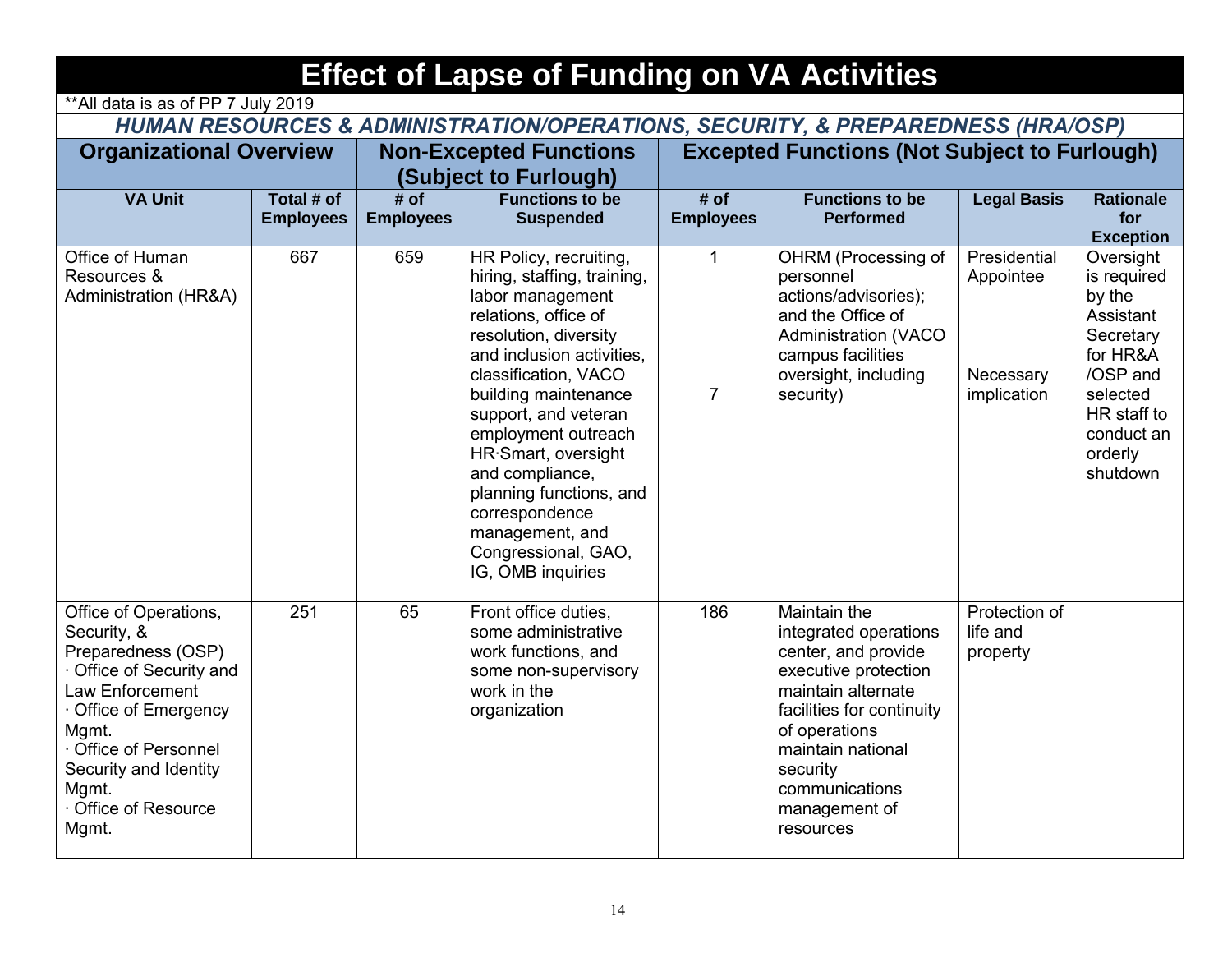| <b>Effect of Lapse of Funding on VA Activities</b>                                                                                                                                                                              |                                                                                                                        |                          |                                                                                                                                                                                                                                                                                                                                                                                                              |                                                     |                                                                                                                                                                                                                                           |                                                       |                                                                                                                                                      |  |  |  |  |  |
|---------------------------------------------------------------------------------------------------------------------------------------------------------------------------------------------------------------------------------|------------------------------------------------------------------------------------------------------------------------|--------------------------|--------------------------------------------------------------------------------------------------------------------------------------------------------------------------------------------------------------------------------------------------------------------------------------------------------------------------------------------------------------------------------------------------------------|-----------------------------------------------------|-------------------------------------------------------------------------------------------------------------------------------------------------------------------------------------------------------------------------------------------|-------------------------------------------------------|------------------------------------------------------------------------------------------------------------------------------------------------------|--|--|--|--|--|
|                                                                                                                                                                                                                                 | ** All data is as of PP 7 July 2019<br>HUMAN RESOURCES & ADMINISTRATION/OPERATIONS, SECURITY, & PREPAREDNESS (HRA/OSP) |                          |                                                                                                                                                                                                                                                                                                                                                                                                              |                                                     |                                                                                                                                                                                                                                           |                                                       |                                                                                                                                                      |  |  |  |  |  |
| <b>Organizational Overview</b>                                                                                                                                                                                                  |                                                                                                                        |                          | <b>Non-Excepted Functions</b><br>(Subject to Furlough)                                                                                                                                                                                                                                                                                                                                                       | <b>Excepted Functions (Not Subject to Furlough)</b> |                                                                                                                                                                                                                                           |                                                       |                                                                                                                                                      |  |  |  |  |  |
| <b>VA Unit</b>                                                                                                                                                                                                                  | Total # of<br><b>Employees</b>                                                                                         | # of<br><b>Employees</b> | <b>Functions to be</b><br><b>Suspended</b>                                                                                                                                                                                                                                                                                                                                                                   | # of<br><b>Employees</b>                            | <b>Functions to be</b><br><b>Performed</b>                                                                                                                                                                                                | <b>Legal Basis</b>                                    | <b>Rationale</b><br>for<br><b>Exception</b>                                                                                                          |  |  |  |  |  |
| Office of Human<br>Resources &<br><b>Administration (HR&amp;A)</b>                                                                                                                                                              | 667                                                                                                                    | 659                      | HR Policy, recruiting,<br>hiring, staffing, training,<br>labor management<br>relations, office of<br>resolution, diversity<br>and inclusion activities,<br>classification, VACO<br>building maintenance<br>support, and veteran<br>employment outreach<br>HR.Smart, oversight<br>and compliance,<br>planning functions, and<br>correspondence<br>management, and<br>Congressional, GAO,<br>IG, OMB inquiries | $\mathbf{1}$<br>$\overline{7}$                      | OHRM (Processing of<br>personnel<br>actions/advisories);<br>and the Office of<br><b>Administration (VACO</b><br>campus facilities<br>oversight, including<br>security)                                                                    | Presidential<br>Appointee<br>Necessary<br>implication | Oversight<br>is required<br>by the<br>Assistant<br>Secretary<br>for HR&A<br>/OSP and<br>selected<br>HR staff to<br>conduct an<br>orderly<br>shutdown |  |  |  |  |  |
| Office of Operations,<br>Security, &<br>Preparedness (OSP)<br>Office of Security and<br>Law Enforcement<br>Office of Emergency<br>Mgmt.<br>Office of Personnel<br>Security and Identity<br>Mgmt.<br>Office of Resource<br>Mgmt. | 251                                                                                                                    | 65                       | Front office duties,<br>some administrative<br>work functions, and<br>some non-supervisory<br>work in the<br>organization                                                                                                                                                                                                                                                                                    | 186                                                 | Maintain the<br>integrated operations<br>center, and provide<br>executive protection<br>maintain alternate<br>facilities for continuity<br>of operations<br>maintain national<br>security<br>communications<br>management of<br>resources | Protection of<br>life and<br>property                 |                                                                                                                                                      |  |  |  |  |  |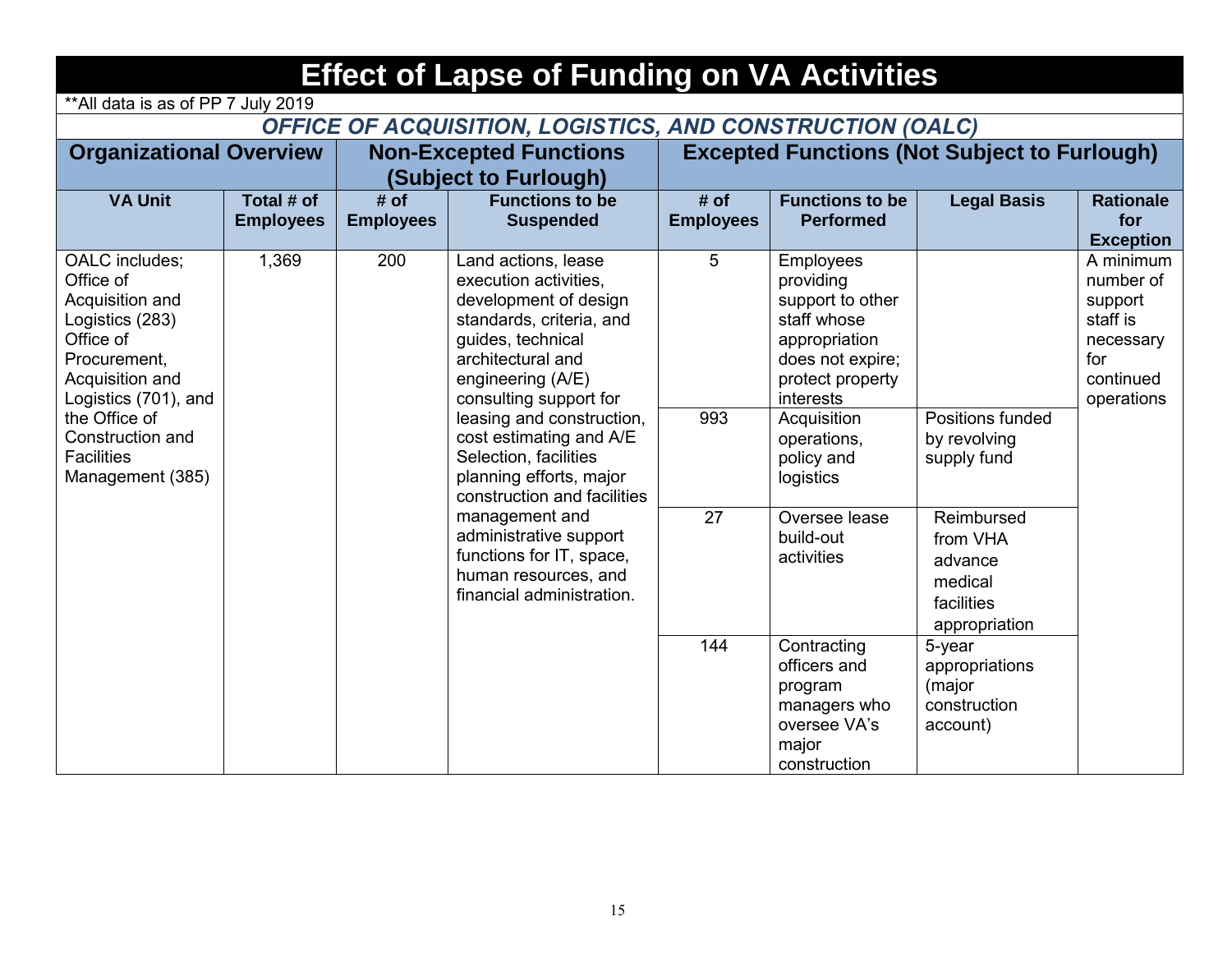| <b>Effect of Lapse of Funding on VA Activities</b>                                                                                                                                                                      |                                                                                                         |                          |                                                                                                                                                                                                                                                                                                                                                                                                                                                                    |                          |                                                                                                                                                                                                                                             |                                                                                                                                |                                                                                              |  |  |  |  |  |
|-------------------------------------------------------------------------------------------------------------------------------------------------------------------------------------------------------------------------|---------------------------------------------------------------------------------------------------------|--------------------------|--------------------------------------------------------------------------------------------------------------------------------------------------------------------------------------------------------------------------------------------------------------------------------------------------------------------------------------------------------------------------------------------------------------------------------------------------------------------|--------------------------|---------------------------------------------------------------------------------------------------------------------------------------------------------------------------------------------------------------------------------------------|--------------------------------------------------------------------------------------------------------------------------------|----------------------------------------------------------------------------------------------|--|--|--|--|--|
|                                                                                                                                                                                                                         | ** All data is as of PP 7 July 2019<br><b>OFFICE OF ACQUISITION, LOGISTICS, AND CONSTRUCTION (OALC)</b> |                          |                                                                                                                                                                                                                                                                                                                                                                                                                                                                    |                          |                                                                                                                                                                                                                                             |                                                                                                                                |                                                                                              |  |  |  |  |  |
| <b>Organizational Overview</b><br><b>Non-Excepted Functions</b>                                                                                                                                                         |                                                                                                         |                          |                                                                                                                                                                                                                                                                                                                                                                                                                                                                    |                          |                                                                                                                                                                                                                                             | <b>Excepted Functions (Not Subject to Furlough)</b>                                                                            |                                                                                              |  |  |  |  |  |
|                                                                                                                                                                                                                         |                                                                                                         |                          | (Subject to Furlough)                                                                                                                                                                                                                                                                                                                                                                                                                                              |                          |                                                                                                                                                                                                                                             |                                                                                                                                |                                                                                              |  |  |  |  |  |
| <b>VA Unit</b>                                                                                                                                                                                                          | Total # of<br><b>Employees</b>                                                                          | # of<br><b>Employees</b> | <b>Functions to be</b><br><b>Suspended</b>                                                                                                                                                                                                                                                                                                                                                                                                                         | # of<br><b>Employees</b> | <b>Functions to be</b><br><b>Performed</b>                                                                                                                                                                                                  | <b>Legal Basis</b>                                                                                                             | <b>Rationale</b><br>for<br><b>Exception</b>                                                  |  |  |  |  |  |
| OALC includes;<br>Office of<br>Acquisition and<br>Logistics (283)<br>Office of<br>Procurement,<br>Acquisition and<br>Logistics (701), and<br>the Office of<br>Construction and<br><b>Facilities</b><br>Management (385) | 1,369                                                                                                   | 200                      | Land actions, lease<br>execution activities,<br>development of design<br>standards, criteria, and<br>guides, technical<br>architectural and<br>engineering (A/E)<br>consulting support for<br>leasing and construction,<br>cost estimating and A/E<br>Selection, facilities<br>planning efforts, major<br>construction and facilities<br>management and<br>administrative support<br>functions for IT, space,<br>human resources, and<br>financial administration. | 5<br>993<br>27           | <b>Employees</b><br>providing<br>support to other<br>staff whose<br>appropriation<br>does not expire;<br>protect property<br>interests<br>Acquisition<br>operations,<br>policy and<br>logistics<br>Oversee lease<br>build-out<br>activities | Positions funded<br>by revolving<br>supply fund<br>Reimbursed<br>from VHA<br>advance<br>medical<br>facilities<br>appropriation | A minimum<br>number of<br>support<br>staff is<br>necessary<br>for<br>continued<br>operations |  |  |  |  |  |
|                                                                                                                                                                                                                         |                                                                                                         |                          |                                                                                                                                                                                                                                                                                                                                                                                                                                                                    | 144                      | Contracting<br>officers and<br>program<br>managers who<br>oversee VA's<br>major<br>construction                                                                                                                                             | $5$ -year<br>appropriations<br>(major<br>construction<br>account)                                                              |                                                                                              |  |  |  |  |  |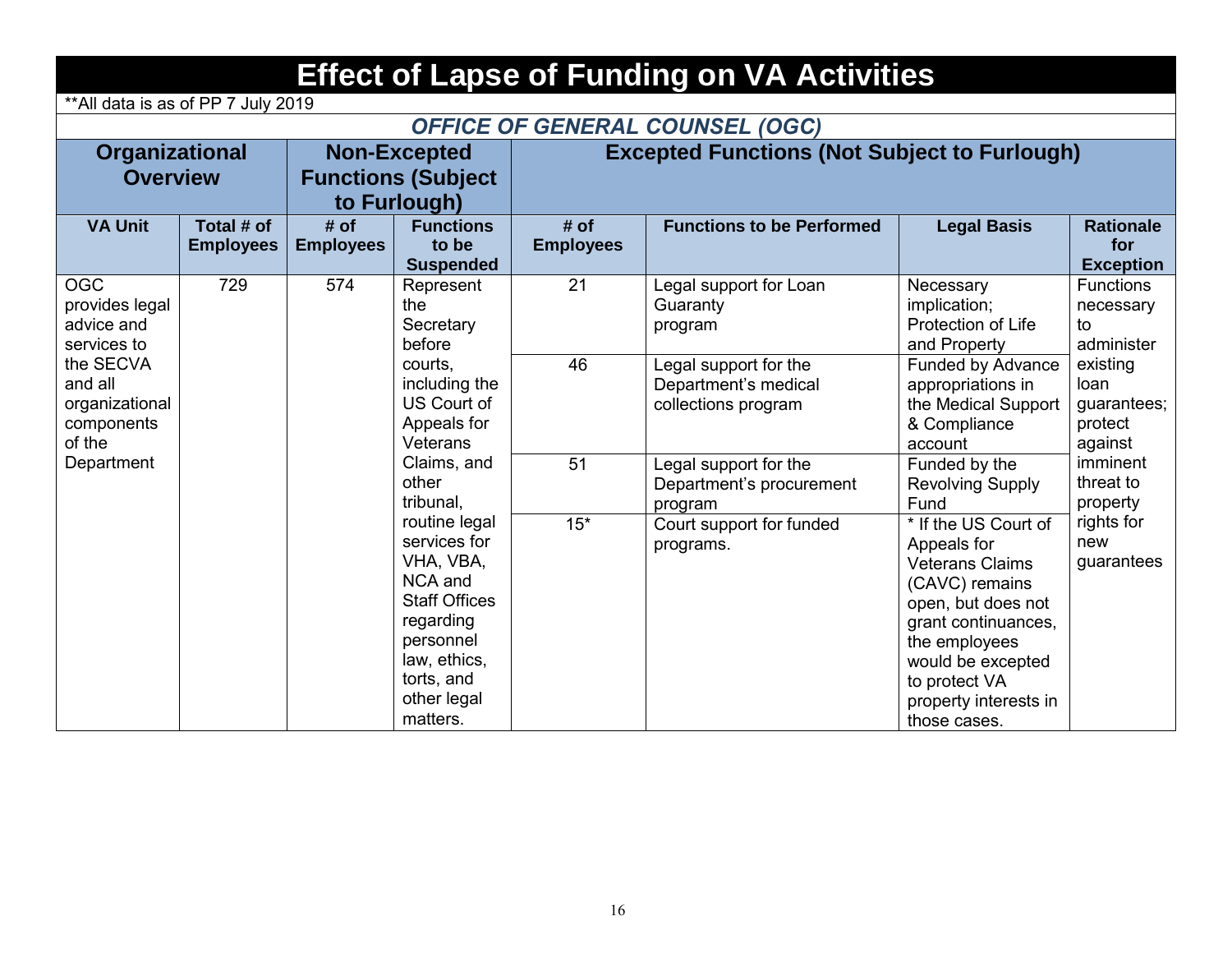|                                                                                                       | <b>Effect of Lapse of Funding on VA Activities</b><br>** All data is as of PP 7 July 2019 |                          |                                                                                                                                                                         |                          |                                                                      |                                                                                                                                                                                                                              |                                                       |  |  |  |  |  |
|-------------------------------------------------------------------------------------------------------|-------------------------------------------------------------------------------------------|--------------------------|-------------------------------------------------------------------------------------------------------------------------------------------------------------------------|--------------------------|----------------------------------------------------------------------|------------------------------------------------------------------------------------------------------------------------------------------------------------------------------------------------------------------------------|-------------------------------------------------------|--|--|--|--|--|
| <b>OFFICE OF GENERAL COUNSEL (OGC)</b>                                                                |                                                                                           |                          |                                                                                                                                                                         |                          |                                                                      |                                                                                                                                                                                                                              |                                                       |  |  |  |  |  |
| Organizational<br><b>Non-Excepted</b><br><b>Overview</b><br><b>Functions (Subject</b><br>to Furlough) |                                                                                           |                          |                                                                                                                                                                         |                          | <b>Excepted Functions (Not Subject to Furlough)</b>                  |                                                                                                                                                                                                                              |                                                       |  |  |  |  |  |
| <b>VA Unit</b>                                                                                        | Total # of<br><b>Employees</b>                                                            | # of<br><b>Employees</b> | <b>Functions</b><br>to be<br><b>Suspended</b>                                                                                                                           | # of<br><b>Employees</b> | <b>Functions to be Performed</b>                                     | <b>Legal Basis</b>                                                                                                                                                                                                           | <b>Rationale</b><br>for<br><b>Exception</b>           |  |  |  |  |  |
| <b>OGC</b><br>provides legal<br>advice and<br>services to                                             | 729                                                                                       | 574                      | Represent<br>the<br>Secretary<br>before                                                                                                                                 | 21                       | Legal support for Loan<br>Guaranty<br>program                        | Necessary<br>implication;<br><b>Protection of Life</b><br>and Property                                                                                                                                                       | <b>Functions</b><br>necessary<br>to<br>administer     |  |  |  |  |  |
| the SECVA<br>and all<br>organizational<br>components<br>of the                                        |                                                                                           |                          | courts.<br>including the<br>US Court of<br>Appeals for<br>Veterans                                                                                                      | 46                       | Legal support for the<br>Department's medical<br>collections program | Funded by Advance<br>appropriations in<br>the Medical Support<br>& Compliance<br>account                                                                                                                                     | existing<br>loan<br>guarantees;<br>protect<br>against |  |  |  |  |  |
| Department                                                                                            |                                                                                           |                          | Claims, and<br>other<br>tribunal.                                                                                                                                       | 51                       | Legal support for the<br>Department's procurement<br>program         | Funded by the<br><b>Revolving Supply</b><br>Fund                                                                                                                                                                             | imminent<br>threat to<br>property                     |  |  |  |  |  |
|                                                                                                       |                                                                                           |                          | routine legal<br>services for<br>VHA, VBA,<br><b>NCA</b> and<br><b>Staff Offices</b><br>regarding<br>personnel<br>law, ethics,<br>torts, and<br>other legal<br>matters. | $15*$                    | Court support for funded<br>programs.                                | * If the US Court of<br>Appeals for<br><b>Veterans Claims</b><br>(CAVC) remains<br>open, but does not<br>grant continuances,<br>the employees<br>would be excepted<br>to protect VA<br>property interests in<br>those cases. | rights for<br>new<br>guarantees                       |  |  |  |  |  |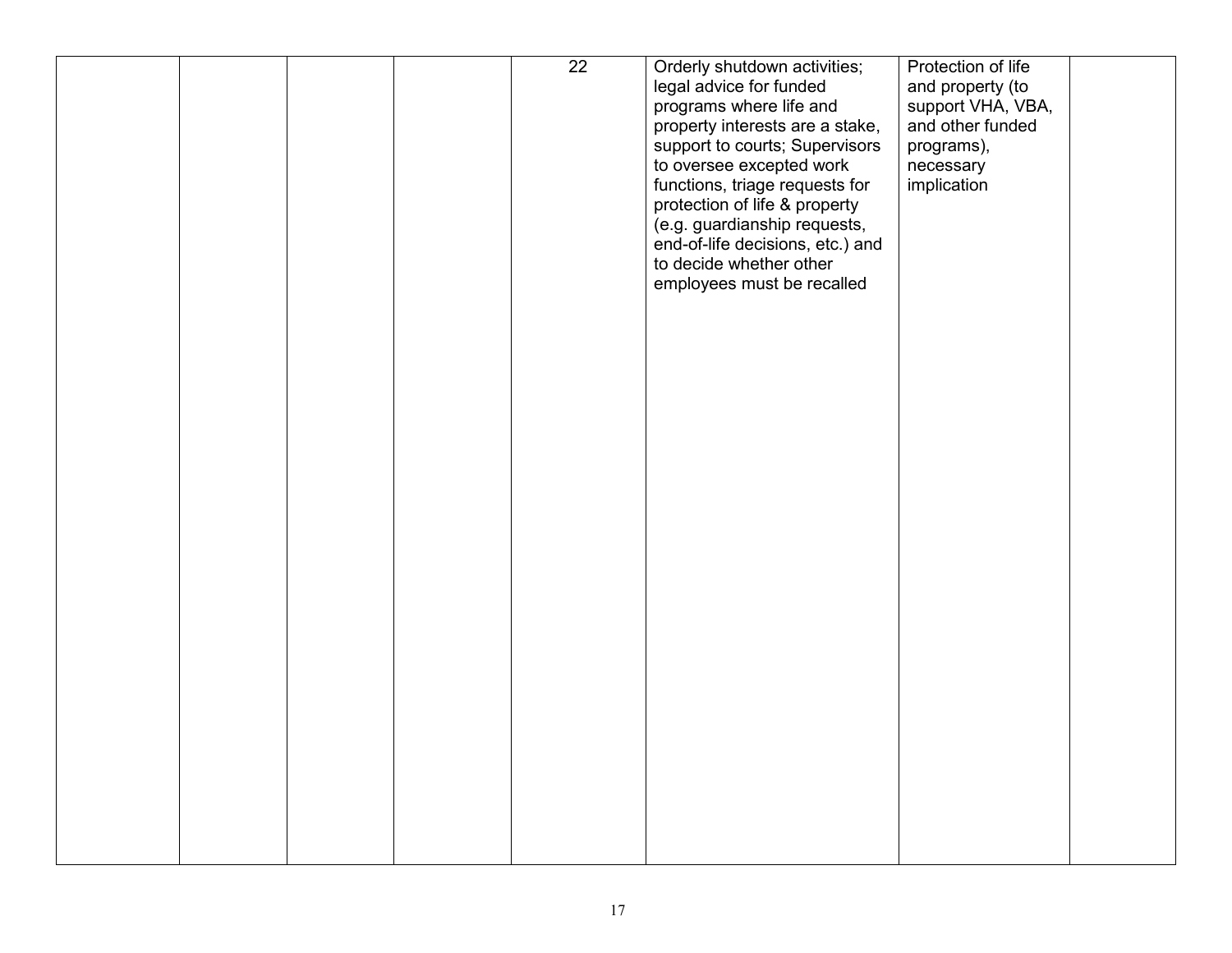|  |  | $\overline{22}$ | Orderly shutdown activities;     | Protection of life |  |
|--|--|-----------------|----------------------------------|--------------------|--|
|  |  |                 | legal advice for funded          | and property (to   |  |
|  |  |                 | programs where life and          | support VHA, VBA,  |  |
|  |  |                 | property interests are a stake,  | and other funded   |  |
|  |  |                 |                                  |                    |  |
|  |  |                 | support to courts; Supervisors   | programs),         |  |
|  |  |                 | to oversee excepted work         | necessary          |  |
|  |  |                 | functions, triage requests for   | implication        |  |
|  |  |                 | protection of life & property    |                    |  |
|  |  |                 | (e.g. guardianship requests,     |                    |  |
|  |  |                 | end-of-life decisions, etc.) and |                    |  |
|  |  |                 | to decide whether other          |                    |  |
|  |  |                 | employees must be recalled       |                    |  |
|  |  |                 |                                  |                    |  |
|  |  |                 |                                  |                    |  |
|  |  |                 |                                  |                    |  |
|  |  |                 |                                  |                    |  |
|  |  |                 |                                  |                    |  |
|  |  |                 |                                  |                    |  |
|  |  |                 |                                  |                    |  |
|  |  |                 |                                  |                    |  |
|  |  |                 |                                  |                    |  |
|  |  |                 |                                  |                    |  |
|  |  |                 |                                  |                    |  |
|  |  |                 |                                  |                    |  |
|  |  |                 |                                  |                    |  |
|  |  |                 |                                  |                    |  |
|  |  |                 |                                  |                    |  |
|  |  |                 |                                  |                    |  |
|  |  |                 |                                  |                    |  |
|  |  |                 |                                  |                    |  |
|  |  |                 |                                  |                    |  |
|  |  |                 |                                  |                    |  |
|  |  |                 |                                  |                    |  |
|  |  |                 |                                  |                    |  |
|  |  |                 |                                  |                    |  |
|  |  |                 |                                  |                    |  |
|  |  |                 |                                  |                    |  |
|  |  |                 |                                  |                    |  |
|  |  |                 |                                  |                    |  |
|  |  |                 |                                  |                    |  |
|  |  |                 |                                  |                    |  |
|  |  |                 |                                  |                    |  |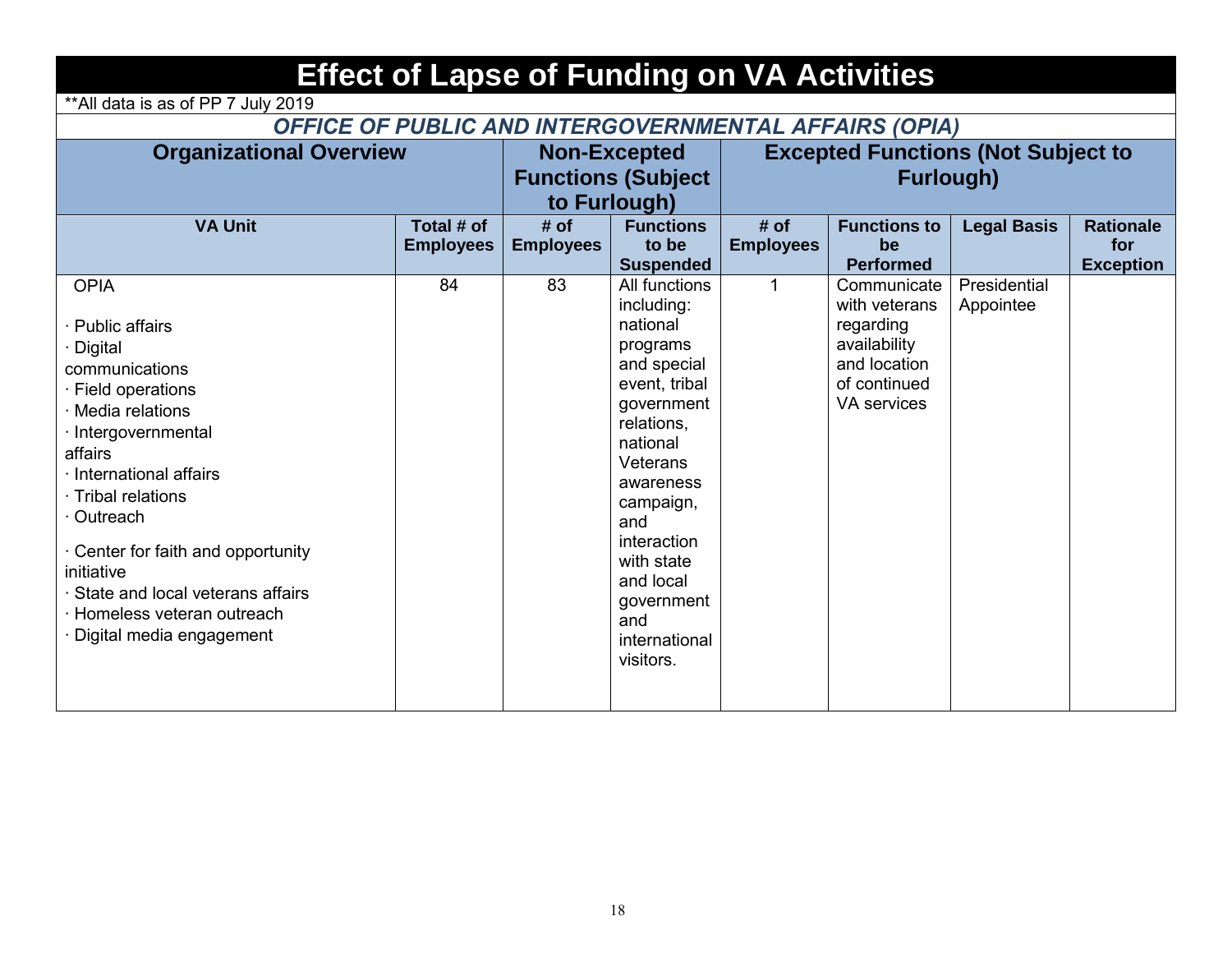| <b>Effect of Lapse of Funding on VA Activities</b>                                                                                                                                                                                                                                                                                                                            |                                                                  |                          |                                                                                                                                                                                                                                                                       |                          |                                                                                                                 |                           |                                             |  |  |  |  |
|-------------------------------------------------------------------------------------------------------------------------------------------------------------------------------------------------------------------------------------------------------------------------------------------------------------------------------------------------------------------------------|------------------------------------------------------------------|--------------------------|-----------------------------------------------------------------------------------------------------------------------------------------------------------------------------------------------------------------------------------------------------------------------|--------------------------|-----------------------------------------------------------------------------------------------------------------|---------------------------|---------------------------------------------|--|--|--|--|
| ** All data is as of PP 7 July 2019                                                                                                                                                                                                                                                                                                                                           |                                                                  |                          |                                                                                                                                                                                                                                                                       |                          |                                                                                                                 |                           |                                             |  |  |  |  |
| OFFICE OF PUBLIC AND INTERGOVERNMENTAL AFFAIRS (OPIA)                                                                                                                                                                                                                                                                                                                         |                                                                  |                          |                                                                                                                                                                                                                                                                       |                          |                                                                                                                 |                           |                                             |  |  |  |  |
| <b>Organizational Overview</b>                                                                                                                                                                                                                                                                                                                                                | <b>Non-Excepted</b><br><b>Functions (Subject</b><br>to Furlough) |                          | <b>Excepted Functions (Not Subject to</b><br><b>Furlough)</b>                                                                                                                                                                                                         |                          |                                                                                                                 |                           |                                             |  |  |  |  |
| <b>VA Unit</b>                                                                                                                                                                                                                                                                                                                                                                | Total # of<br><b>Employees</b>                                   | # of<br><b>Employees</b> | <b>Functions</b><br>to be<br><b>Suspended</b>                                                                                                                                                                                                                         | # of<br><b>Employees</b> | <b>Functions to</b><br>be<br><b>Performed</b>                                                                   | <b>Legal Basis</b>        | <b>Rationale</b><br>for<br><b>Exception</b> |  |  |  |  |
| <b>OPIA</b><br>· Public affairs<br>· Digital<br>communications<br>$\cdot$ Field operations<br>· Media relations<br>· Intergovernmental<br>affairs<br>· International affairs<br>· Tribal relations<br>· Outreach<br>$\cdot$ Center for faith and opportunity<br>initiative<br>· State and local veterans affairs<br>· Homeless veteran outreach<br>· Digital media engagement | 84                                                               | 83                       | All functions<br>including:<br>national<br>programs<br>and special<br>event, tribal<br>government<br>relations,<br>national<br>Veterans<br>awareness<br>campaign,<br>and<br>interaction<br>with state<br>and local<br>government<br>and<br>international<br>visitors. | 1                        | Communicate<br>with veterans<br>regarding<br>availability<br>and location<br>of continued<br><b>VA</b> services | Presidential<br>Appointee |                                             |  |  |  |  |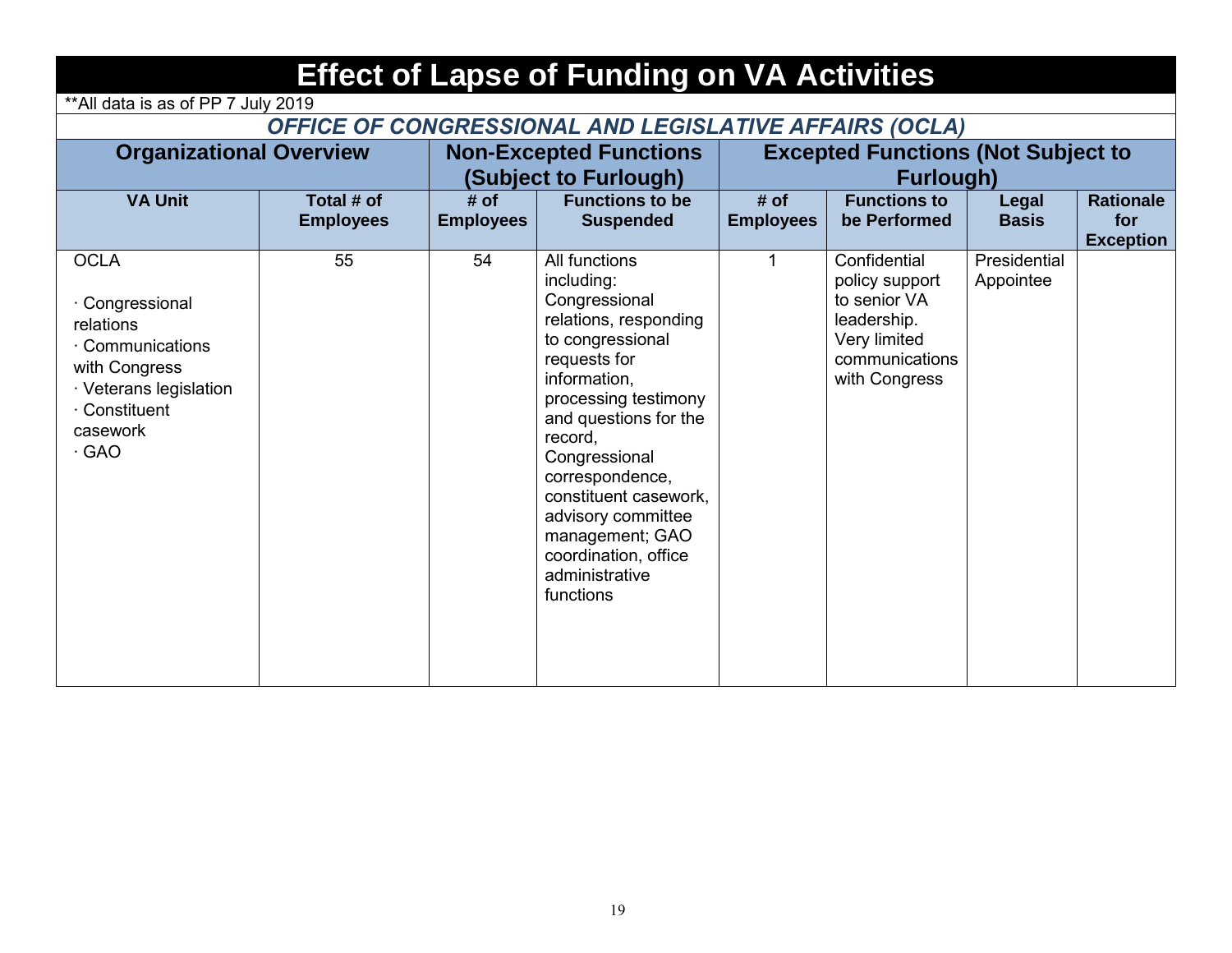| <b>Effect of Lapse of Funding on VA Activities</b>                                                                                                     |                                |                          |                                                                                                                                                                                                                                                                                                                                                    |                          |                                                                                                                  |                           |                                             |  |  |  |  |
|--------------------------------------------------------------------------------------------------------------------------------------------------------|--------------------------------|--------------------------|----------------------------------------------------------------------------------------------------------------------------------------------------------------------------------------------------------------------------------------------------------------------------------------------------------------------------------------------------|--------------------------|------------------------------------------------------------------------------------------------------------------|---------------------------|---------------------------------------------|--|--|--|--|
| ** All data is as of PP 7 July 2019                                                                                                                    |                                |                          |                                                                                                                                                                                                                                                                                                                                                    |                          |                                                                                                                  |                           |                                             |  |  |  |  |
| OFFICE OF CONGRESSIONAL AND LEGISLATIVE AFFAIRS (OCLA)                                                                                                 |                                |                          |                                                                                                                                                                                                                                                                                                                                                    |                          |                                                                                                                  |                           |                                             |  |  |  |  |
| <b>Organizational Overview</b>                                                                                                                         |                                |                          | <b>Non-Excepted Functions</b><br>(Subject to Furlough)                                                                                                                                                                                                                                                                                             |                          | <b>Excepted Functions (Not Subject to</b><br><b>Furlough)</b>                                                    |                           |                                             |  |  |  |  |
| <b>VA Unit</b>                                                                                                                                         | Total # of<br><b>Employees</b> | # of<br><b>Employees</b> | <b>Functions to be</b><br><b>Suspended</b>                                                                                                                                                                                                                                                                                                         | # of<br><b>Employees</b> | <b>Functions to</b><br>be Performed                                                                              | Legal<br><b>Basis</b>     | <b>Rationale</b><br>for<br><b>Exception</b> |  |  |  |  |
| <b>OCLA</b><br>· Congressional<br>relations<br>· Communications<br>with Congress<br>· Veterans legislation<br>· Constituent<br>casework<br>$\cdot$ GAO | 55                             | 54                       | All functions<br>including:<br>Congressional<br>relations, responding<br>to congressional<br>requests for<br>information.<br>processing testimony<br>and questions for the<br>record,<br>Congressional<br>correspondence,<br>constituent casework.<br>advisory committee<br>management; GAO<br>coordination, office<br>administrative<br>functions | 1                        | Confidential<br>policy support<br>to senior VA<br>leadership.<br>Very limited<br>communications<br>with Congress | Presidential<br>Appointee |                                             |  |  |  |  |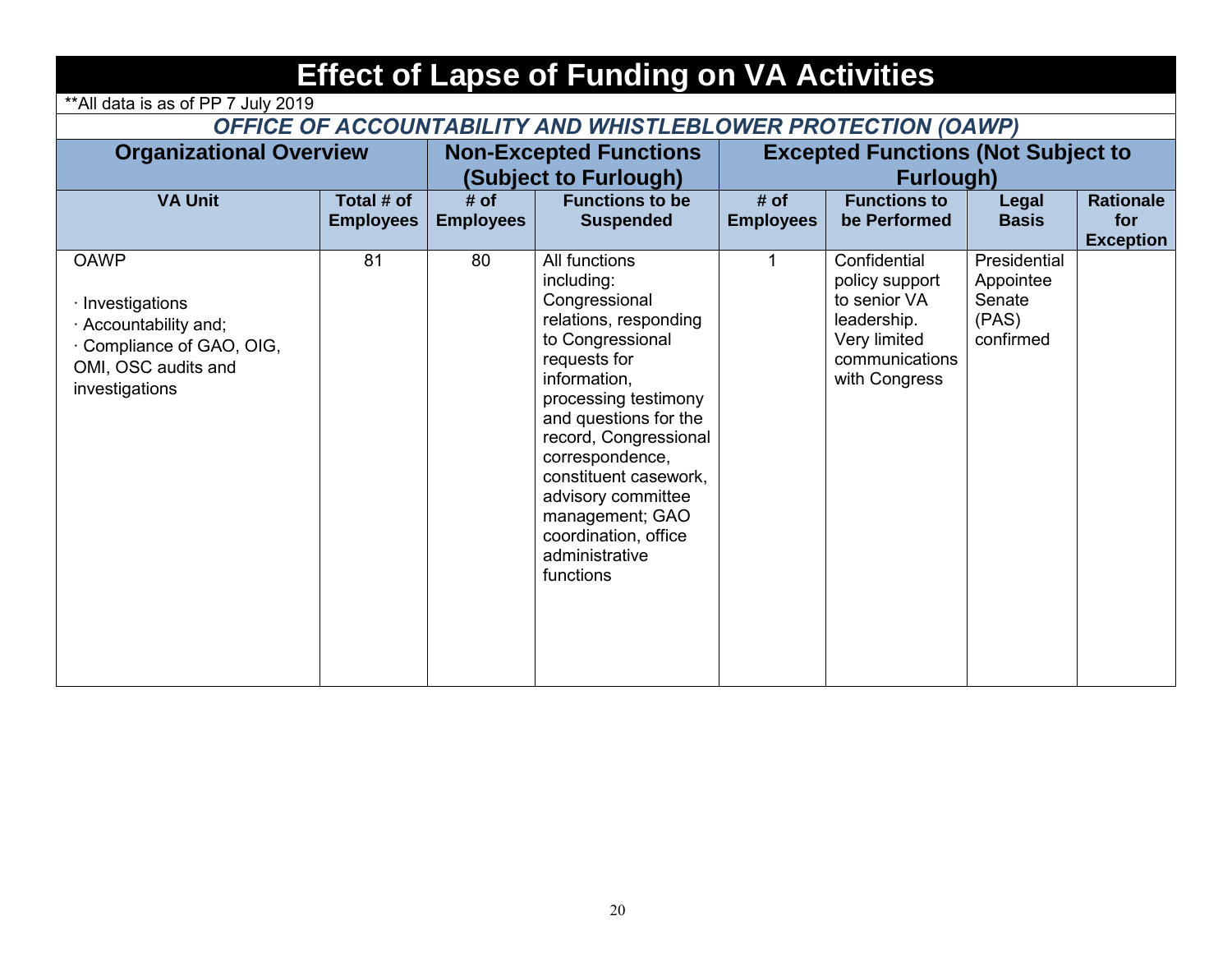| <b>Effect of Lapse of Funding on VA Activities</b>                                                                           |                                |                          |                                                                                                                                                                                                                                                                                                                                                 |                          |                                                                                                                  |                                                           |                                             |  |  |  |  |
|------------------------------------------------------------------------------------------------------------------------------|--------------------------------|--------------------------|-------------------------------------------------------------------------------------------------------------------------------------------------------------------------------------------------------------------------------------------------------------------------------------------------------------------------------------------------|--------------------------|------------------------------------------------------------------------------------------------------------------|-----------------------------------------------------------|---------------------------------------------|--|--|--|--|
| ** All data is as of PP 7 July 2019                                                                                          |                                |                          |                                                                                                                                                                                                                                                                                                                                                 |                          |                                                                                                                  |                                                           |                                             |  |  |  |  |
| OFFICE OF ACCOUNTABILITY AND WHISTLEBLOWER PROTECTION (OAWP)                                                                 |                                |                          |                                                                                                                                                                                                                                                                                                                                                 |                          |                                                                                                                  |                                                           |                                             |  |  |  |  |
| <b>Organizational Overview</b>                                                                                               |                                |                          | <b>Non-Excepted Functions</b><br>(Subject to Furlough)                                                                                                                                                                                                                                                                                          |                          | <b>Excepted Functions (Not Subject to</b><br>Furlough)                                                           |                                                           |                                             |  |  |  |  |
| <b>VA Unit</b>                                                                                                               | Total # of<br><b>Employees</b> | # of<br><b>Employees</b> | <b>Functions to be</b><br><b>Suspended</b>                                                                                                                                                                                                                                                                                                      | # of<br><b>Employees</b> | <b>Functions to</b><br>be Performed                                                                              | Legal<br><b>Basis</b>                                     | <b>Rationale</b><br>for<br><b>Exception</b> |  |  |  |  |
| <b>OAWP</b><br>· Investigations<br>· Accountability and;<br>Compliance of GAO, OIG,<br>OMI, OSC audits and<br>investigations | 81                             | 80                       | All functions<br>including:<br>Congressional<br>relations, responding<br>to Congressional<br>requests for<br>information,<br>processing testimony<br>and questions for the<br>record, Congressional<br>correspondence,<br>constituent casework.<br>advisory committee<br>management; GAO<br>coordination, office<br>administrative<br>functions | 1                        | Confidential<br>policy support<br>to senior VA<br>leadership.<br>Very limited<br>communications<br>with Congress | Presidential<br>Appointee<br>Senate<br>(PAS)<br>confirmed |                                             |  |  |  |  |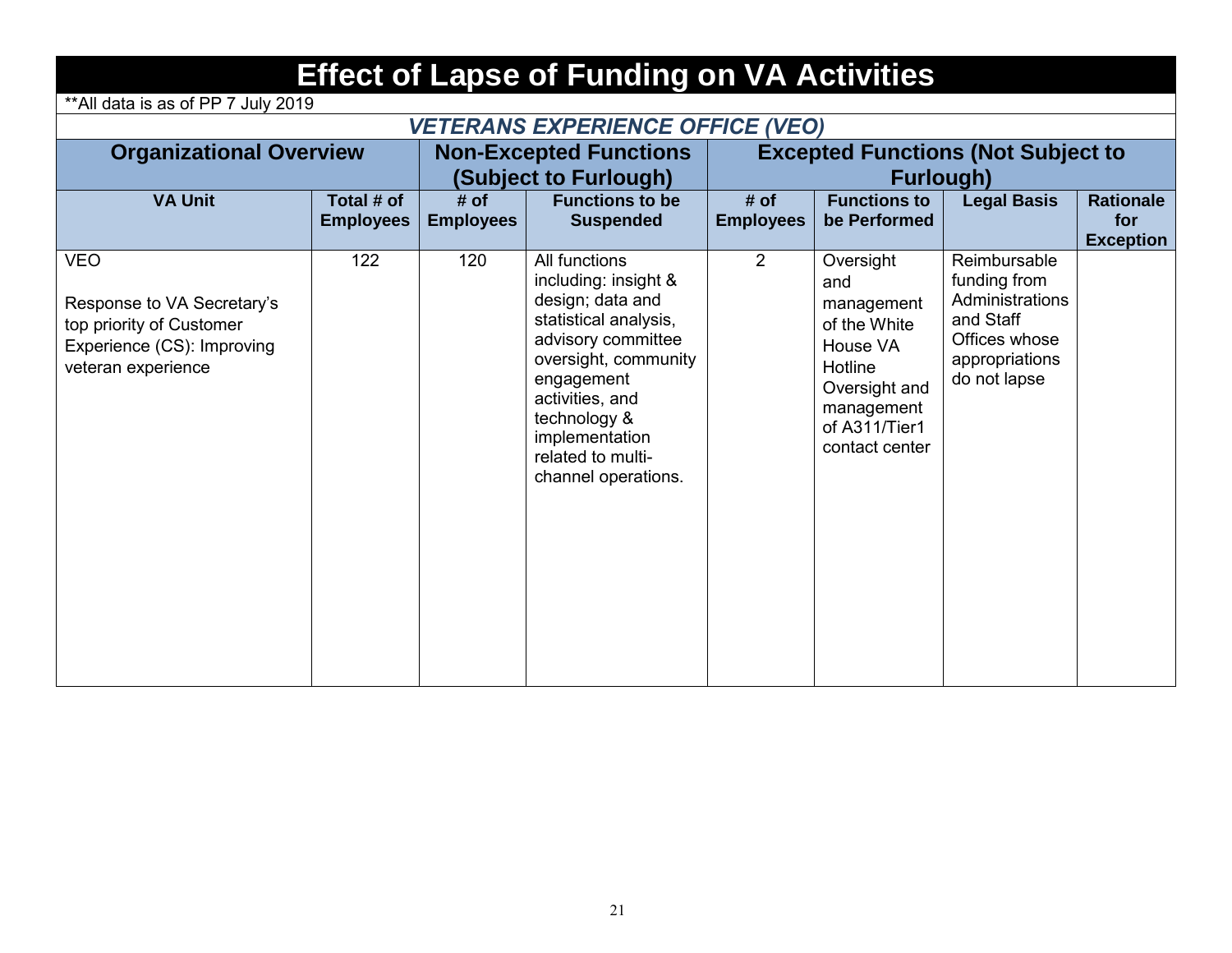| <b>Effect of Lapse of Funding on VA Activities</b><br>** All data is as of PP 7 July 2019                                |                                |                          |                                                                                                                                                                                                                                                 |                                                               |                                                                                                                                         |                                                                                                                 |                                             |  |  |  |  |  |
|--------------------------------------------------------------------------------------------------------------------------|--------------------------------|--------------------------|-------------------------------------------------------------------------------------------------------------------------------------------------------------------------------------------------------------------------------------------------|---------------------------------------------------------------|-----------------------------------------------------------------------------------------------------------------------------------------|-----------------------------------------------------------------------------------------------------------------|---------------------------------------------|--|--|--|--|--|
| <b>VETERANS EXPERIENCE OFFICE (VEO)</b>                                                                                  |                                |                          |                                                                                                                                                                                                                                                 |                                                               |                                                                                                                                         |                                                                                                                 |                                             |  |  |  |  |  |
| <b>Organizational Overview</b>                                                                                           |                                |                          | <b>Non-Excepted Functions</b><br>(Subject to Furlough)                                                                                                                                                                                          | <b>Excepted Functions (Not Subject to</b><br><b>Furlough)</b> |                                                                                                                                         |                                                                                                                 |                                             |  |  |  |  |  |
| <b>VA Unit</b>                                                                                                           | Total # of<br><b>Employees</b> | # of<br><b>Employees</b> | <b>Functions to be</b><br><b>Suspended</b>                                                                                                                                                                                                      | # of<br><b>Employees</b>                                      | <b>Functions to</b><br>be Performed                                                                                                     | <b>Legal Basis</b>                                                                                              | <b>Rationale</b><br>for<br><b>Exception</b> |  |  |  |  |  |
| <b>VEO</b><br>Response to VA Secretary's<br>top priority of Customer<br>Experience (CS): Improving<br>veteran experience | 122                            | 120                      | All functions<br>including: insight &<br>design; data and<br>statistical analysis,<br>advisory committee<br>oversight, community<br>engagement<br>activities, and<br>technology &<br>implementation<br>related to multi-<br>channel operations. | $\overline{2}$                                                | Oversight<br>and<br>management<br>of the White<br>House VA<br>Hotline<br>Oversight and<br>management<br>of A311/Tier1<br>contact center | Reimbursable<br>funding from<br>Administrations<br>and Staff<br>Offices whose<br>appropriations<br>do not lapse |                                             |  |  |  |  |  |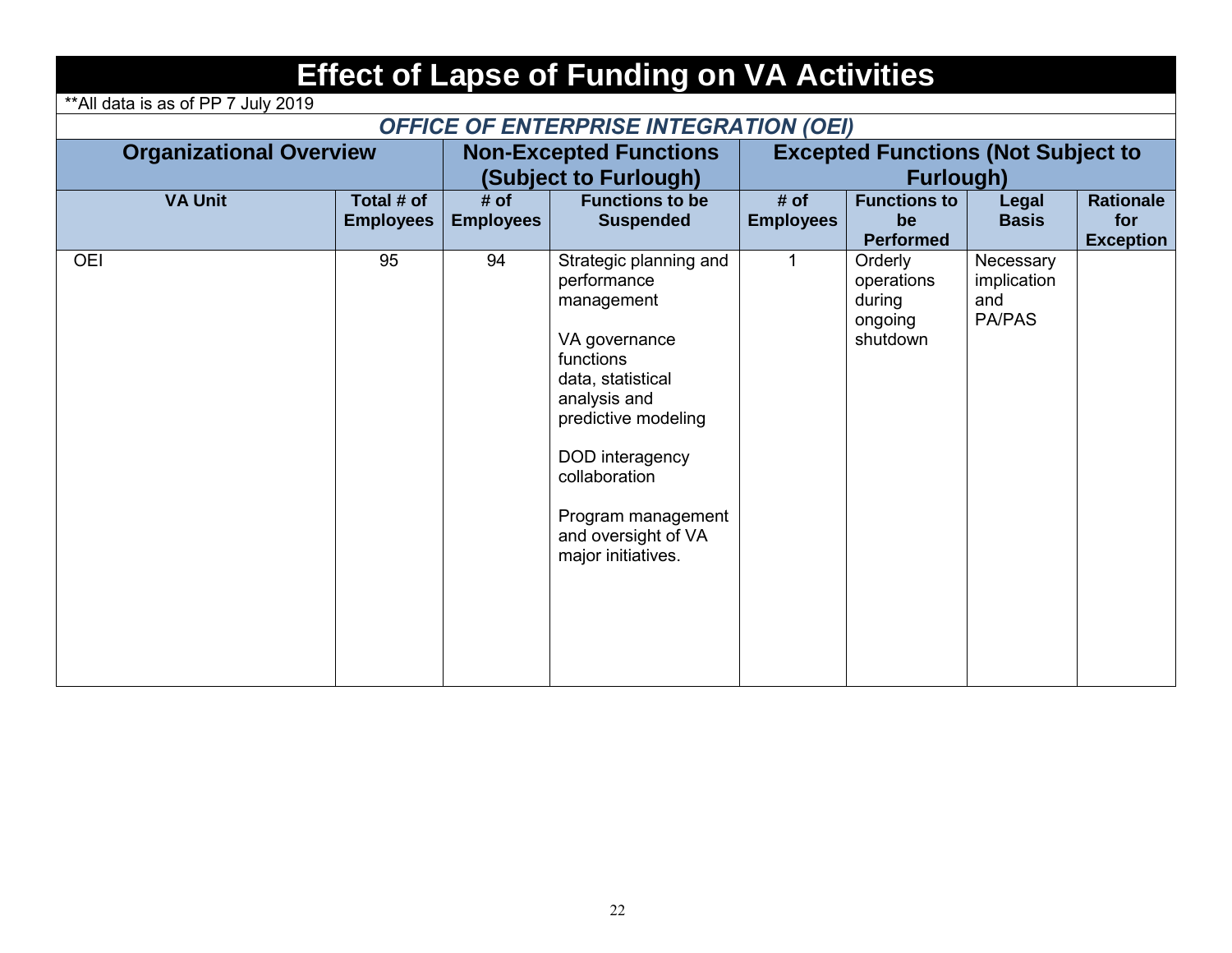|--|

\*\*All data is as of PP 7 July 2019

### *OFFICE OF ENTERPRISE INTEGRATION (OEI)*

| <b>Organizational Overview</b> |                                |                          | <b>Non-Excepted Functions</b><br>(Subject to Furlough)                                                                                                                                                                                               | <b>Excepted Functions (Not Subject to</b><br><b>Furlough)</b> |                                                        |                                                  |                                             |  |
|--------------------------------|--------------------------------|--------------------------|------------------------------------------------------------------------------------------------------------------------------------------------------------------------------------------------------------------------------------------------------|---------------------------------------------------------------|--------------------------------------------------------|--------------------------------------------------|---------------------------------------------|--|
| <b>VA Unit</b>                 | Total # of<br><b>Employees</b> | # of<br><b>Employees</b> | <b>Functions to be</b><br><b>Suspended</b>                                                                                                                                                                                                           | # of<br><b>Employees</b>                                      | <b>Functions to</b><br>be<br><b>Performed</b>          | <b>Legal</b><br><b>Basis</b>                     | <b>Rationale</b><br>for<br><b>Exception</b> |  |
| <b>OEI</b>                     | 95                             | 94                       | Strategic planning and<br>performance<br>management<br>VA governance<br>functions<br>data, statistical<br>analysis and<br>predictive modeling<br>DOD interagency<br>collaboration<br>Program management<br>and oversight of VA<br>major initiatives. |                                                               | Orderly<br>operations<br>during<br>ongoing<br>shutdown | Necessary<br>implication<br>and<br><b>PA/PAS</b> |                                             |  |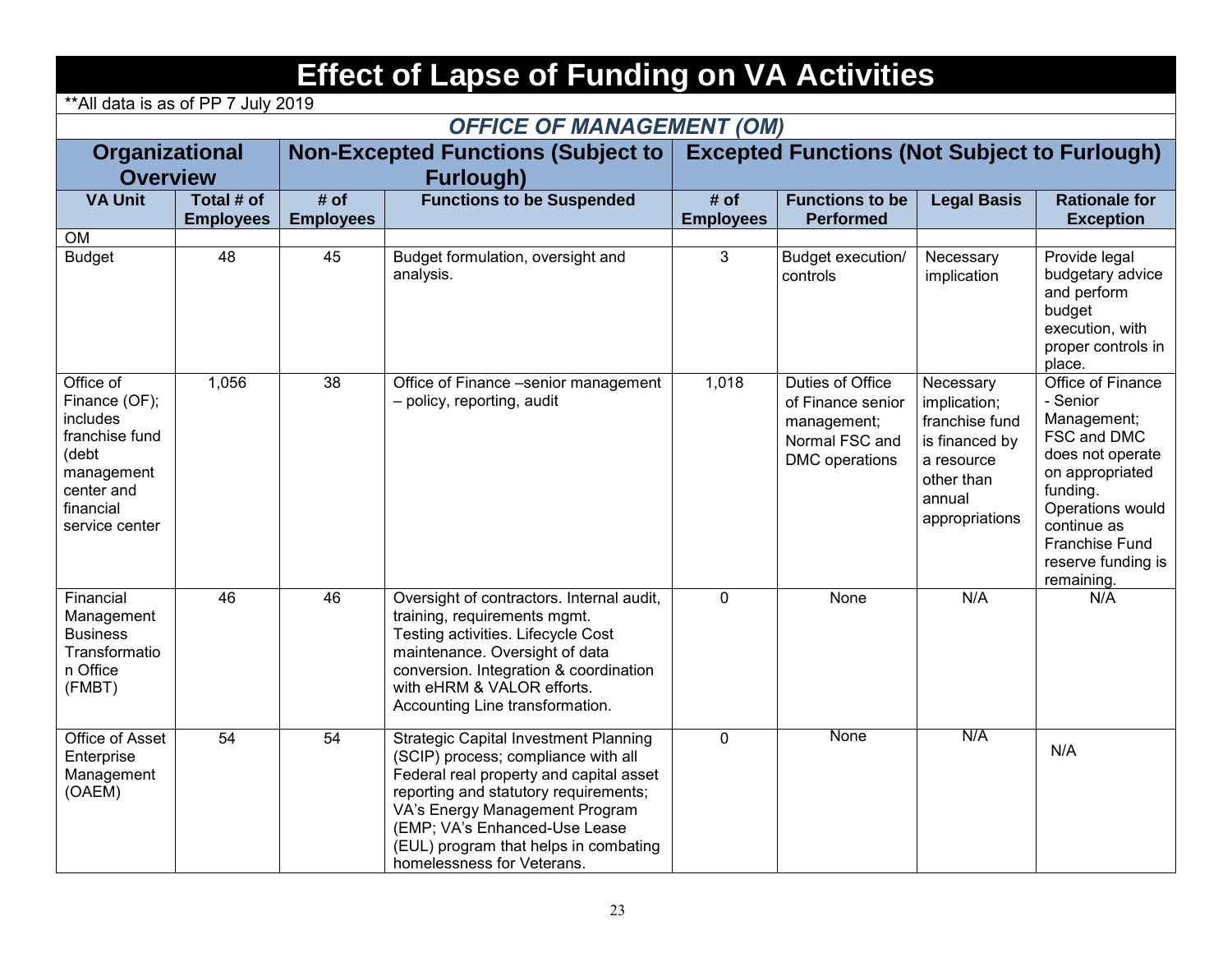## **Effect of Lapse of Funding on VA Activities**

*OFFICE OF MANAGEMENT (OM)*

\*\*All data is as of PP 7 July 2019

|                                                                                                                              |                  |                  | <b>OFFICE OF MANAGEMENT (OM)</b>                                                                                                                                                                                                                                                                                  |                  |                                                                                          |                                                                                                                       |                                                                                                                                                                                                         |
|------------------------------------------------------------------------------------------------------------------------------|------------------|------------------|-------------------------------------------------------------------------------------------------------------------------------------------------------------------------------------------------------------------------------------------------------------------------------------------------------------------|------------------|------------------------------------------------------------------------------------------|-----------------------------------------------------------------------------------------------------------------------|---------------------------------------------------------------------------------------------------------------------------------------------------------------------------------------------------------|
| <b>Organizational</b>                                                                                                        |                  |                  | <b>Non-Excepted Functions (Subject to</b>                                                                                                                                                                                                                                                                         |                  | <b>Excepted Functions (Not Subject to Furlough)</b>                                      |                                                                                                                       |                                                                                                                                                                                                         |
| <b>Overview</b>                                                                                                              |                  |                  | <b>Furlough)</b>                                                                                                                                                                                                                                                                                                  |                  |                                                                                          |                                                                                                                       |                                                                                                                                                                                                         |
| <b>VA Unit</b>                                                                                                               | Total # of       | # of             | <b>Functions to be Suspended</b>                                                                                                                                                                                                                                                                                  | # of             | <b>Functions to be</b>                                                                   | <b>Legal Basis</b>                                                                                                    | <b>Rationale for</b>                                                                                                                                                                                    |
|                                                                                                                              | <b>Employees</b> | <b>Employees</b> |                                                                                                                                                                                                                                                                                                                   | <b>Employees</b> | <b>Performed</b>                                                                         |                                                                                                                       | <b>Exception</b>                                                                                                                                                                                        |
| <b>OM</b>                                                                                                                    |                  |                  |                                                                                                                                                                                                                                                                                                                   |                  |                                                                                          |                                                                                                                       |                                                                                                                                                                                                         |
| <b>Budget</b>                                                                                                                | 48               | 45               | Budget formulation, oversight and<br>analysis.                                                                                                                                                                                                                                                                    | 3                | Budget execution/<br>controls                                                            | Necessary<br>implication                                                                                              | Provide legal<br>budgetary advice<br>and perform<br>budget<br>execution, with<br>proper controls in<br>place.                                                                                           |
| Office of<br>Finance (OF);<br>includes<br>franchise fund<br>(debt<br>management<br>center and<br>financial<br>service center | 1,056            | 38               | Office of Finance -senior management<br>- policy, reporting, audit                                                                                                                                                                                                                                                | 1,018            | Duties of Office<br>of Finance senior<br>management;<br>Normal FSC and<br>DMC operations | Necessary<br>implication;<br>franchise fund<br>is financed by<br>a resource<br>other than<br>annual<br>appropriations | Office of Finance<br>- Senior<br>Management;<br>FSC and DMC<br>does not operate<br>on appropriated<br>funding.<br>Operations would<br>continue as<br>Franchise Fund<br>reserve funding is<br>remaining. |
| Financial<br>Management<br><b>Business</b><br>Transformatio<br>n Office<br>(FMBT)                                            | 46               | 46               | Oversight of contractors. Internal audit,<br>training, requirements mgmt.<br>Testing activities. Lifecycle Cost<br>maintenance. Oversight of data<br>conversion. Integration & coordination<br>with eHRM & VALOR efforts.<br>Accounting Line transformation.                                                      | $\mathbf 0$      | None                                                                                     | N/A                                                                                                                   | N/A                                                                                                                                                                                                     |
| Office of Asset<br>Enterprise<br>Management<br>(OAEM)                                                                        | 54               | 54               | <b>Strategic Capital Investment Planning</b><br>(SCIP) process; compliance with all<br>Federal real property and capital asset<br>reporting and statutory requirements;<br>VA's Energy Management Program<br>(EMP; VA's Enhanced-Use Lease<br>(EUL) program that helps in combating<br>homelessness for Veterans. | $\mathbf 0$      | None                                                                                     | N/A                                                                                                                   | N/A                                                                                                                                                                                                     |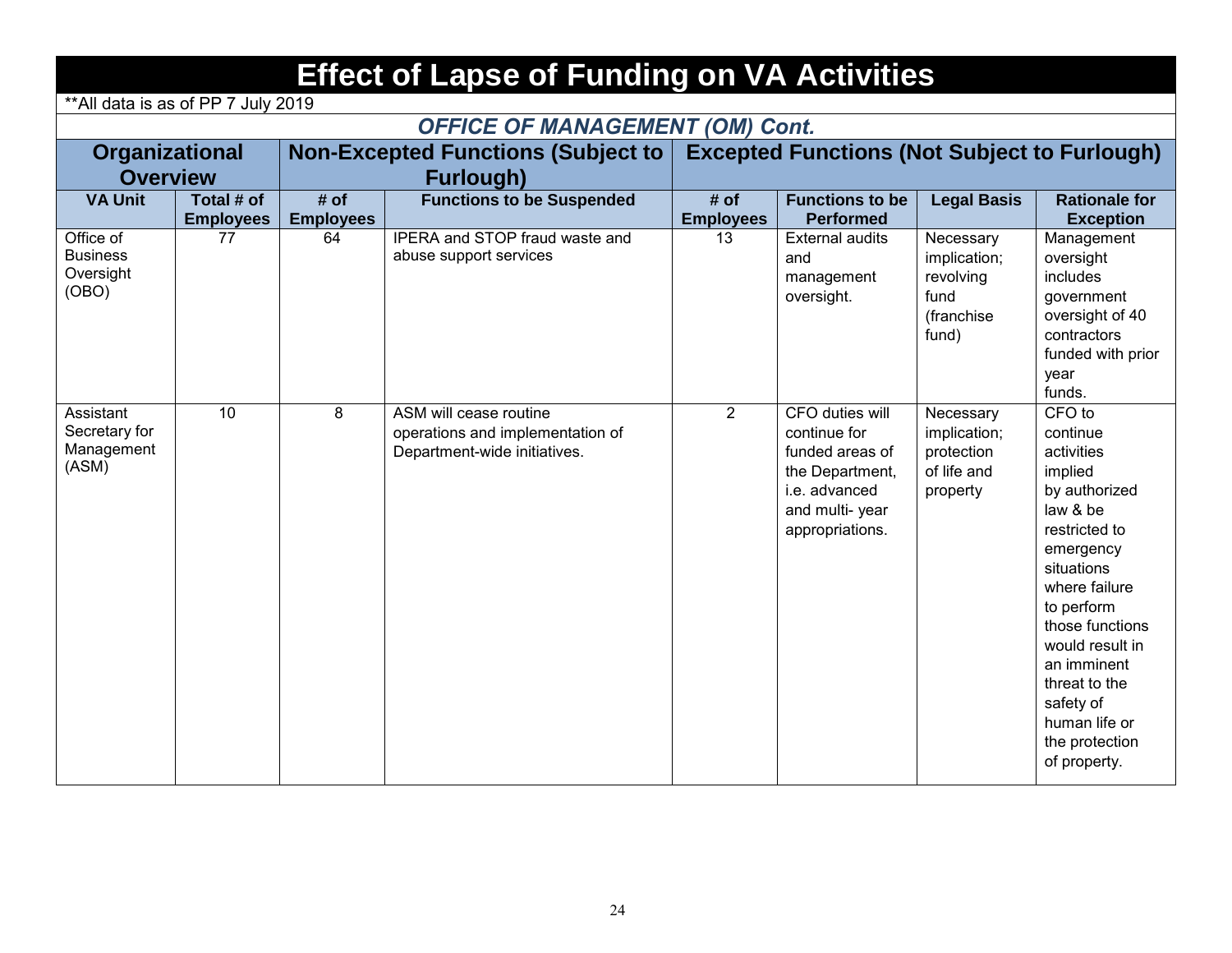## **Effect of Lapse of Funding on VA Activities**

\*\*All data is as of PP 7 July 2019

### *OFFICE OF MANAGEMENT (OM) Cont.*

| <b>Organizational</b><br><b>Overview</b>           |                                |                          | <b>Non-Excepted Functions (Subject to</b><br><b>Furlough)</b>                              | <b>Excepted Functions (Not Subject to Furlough)</b> |                                                                                                                             |                                                                        |                                                                                                                                                                                                                                                                                           |  |
|----------------------------------------------------|--------------------------------|--------------------------|--------------------------------------------------------------------------------------------|-----------------------------------------------------|-----------------------------------------------------------------------------------------------------------------------------|------------------------------------------------------------------------|-------------------------------------------------------------------------------------------------------------------------------------------------------------------------------------------------------------------------------------------------------------------------------------------|--|
| <b>VA Unit</b>                                     | Total # of<br><b>Employees</b> | # of<br><b>Employees</b> | <b>Functions to be Suspended</b>                                                           | # of<br><b>Employees</b>                            | <b>Functions to be</b><br><b>Performed</b>                                                                                  | <b>Legal Basis</b>                                                     | <b>Rationale for</b><br><b>Exception</b>                                                                                                                                                                                                                                                  |  |
| Office of<br><b>Business</b><br>Oversight<br>(OBO) | 77                             | 64                       | IPERA and STOP fraud waste and<br>abuse support services                                   | 13                                                  | <b>External audits</b><br>and<br>management<br>oversight.                                                                   | Necessary<br>implication;<br>revolving<br>fund<br>(franchise)<br>fund) | Management<br>oversight<br>includes<br>government<br>oversight of 40<br>contractors<br>funded with prior<br>year<br>funds.                                                                                                                                                                |  |
| Assistant<br>Secretary for<br>Management<br>(ASM)  | $\overline{10}$                | 8                        | ASM will cease routine<br>operations and implementation of<br>Department-wide initiatives. | $\overline{2}$                                      | CFO duties will<br>continue for<br>funded areas of<br>the Department,<br>i.e. advanced<br>and multi-year<br>appropriations. | Necessary<br>implication;<br>protection<br>of life and<br>property     | CFO to<br>continue<br>activities<br>implied<br>by authorized<br>law & be<br>restricted to<br>emergency<br>situations<br>where failure<br>to perform<br>those functions<br>would result in<br>an imminent<br>threat to the<br>safety of<br>human life or<br>the protection<br>of property. |  |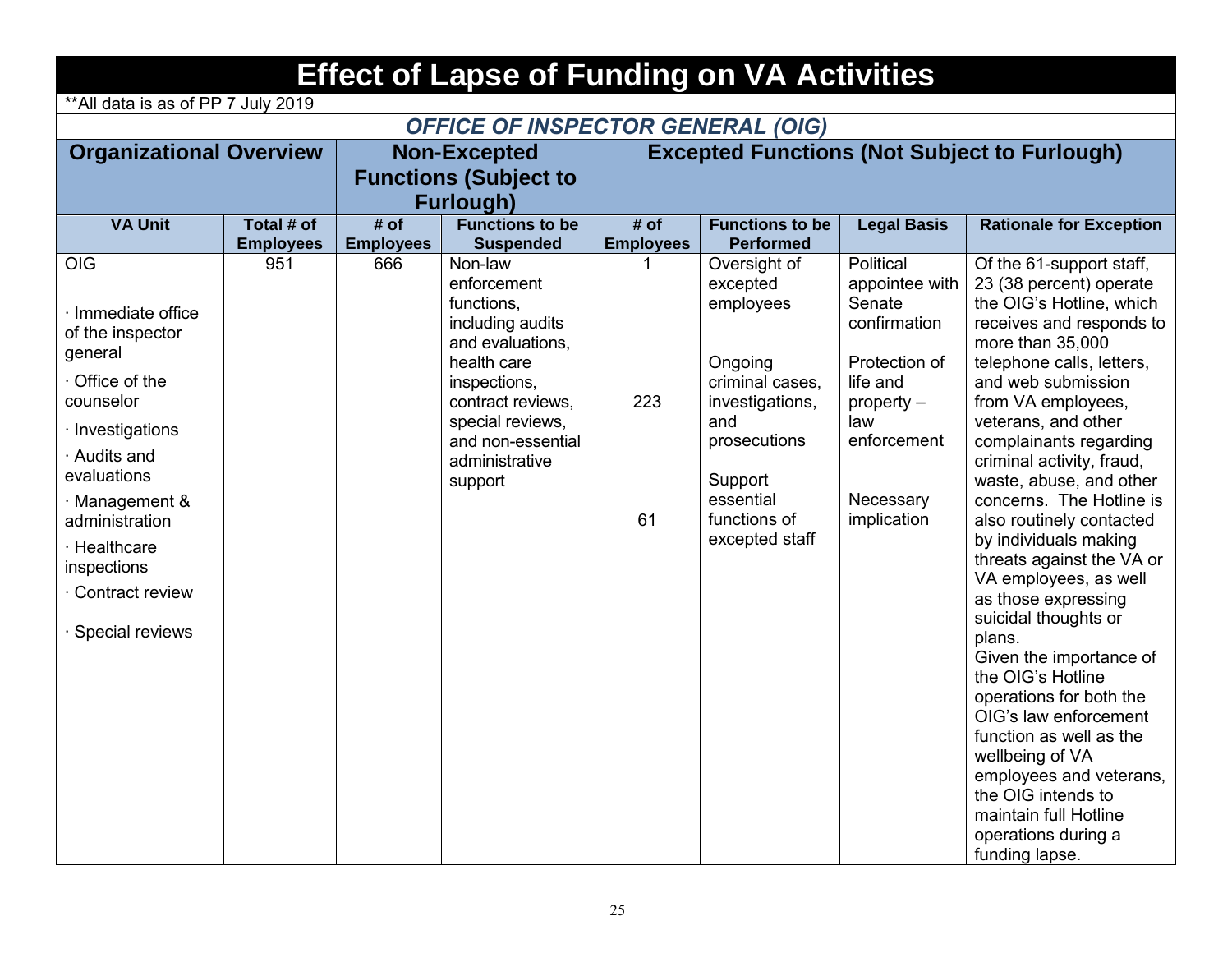| <b>Effect of Lapse of Funding on VA Activities</b>              |                                          |                  |                                                                              |                                                     |                                               |                                                       |                                                                                                                                 |  |  |  |  |  |
|-----------------------------------------------------------------|------------------------------------------|------------------|------------------------------------------------------------------------------|-----------------------------------------------------|-----------------------------------------------|-------------------------------------------------------|---------------------------------------------------------------------------------------------------------------------------------|--|--|--|--|--|
| **All data is as of PP 7 July 2019                              |                                          |                  |                                                                              |                                                     |                                               |                                                       |                                                                                                                                 |  |  |  |  |  |
|                                                                 | <b>OFFICE OF INSPECTOR GENERAL (OIG)</b> |                  |                                                                              |                                                     |                                               |                                                       |                                                                                                                                 |  |  |  |  |  |
| <b>Organizational Overview</b>                                  |                                          |                  | <b>Non-Excepted</b>                                                          | <b>Excepted Functions (Not Subject to Furlough)</b> |                                               |                                                       |                                                                                                                                 |  |  |  |  |  |
|                                                                 |                                          |                  | <b>Functions (Subject to</b><br><b>Furlough)</b>                             |                                                     |                                               |                                                       |                                                                                                                                 |  |  |  |  |  |
| <b>VA Unit</b>                                                  | Total # of                               | # of             | <b>Functions to be</b>                                                       | # of                                                | <b>Functions to be</b>                        | <b>Legal Basis</b>                                    | <b>Rationale for Exception</b>                                                                                                  |  |  |  |  |  |
|                                                                 | <b>Employees</b>                         | <b>Employees</b> | <b>Suspended</b>                                                             | <b>Employees</b>                                    | <b>Performed</b>                              |                                                       |                                                                                                                                 |  |  |  |  |  |
| <b>OIG</b><br>· Immediate office<br>of the inspector<br>general | 951                                      | 666              | Non-law<br>enforcement<br>functions,<br>including audits<br>and evaluations, |                                                     | Oversight of<br>excepted<br>employees         | Political<br>appointee with<br>Senate<br>confirmation | Of the 61-support staff,<br>23 (38 percent) operate<br>the OIG's Hotline, which<br>receives and responds to<br>more than 35,000 |  |  |  |  |  |
| Office of the<br>counselor                                      |                                          |                  | health care<br>inspections,<br>contract reviews,                             | 223                                                 | Ongoing<br>criminal cases,<br>investigations, | Protection of<br>life and<br>$property -$             | telephone calls, letters,<br>and web submission<br>from VA employees,                                                           |  |  |  |  |  |
| · Investigations<br>· Audits and<br>evaluations                 |                                          |                  | special reviews,<br>and non-essential<br>administrative                      |                                                     | and<br>prosecutions                           | law<br>enforcement                                    | veterans, and other<br>complainants regarding<br>criminal activity, fraud,                                                      |  |  |  |  |  |
| $\cdot$ Management &<br>administration                          |                                          |                  | support                                                                      | 61                                                  | Support<br>essential<br>functions of          | Necessary<br>implication                              | waste, abuse, and other<br>concerns. The Hotline is<br>also routinely contacted                                                 |  |  |  |  |  |
| · Healthcare<br>inspections                                     |                                          |                  |                                                                              |                                                     | excepted staff                                |                                                       | by individuals making<br>threats against the VA or<br>VA employees, as well                                                     |  |  |  |  |  |
| · Contract review<br>· Special reviews                          |                                          |                  |                                                                              |                                                     |                                               |                                                       | as those expressing<br>suicidal thoughts or<br>plans.                                                                           |  |  |  |  |  |
|                                                                 |                                          |                  |                                                                              |                                                     |                                               |                                                       | Given the importance of<br>the OIG's Hotline<br>operations for both the                                                         |  |  |  |  |  |
|                                                                 |                                          |                  |                                                                              |                                                     |                                               |                                                       | OIG's law enforcement<br>function as well as the<br>wellbeing of VA                                                             |  |  |  |  |  |
|                                                                 |                                          |                  |                                                                              |                                                     |                                               |                                                       | employees and veterans,<br>the OIG intends to<br>maintain full Hotline                                                          |  |  |  |  |  |
|                                                                 |                                          |                  |                                                                              |                                                     |                                               |                                                       | operations during a<br>funding lapse.                                                                                           |  |  |  |  |  |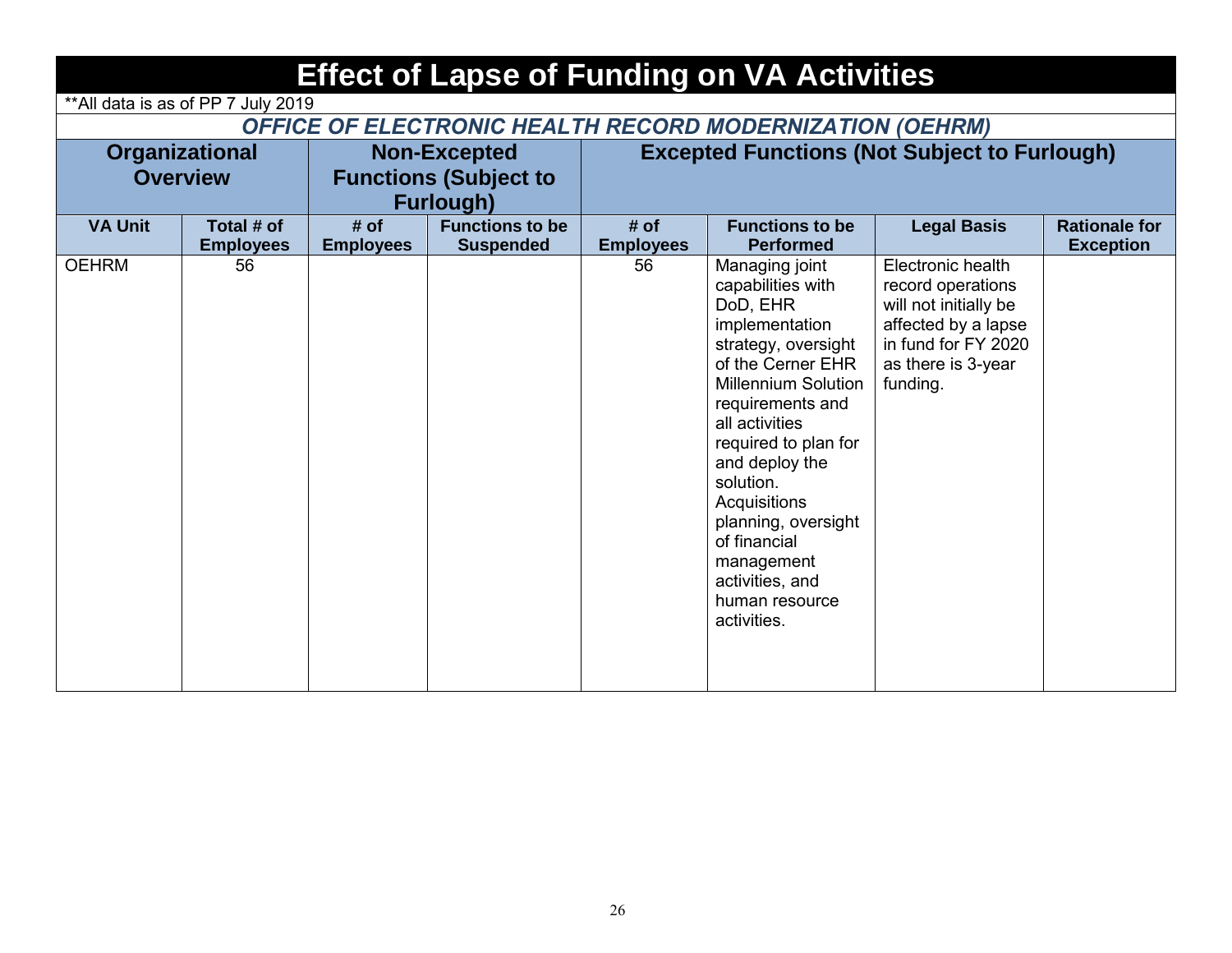|                  | <b>Effect of Lapse of Funding on VA Activities</b>              |                  |                              |                  |                                                                                                                                                                                                                                                                                                                                                                   |                                                                                                                                                 |                      |  |  |  |  |  |  |
|------------------|-----------------------------------------------------------------|------------------|------------------------------|------------------|-------------------------------------------------------------------------------------------------------------------------------------------------------------------------------------------------------------------------------------------------------------------------------------------------------------------------------------------------------------------|-------------------------------------------------------------------------------------------------------------------------------------------------|----------------------|--|--|--|--|--|--|
|                  | ** All data is as of PP 7 July 2019                             |                  |                              |                  |                                                                                                                                                                                                                                                                                                                                                                   |                                                                                                                                                 |                      |  |  |  |  |  |  |
|                  | <b>OFFICE OF ELECTRONIC HEALTH RECORD MODERNIZATION (OEHRM)</b> |                  |                              |                  |                                                                                                                                                                                                                                                                                                                                                                   |                                                                                                                                                 |                      |  |  |  |  |  |  |
|                  | Organizational                                                  |                  | <b>Non-Excepted</b>          |                  | <b>Excepted Functions (Not Subject to Furlough)</b>                                                                                                                                                                                                                                                                                                               |                                                                                                                                                 |                      |  |  |  |  |  |  |
| <b>Overview</b>  |                                                                 |                  | <b>Functions (Subject to</b> |                  |                                                                                                                                                                                                                                                                                                                                                                   |                                                                                                                                                 |                      |  |  |  |  |  |  |
| <b>Furlough)</b> |                                                                 |                  |                              |                  |                                                                                                                                                                                                                                                                                                                                                                   |                                                                                                                                                 |                      |  |  |  |  |  |  |
| <b>VA Unit</b>   | Total # of                                                      | # of             | <b>Functions to be</b>       | # of             | <b>Functions to be</b>                                                                                                                                                                                                                                                                                                                                            | <b>Legal Basis</b>                                                                                                                              | <b>Rationale for</b> |  |  |  |  |  |  |
|                  | <b>Employees</b>                                                | <b>Employees</b> | <b>Suspended</b>             | <b>Employees</b> | <b>Performed</b>                                                                                                                                                                                                                                                                                                                                                  |                                                                                                                                                 | <b>Exception</b>     |  |  |  |  |  |  |
| <b>OEHRM</b>     | 56                                                              |                  |                              | 56               | Managing joint<br>capabilities with<br>DoD, EHR<br>implementation<br>strategy, oversight<br>of the Cerner EHR<br><b>Millennium Solution</b><br>requirements and<br>all activities<br>required to plan for<br>and deploy the<br>solution.<br>Acquisitions<br>planning, oversight<br>of financial<br>management<br>activities, and<br>human resource<br>activities. | Electronic health<br>record operations<br>will not initially be<br>affected by a lapse<br>in fund for FY 2020<br>as there is 3-year<br>funding. |                      |  |  |  |  |  |  |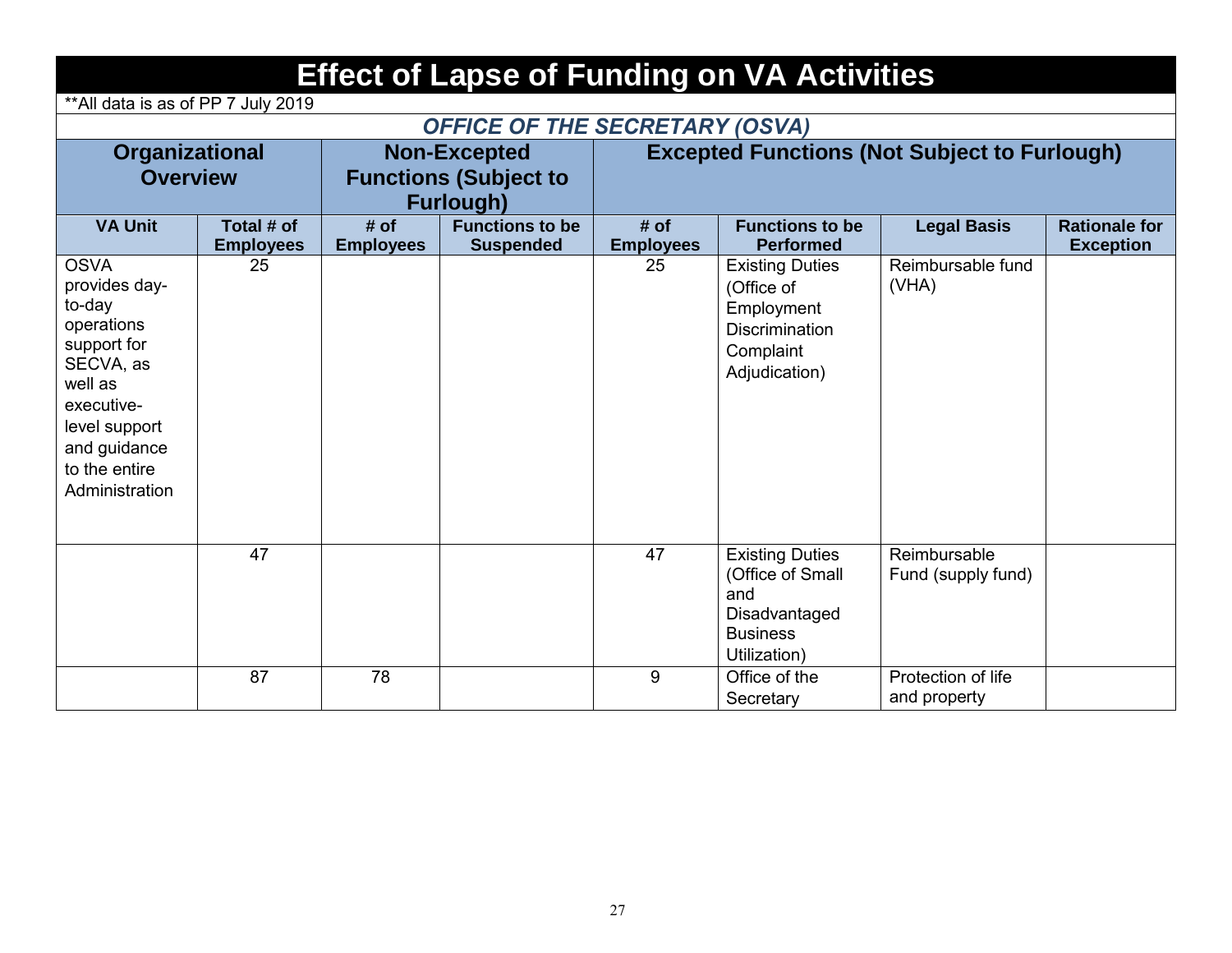## **Effect of Lapse of Funding on VA Activities**

\*\*All data is as of PP 7 July 2019

### *OFFICE OF THE SECRETARY (OSVA)*

| Organizational<br><b>Overview</b>                                                                                                                                             |                                |                          | <b>Non-Excepted</b><br><b>Functions (Subject to</b><br>Furlough) | <b>Excepted Functions (Not Subject to Furlough)</b> |                                                                                                           |                                    |                                          |  |
|-------------------------------------------------------------------------------------------------------------------------------------------------------------------------------|--------------------------------|--------------------------|------------------------------------------------------------------|-----------------------------------------------------|-----------------------------------------------------------------------------------------------------------|------------------------------------|------------------------------------------|--|
| <b>VA Unit</b>                                                                                                                                                                | Total # of<br><b>Employees</b> | # of<br><b>Employees</b> | <b>Functions to be</b><br><b>Suspended</b>                       | # of<br><b>Employees</b>                            | <b>Functions to be</b><br><b>Performed</b>                                                                | <b>Legal Basis</b>                 | <b>Rationale for</b><br><b>Exception</b> |  |
| <b>OSVA</b><br>provides day-<br>to-day<br>operations<br>support for<br>SECVA, as<br>well as<br>executive-<br>level support<br>and guidance<br>to the entire<br>Administration | 25                             |                          |                                                                  | 25                                                  | <b>Existing Duties</b><br>(Office of<br>Employment<br><b>Discrimination</b><br>Complaint<br>Adjudication) | Reimbursable fund<br>(VHA)         |                                          |  |
|                                                                                                                                                                               | 47                             |                          |                                                                  | 47                                                  | <b>Existing Duties</b><br>(Office of Small<br>and<br>Disadvantaged<br><b>Business</b><br>Utilization)     | Reimbursable<br>Fund (supply fund) |                                          |  |
|                                                                                                                                                                               | 87                             | 78                       |                                                                  | 9                                                   | Office of the<br>Secretary                                                                                | Protection of life<br>and property |                                          |  |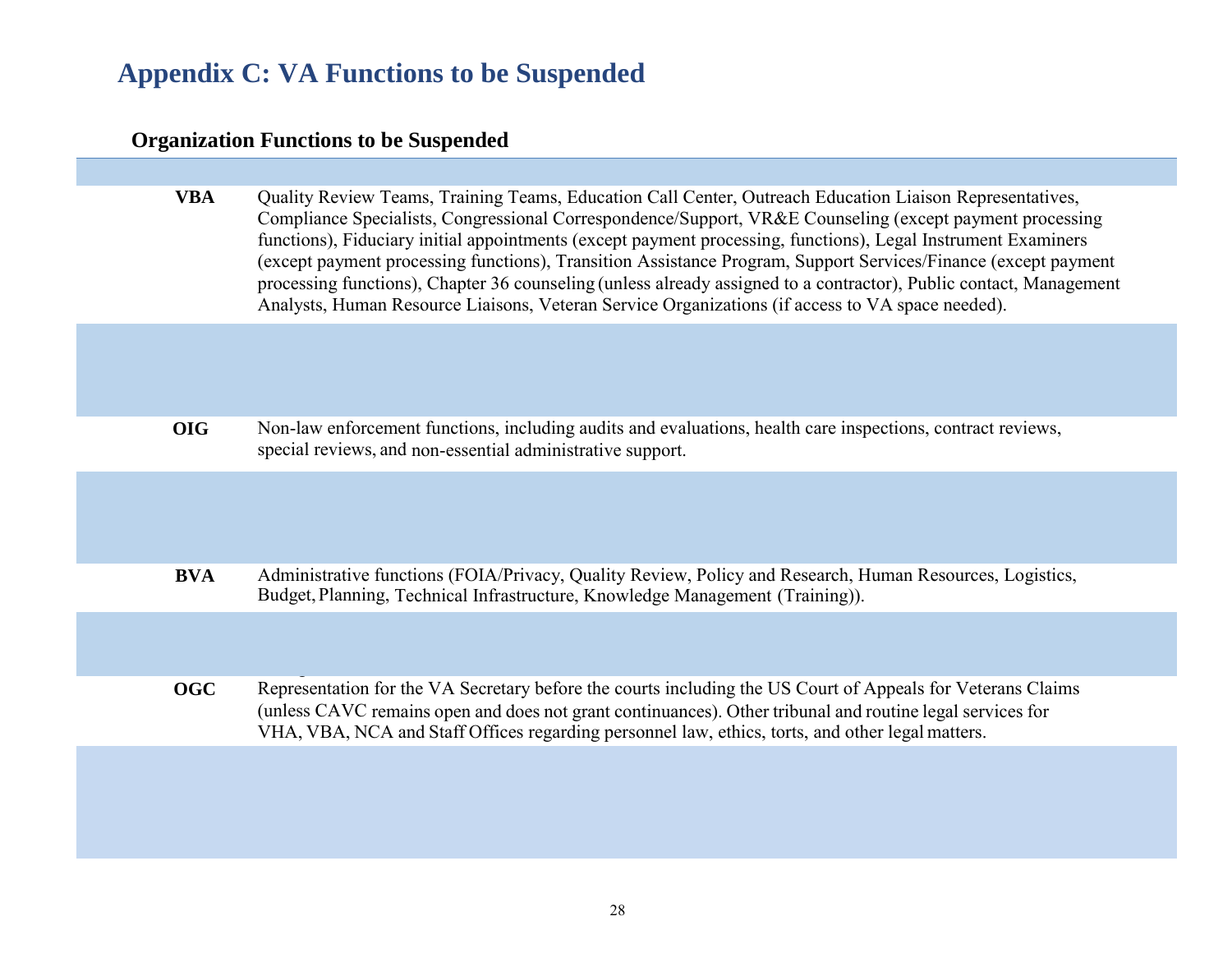### **Appendix C: VA Functions to be Suspended**

#### **Organization Functions to be Suspended**

**VBA** Quality Review Teams, Training Teams, Education Call Center, Outreach Education Liaison Representatives, Compliance Specialists, Congressional Correspondence/Support, VR&E Counseling (except payment processing functions), Fiduciary initial appointments (except payment processing, functions), Legal Instrument Examiners (except payment processing functions), Transition Assistance Program, Support Services/Finance (except payment processing functions), Chapter 36 counseling (unless already assigned to a contractor), Public contact, Management Analysts, Human Resource Liaisons, Veteran Service Organizations (if access to VA space needed).

**OIG** Non-law enforcement functions, including audits and evaluations, health care inspections, contract reviews, special reviews, and non-essential administrative support.

**BVA** Administrative functions (FOIA/Privacy, Quality Review, Policy and Research, Human Resources, Logistics, Budget, Planning, Technical Infrastructure, Knowledge Management (Training)).

**OGC** Representation for the VA Secretary before the courts including the US Court of Appeals for Veterans Claims (unless CAVC remains open and does not grant continuances). Other tribunal and routine legal services for VHA, VBA, NCA and Staff Offices regarding personnel law, ethics, torts, and other legalmatters.

management; GAO coordination, Office administrative functions.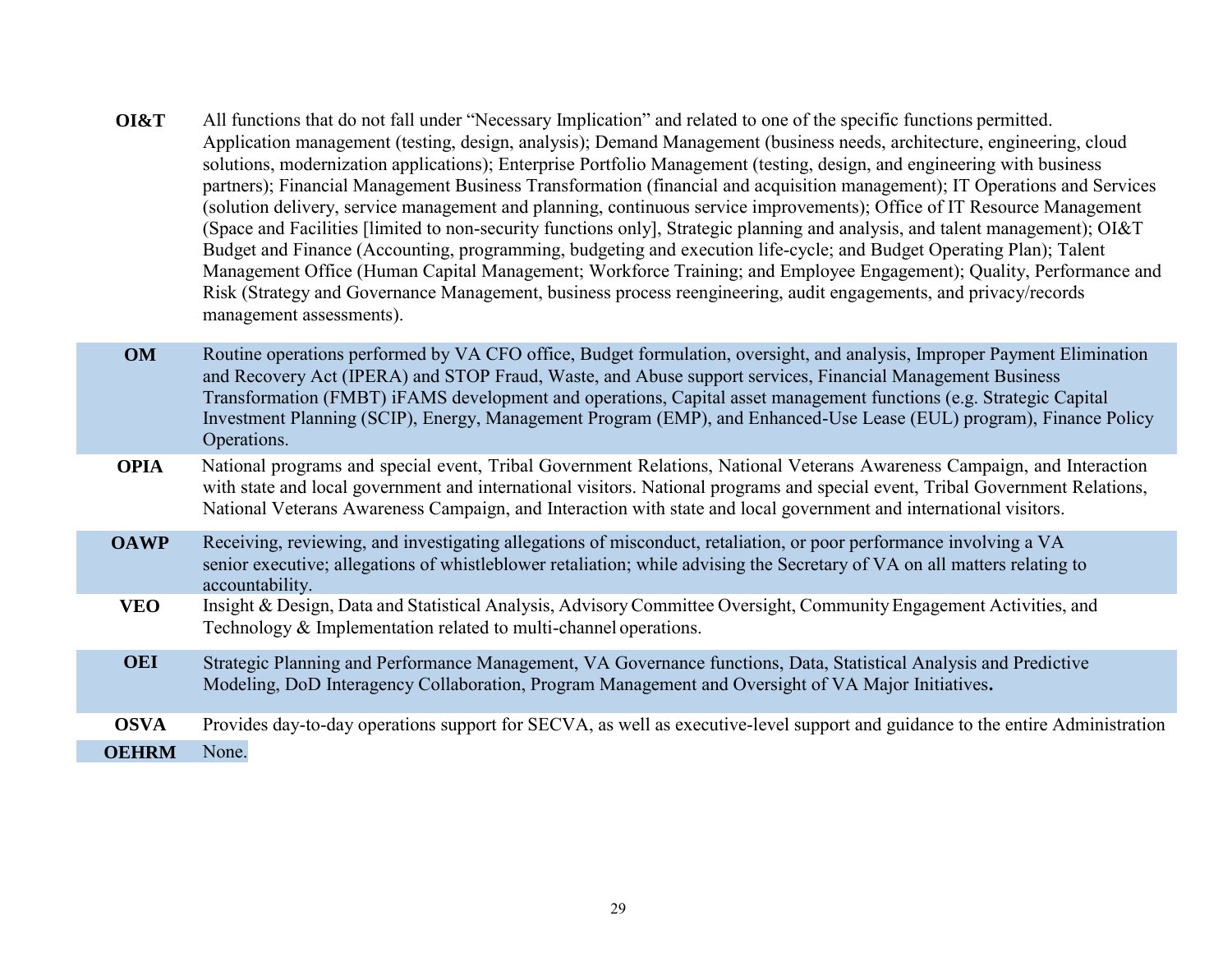**OI&T** All functions that do not fall under "Necessary Implication" and related to one of the specific functions permitted. Application management (testing, design, analysis); Demand Management (business needs, architecture, engineering, cloud solutions, modernization applications); Enterprise Portfolio Management (testing, design, and engineering with business partners); Financial Management Business Transformation (financial and acquisition management); IT Operations and Services (solution delivery, service management and planning, continuous service improvements); Office of IT Resource Management (Space and Facilities [limited to non-security functions only], Strategic planning and analysis, and talent management); OI&T Budget and Finance (Accounting, programming, budgeting and execution life-cycle; and Budget Operating Plan); Talent Management Office (Human Capital Management; Workforce Training; and Employee Engagement); Quality, Performance and Risk (Strategy and Governance Management, business process reengineering, audit engagements, and privacy/records management assessments).

**OM** Routine operations performed by VA CFO office, Budget formulation, oversight, and analysis, Improper Payment Elimination and Recovery Act (IPERA) and STOP Fraud, Waste, and Abuse support services, Financial Management Business Transformation (FMBT) iFAMS development and operations, Capital asset management functions (e.g. Strategic Capital Investment Planning (SCIP), Energy, Management Program (EMP), and Enhanced-Use Lease (EUL) program), Finance Policy Operations.

#### **OPIA** National programs and special event, Tribal Government Relations, National Veterans Awareness Campaign, and Interaction with state and local government and international visitors. National programs and special event, Tribal Government Relations, National Veterans Awareness Campaign, and Interaction with state and local government and international visitors.

**OAWP** Receiving, reviewing, and investigating allegations of misconduct, retaliation, or poor performance involving a VA senior executive; allegations of whistleblower retaliation; while advising the Secretary of VA on all matters relating to accountability.

- **VEO** Insight & Design, Data and Statistical Analysis, Advisory Committee Oversight, Community Engagement Activities, and Technology & Implementation related to multi-channel operations.
- Strategic Planning and Performance Management, VA Governance functions, Data, Statistical Analysis and Predictive Modeling, DoD Interagency Collaboration, Program Management and Oversight of VA Major Initiatives**. OEI**
- **OSVA** Provides day-to-day operations support for SECVA, as well as executive-level support and guidance to the entire Administration **OEHRM** None.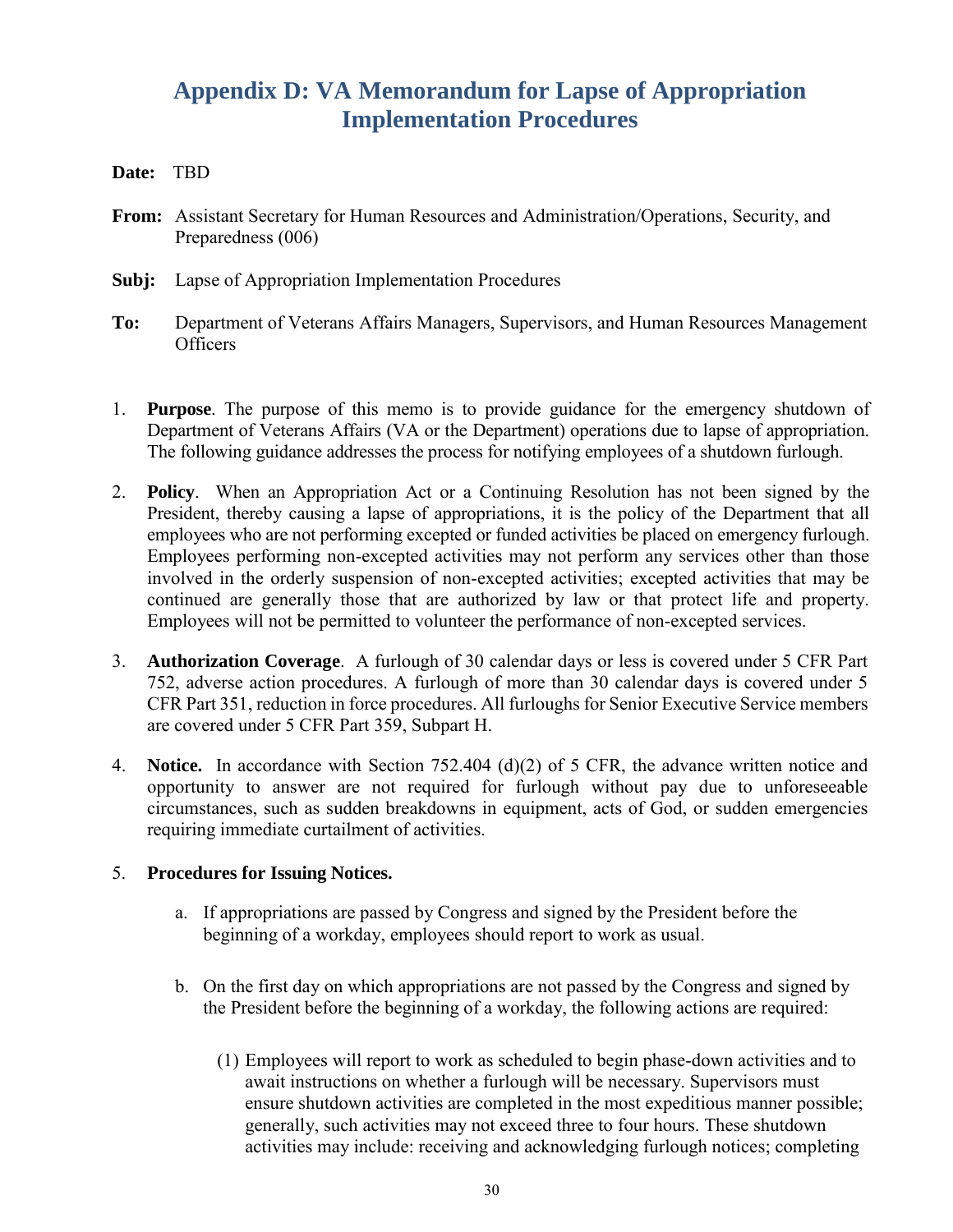### **Appendix D: VA Memorandum for Lapse of Appropriation Implementation Procedures**

#### **Date:** TBD

- **From:** Assistant Secretary for Human Resources and Administration/Operations, Security, and Preparedness (006)
- **Subj:** Lapse of Appropriation Implementation Procedures
- **To:** Department of Veterans Affairs Managers, Supervisors, and Human Resources Management **Officers**
- 1. **Purpose**. The purpose of this memo is to provide guidance for the emergency shutdown of Department of Veterans Affairs (VA or the Department) operations due to lapse of appropriation. The following guidance addresses the process for notifying employees of a shutdown furlough.
- 2. **Policy**. When an Appropriation Act or a Continuing Resolution has not been signed by the President, thereby causing a lapse of appropriations, it is the policy of the Department that all employees who are not performing excepted or funded activities be placed on emergency furlough. Employees performing non-excepted activities may not perform any services other than those involved in the orderly suspension of non-excepted activities; excepted activities that may be continued are generally those that are authorized by law or that protect life and property. Employees will not be permitted to volunteer the performance of non-excepted services.
- 3. **Authorization Coverage**. A furlough of 30 calendar days or less is covered under 5 CFR Part 752, adverse action procedures. A furlough of more than 30 calendar days is covered under 5 CFR Part 351, reduction in force procedures. All furloughs for Senior Executive Service members are covered under 5 CFR Part 359, Subpart H.
- 4. **Notice.** In accordance with Section 752.404 (d)(2) of 5 CFR, the advance written notice and opportunity to answer are not required for furlough without pay due to unforeseeable circumstances, such as sudden breakdowns in equipment, acts of God, or sudden emergencies requiring immediate curtailment of activities.

#### 5. **Procedures for Issuing Notices.**

- a. If appropriations are passed by Congress and signed by the President before the beginning of a workday, employees should report to work as usual.
- b. On the first day on which appropriations are not passed by the Congress and signed by the President before the beginning of a workday, the following actions are required:
	- (1) Employees will report to work as scheduled to begin phase-down activities and to await instructions on whether a furlough will be necessary. Supervisors must ensure shutdown activities are completed in the most expeditious manner possible; generally, such activities may not exceed three to four hours. These shutdown activities may include: receiving and acknowledging furlough notices; completing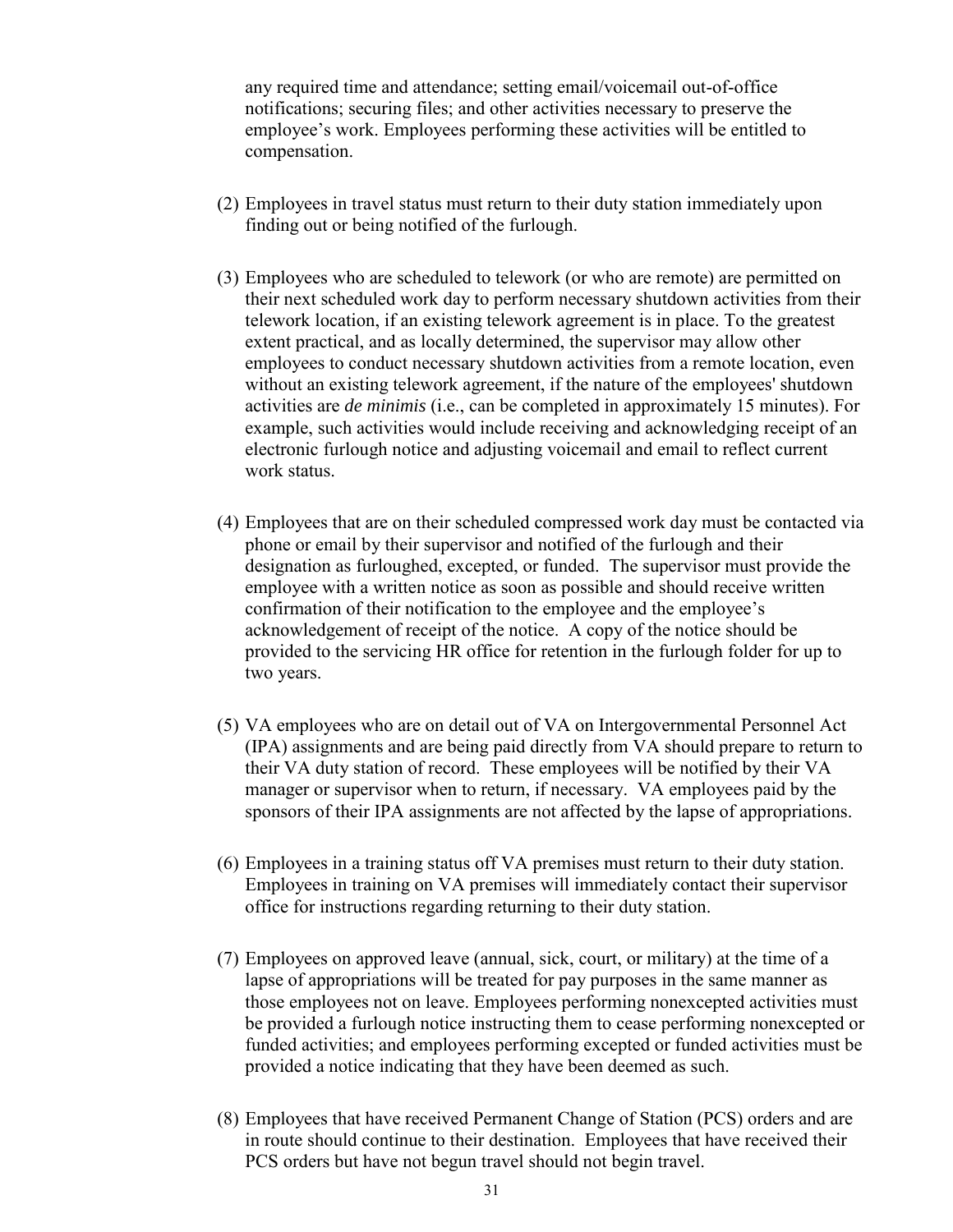any required time and attendance; setting email/voicemail out-of-office notifications; securing files; and other activities necessary to preserve the employee's work. Employees performing these activities will be entitled to compensation.

- (2) Employees in travel status must return to their duty station immediately upon finding out or being notified of the furlough.
- (3) Employees who are scheduled to telework (or who are remote) are permitted on their next scheduled work day to perform necessary shutdown activities from their telework location, if an existing telework agreement is in place. To the greatest extent practical, and as locally determined, the supervisor may allow other employees to conduct necessary shutdown activities from a remote location, even without an existing telework agreement, if the nature of the employees' shutdown activities are *de minimis* (i.e., can be completed in approximately 15 minutes). For example, such activities would include receiving and acknowledging receipt of an electronic furlough notice and adjusting voicemail and email to reflect current work status.
- (4) Employees that are on their scheduled compressed work day must be contacted via phone or email by their supervisor and notified of the furlough and their designation as furloughed, excepted, or funded. The supervisor must provide the employee with a written notice as soon as possible and should receive written confirmation of their notification to the employee and the employee's acknowledgement of receipt of the notice. A copy of the notice should be provided to the servicing HR office for retention in the furlough folder for up to two years.
- (5) VA employees who are on detail out of VA on Intergovernmental Personnel Act (IPA) assignments and are being paid directly from VA should prepare to return to their VA duty station of record. These employees will be notified by their VA manager or supervisor when to return, if necessary. VA employees paid by the sponsors of their IPA assignments are not affected by the lapse of appropriations.
- (6) Employees in a training status off VA premises must return to their duty station. Employees in training on VA premises will immediately contact their supervisor office for instructions regarding returning to their duty station.
- (7) Employees on approved leave (annual, sick, court, or military) at the time of a lapse of appropriations will be treated for pay purposes in the same manner as those employees not on leave. Employees performing nonexcepted activities must be provided a furlough notice instructing them to cease performing nonexcepted or funded activities; and employees performing excepted or funded activities must be provided a notice indicating that they have been deemed as such.
- (8) Employees that have received Permanent Change of Station (PCS) orders and are in route should continue to their destination. Employees that have received their PCS orders but have not begun travel should not begin travel.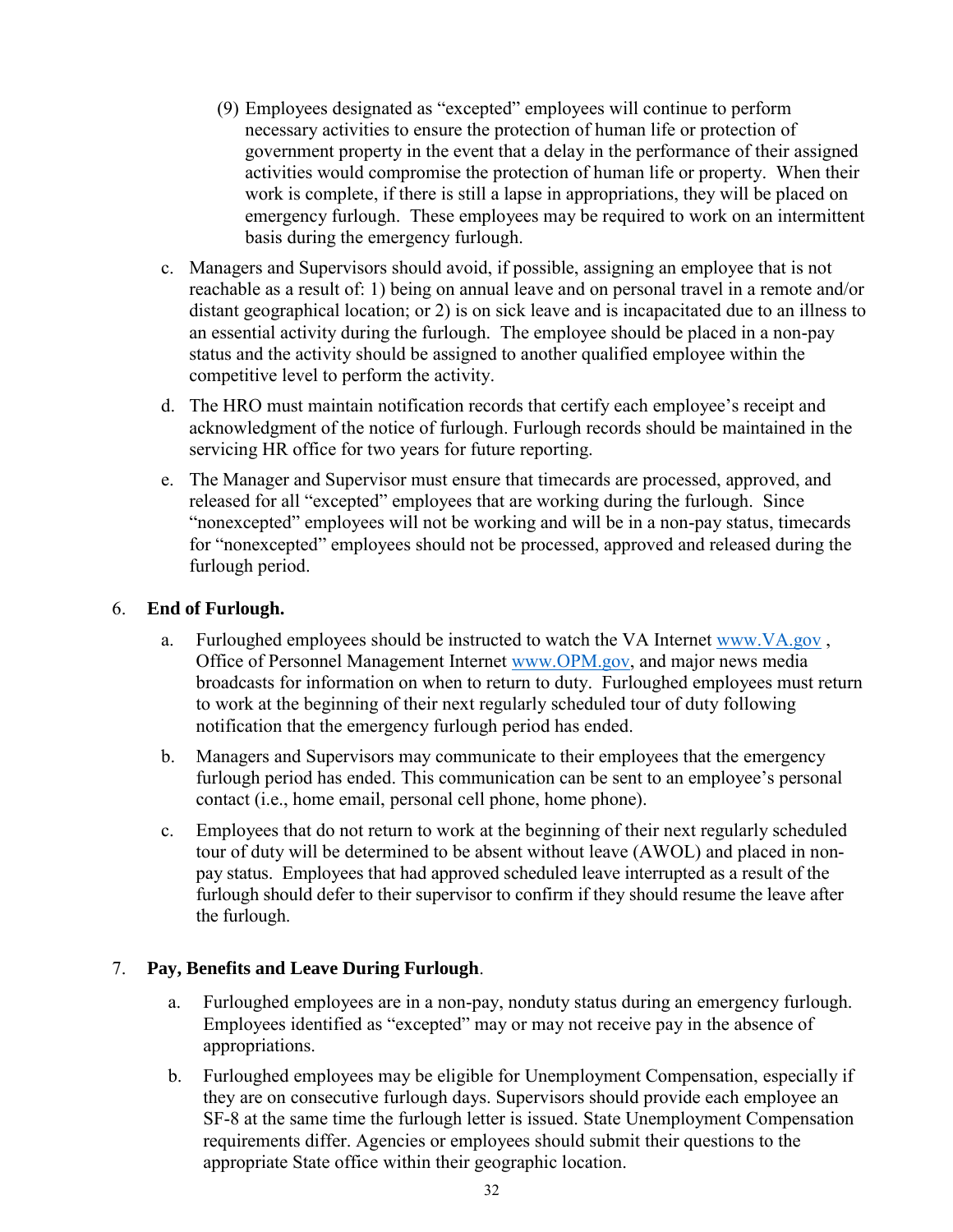- (9) Employees designated as "excepted" employees will continue to perform necessary activities to ensure the protection of human life or protection of government property in the event that a delay in the performance of their assigned activities would compromise the protection of human life or property. When their work is complete, if there is still a lapse in appropriations, they will be placed on emergency furlough. These employees may be required to work on an intermittent basis during the emergency furlough.
- c. Managers and Supervisors should avoid, if possible, assigning an employee that is not reachable as a result of: 1) being on annual leave and on personal travel in a remote and/or distant geographical location; or 2) is on sick leave and is incapacitated due to an illness to an essential activity during the furlough. The employee should be placed in a non-pay status and the activity should be assigned to another qualified employee within the competitive level to perform the activity.
- d. The HRO must maintain notification records that certify each employee's receipt and acknowledgment of the notice of furlough. Furlough records should be maintained in the servicing HR office for two years for future reporting.
- e. The Manager and Supervisor must ensure that timecards are processed, approved, and released for all "excepted" employees that are working during the furlough. Since "nonexcepted" employees will not be working and will be in a non-pay status, timecards for "nonexcepted" employees should not be processed, approved and released during the furlough period.

#### 6. **End of Furlough.**

- a. Furloughed employees should be instructed to watch the VA Internet [www.VA.gov](http://www.va.gov/) , Office of Personnel Management Internet [www.OPM.gov,](http://www.opm.gov/) and major news media broadcasts for information on when to return to duty. Furloughed employees must return to work at the beginning of their next regularly scheduled tour of duty following notification that the emergency furlough period has ended.
- b. Managers and Supervisors may communicate to their employees that the emergency furlough period has ended. This communication can be sent to an employee's personal contact (i.e., home email, personal cell phone, home phone).
- c. Employees that do not return to work at the beginning of their next regularly scheduled tour of duty will be determined to be absent without leave (AWOL) and placed in nonpay status. Employees that had approved scheduled leave interrupted as a result of the furlough should defer to their supervisor to confirm if they should resume the leave after the furlough.

#### 7. **Pay, Benefits and Leave During Furlough**.

- a. Furloughed employees are in a non-pay, nonduty status during an emergency furlough. Employees identified as "excepted" may or may not receive pay in the absence of appropriations.
- b. Furloughed employees may be eligible for Unemployment Compensation, especially if they are on consecutive furlough days. Supervisors should provide each employee an SF-8 at the same time the furlough letter is issued. State Unemployment Compensation requirements differ. Agencies or employees should submit their questions to the appropriate State office within their geographic location.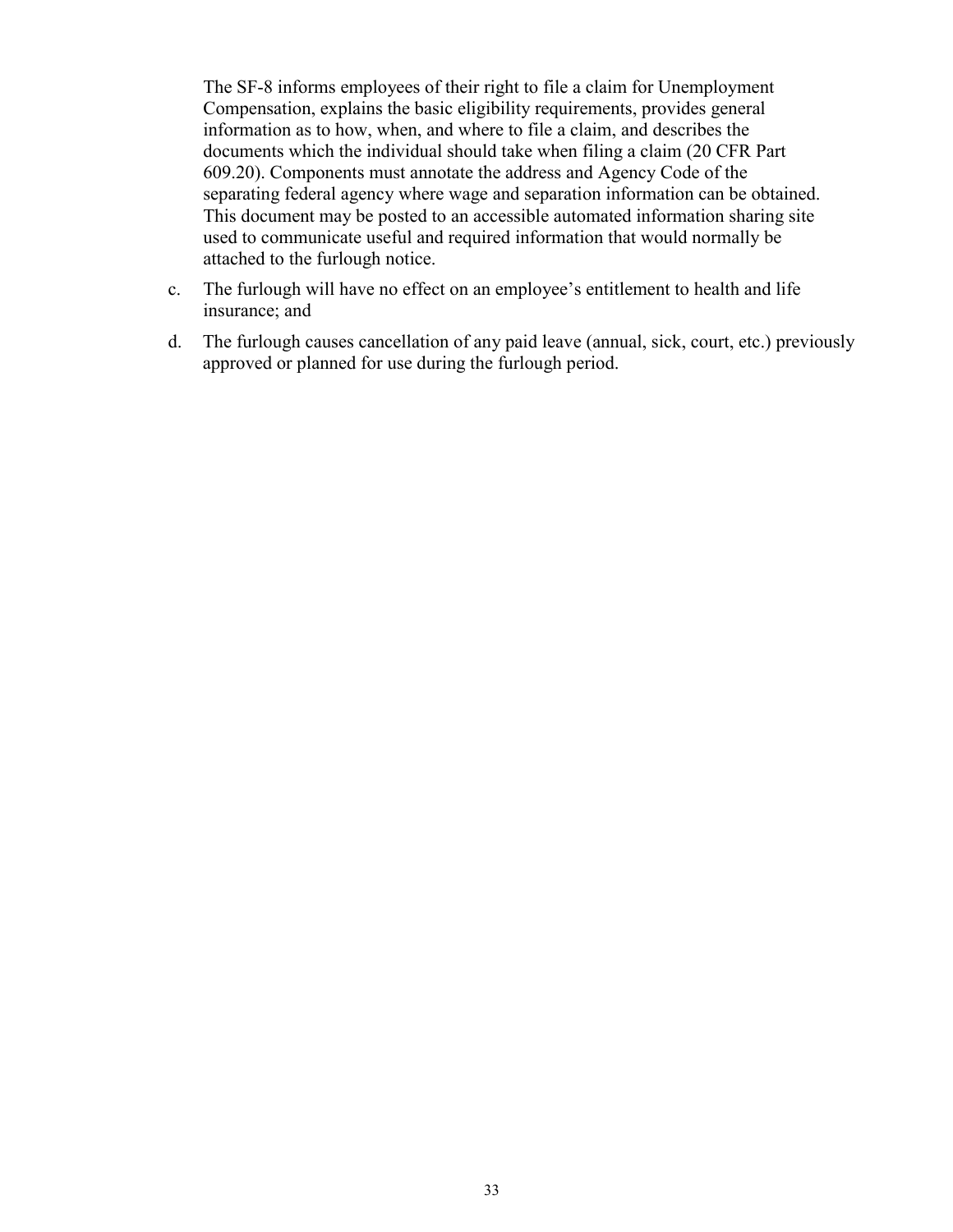The SF-8 informs employees of their right to file a claim for Unemployment Compensation, explains the basic eligibility requirements, provides general information as to how, when, and where to file a claim, and describes the documents which the individual should take when filing a claim (20 CFR Part 609.20). Components must annotate the address and Agency Code of the separating federal agency where wage and separation information can be obtained. This document may be posted to an accessible automated information sharing site used to communicate useful and required information that would normally be attached to the furlough notice.

- c. The furlough will have no effect on an employee's entitlement to health and life insurance; and
- d. The furlough causes cancellation of any paid leave (annual, sick, court, etc.) previously approved or planned for use during the furlough period.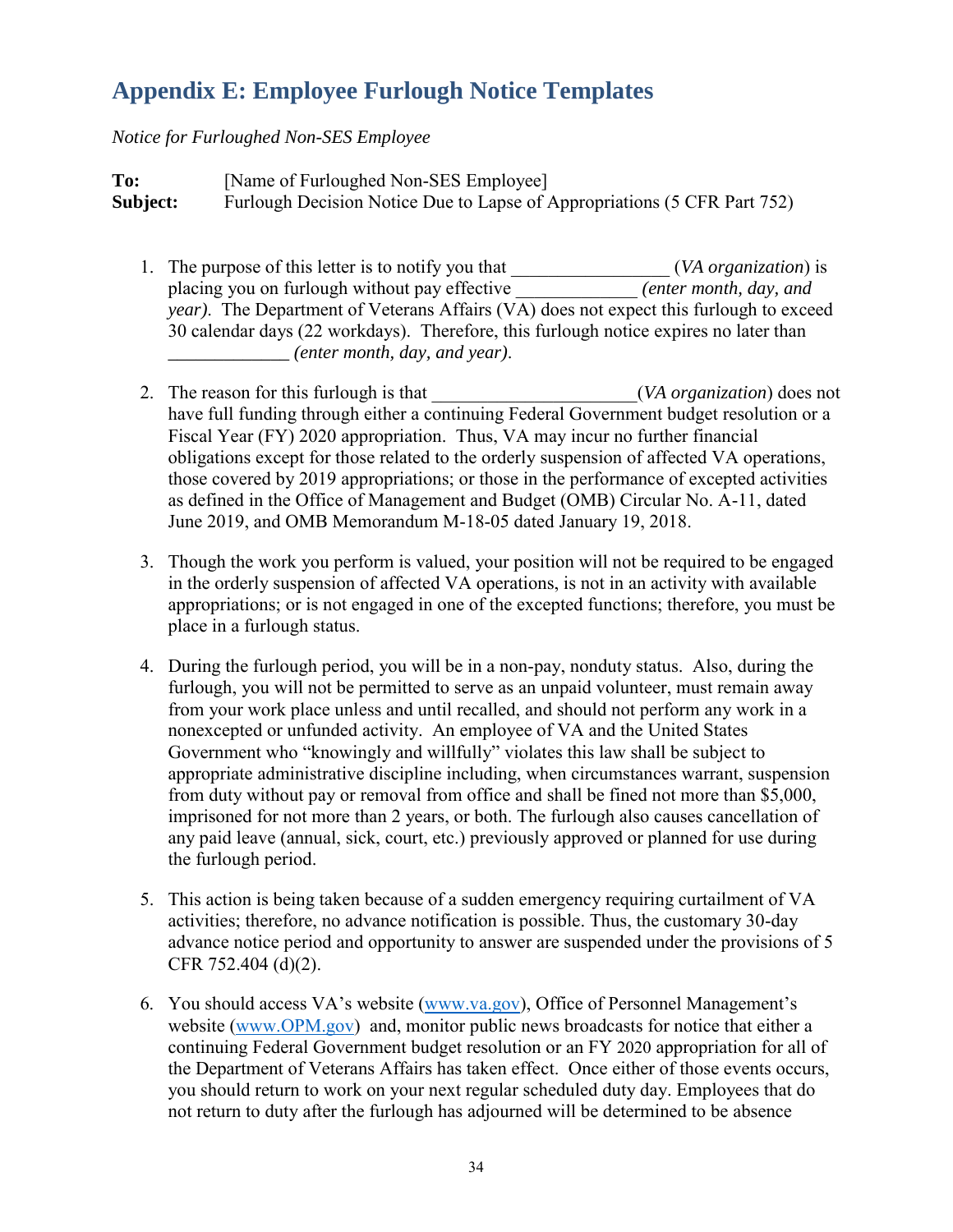### **Appendix E: Employee Furlough Notice Templates**

#### *Notice for Furloughed Non-SES Employee*

**To:** [Name of Furloughed Non-SES Employee] **Subject:** Furlough Decision Notice Due to Lapse of Appropriations (5 CFR Part 752)

- 1. The purpose of this letter is to notify you that \_\_\_\_\_\_\_\_\_\_\_\_\_\_\_\_\_ (*VA organization*) is placing you on furlough without pay effective \_\_\_\_\_\_\_\_\_\_\_\_\_ *(enter month, day, and year*). The Department of Veterans Affairs (VA) does not expect this furlough to exceed 30 calendar days (22 workdays). Therefore, this furlough notice expires no later than *\_\_\_\_\_\_\_\_\_\_\_\_\_ (enter month, day, and year)*.
- 2. The reason for this furlough is that \_\_\_\_\_\_\_\_\_\_\_\_\_\_\_\_\_\_\_\_\_(*VA organization*) does not have full funding through either a continuing Federal Government budget resolution or a Fiscal Year (FY) 2020 appropriation. Thus, VA may incur no further financial obligations except for those related to the orderly suspension of affected VA operations, those covered by 2019 appropriations; or those in the performance of excepted activities as defined in the Office of Management and Budget (OMB) Circular No. A-11, dated June 2019, and OMB Memorandum M-18-05 dated January 19, 2018.
- 3. Though the work you perform is valued, your position will not be required to be engaged in the orderly suspension of affected VA operations, is not in an activity with available appropriations; or is not engaged in one of the excepted functions; therefore, you must be place in a furlough status.
- 4. During the furlough period, you will be in a non-pay, nonduty status. Also, during the furlough, you will not be permitted to serve as an unpaid volunteer, must remain away from your work place unless and until recalled, and should not perform any work in a nonexcepted or unfunded activity. An employee of VA and the United States Government who "knowingly and willfully" violates this law shall be subject to appropriate administrative discipline including, when circumstances warrant, suspension from duty without pay or removal from office and shall be fined not more than \$5,000, imprisoned for not more than 2 years, or both. The furlough also causes cancellation of any paid leave (annual, sick, court, etc.) previously approved or planned for use during the furlough period.
- 5. This action is being taken because of a sudden emergency requiring curtailment of VA activities; therefore, no advance notification is possible. Thus, the customary 30-day advance notice period and opportunity to answer are suspended under the provisions of 5 CFR 752.404 (d)(2).
- 6. You should access VA's website [\(www.va.gov\)](http://www.va.gov/), Office of Personnel Management's website [\(www.OPM.gov\)](http://www.opm.gov/) and, monitor public news broadcasts for notice that either a continuing Federal Government budget resolution or an FY 2020 appropriation for all of the Department of Veterans Affairs has taken effect. Once either of those events occurs, you should return to work on your next regular scheduled duty day. Employees that do not return to duty after the furlough has adjourned will be determined to be absence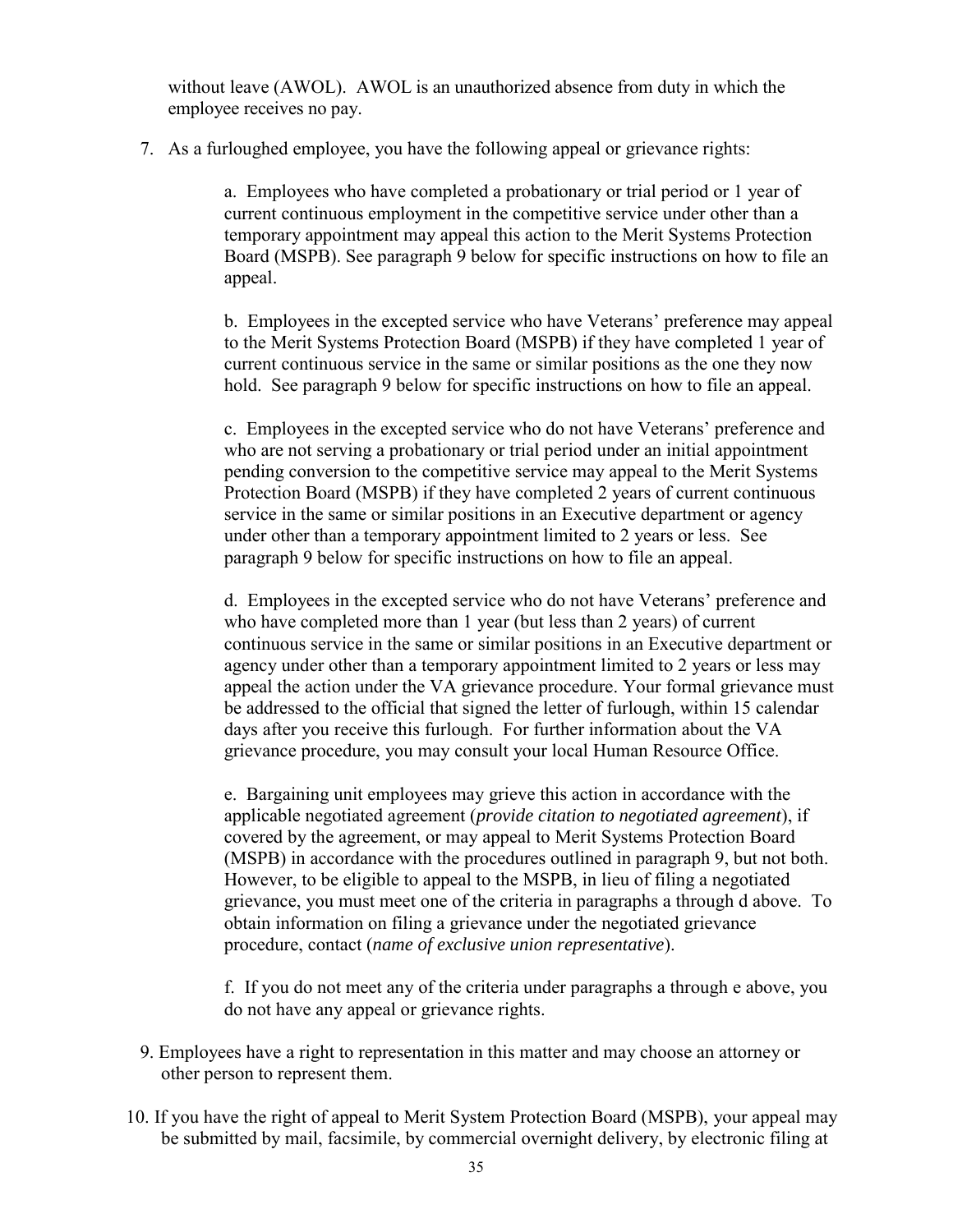without leave (AWOL). AWOL is an unauthorized absence from duty in which the employee receives no pay.

7. As a furloughed employee, you have the following appeal or grievance rights:

a. Employees who have completed a probationary or trial period or 1 year of current continuous employment in the competitive service under other than a temporary appointment may appeal this action to the Merit Systems Protection Board (MSPB). See paragraph 9 below for specific instructions on how to file an appeal.

b. Employees in the excepted service who have Veterans' preference may appeal to the Merit Systems Protection Board (MSPB) if they have completed 1 year of current continuous service in the same or similar positions as the one they now hold. See paragraph 9 below for specific instructions on how to file an appeal.

c. Employees in the excepted service who do not have Veterans' preference and who are not serving a probationary or trial period under an initial appointment pending conversion to the competitive service may appeal to the Merit Systems Protection Board (MSPB) if they have completed 2 years of current continuous service in the same or similar positions in an Executive department or agency under other than a temporary appointment limited to 2 years or less. See paragraph 9 below for specific instructions on how to file an appeal.

d. Employees in the excepted service who do not have Veterans' preference and who have completed more than 1 year (but less than 2 years) of current continuous service in the same or similar positions in an Executive department or agency under other than a temporary appointment limited to 2 years or less may appeal the action under the VA grievance procedure. Your formal grievance must be addressed to the official that signed the letter of furlough, within 15 calendar days after you receive this furlough. For further information about the VA grievance procedure, you may consult your local Human Resource Office.

e. Bargaining unit employees may grieve this action in accordance with the applicable negotiated agreement (*provide citation to negotiated agreement*), if covered by the agreement, or may appeal to Merit Systems Protection Board (MSPB) in accordance with the procedures outlined in paragraph 9, but not both. However, to be eligible to appeal to the MSPB, in lieu of filing a negotiated grievance, you must meet one of the criteria in paragraphs a through d above. To obtain information on filing a grievance under the negotiated grievance procedure, contact (*name of exclusive union representative*).

f. If you do not meet any of the criteria under paragraphs a through e above, you do not have any appeal or grievance rights.

- 9. Employees have a right to representation in this matter and may choose an attorney or other person to represent them.
- 10. If you have the right of appeal to Merit System Protection Board (MSPB), your appeal may be submitted by mail, facsimile, by commercial overnight delivery, by electronic filing at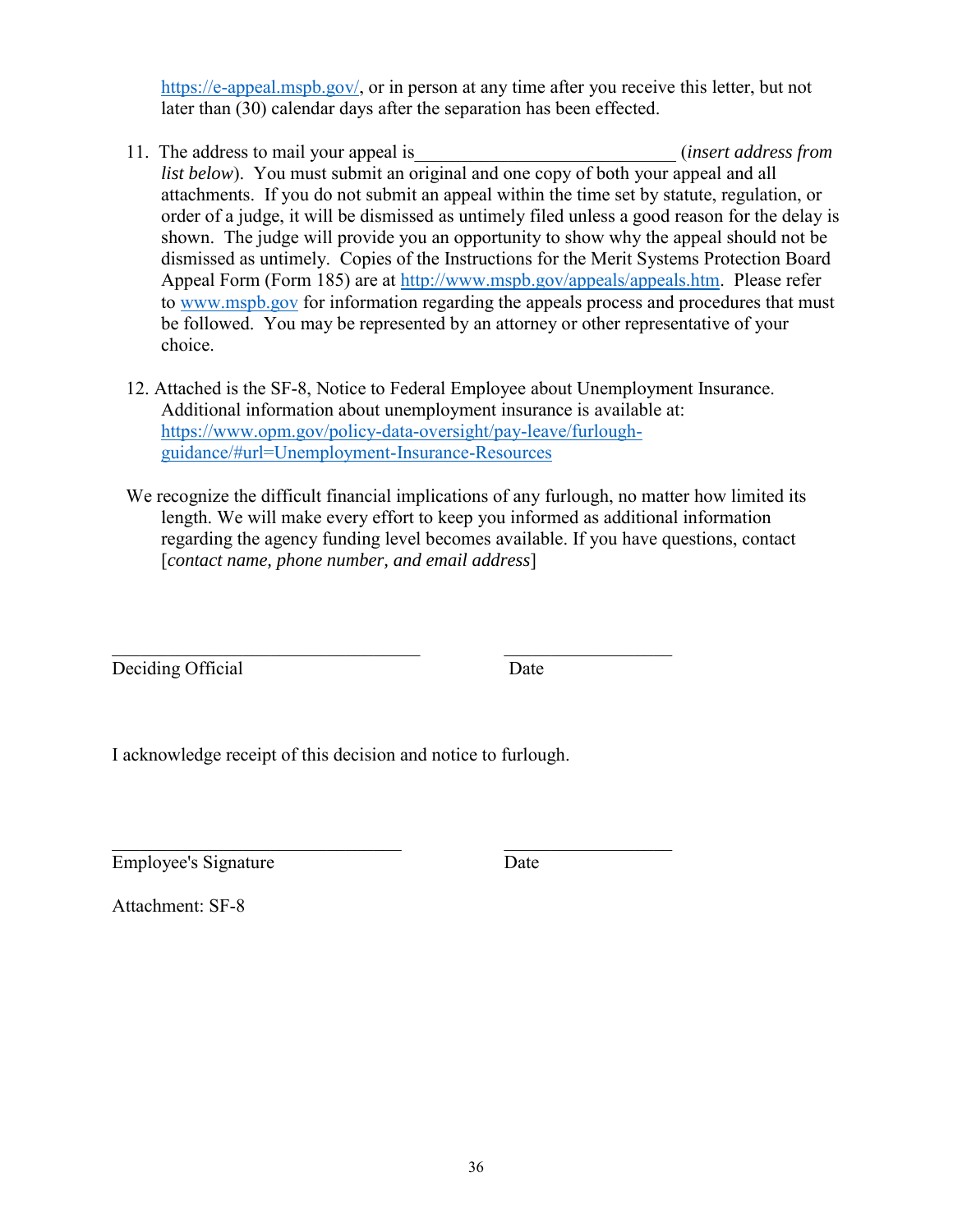[https://e-appeal.mspb.gov/,](https://e-appeal.mspb.gov/) or in person at any time after you receive this letter, but not later than (30) calendar days after the separation has been effected.

- 11. The address to mail your appeal is\_\_\_\_\_\_\_\_\_\_\_\_\_\_\_\_\_\_\_\_\_\_\_\_\_\_\_\_ (*insert address from list below*). You must submit an original and one copy of both your appeal and all attachments. If you do not submit an appeal within the time set by statute, regulation, or order of a judge, it will be dismissed as untimely filed unless a good reason for the delay is shown. The judge will provide you an opportunity to show why the appeal should not be dismissed as untimely. Copies of the Instructions for the Merit Systems Protection Board Appeal Form (Form 185) are at [http://www.mspb.gov/appeals/appeals.htm.](http://www.mspb.gov/appeals/appeals.htm) Please refer to [www.mspb.gov](http://www.mspb.gov/) for information regarding the appeals process and procedures that must be followed. You may be represented by an attorney or other representative of your choice.
- 12. Attached is the SF-8, Notice to Federal Employee about Unemployment Insurance. Additional information about unemployment insurance is available at: [https://www.opm.gov/policy-data-oversight/pay-leave/furlough](https://www.opm.gov/policy-data-oversight/pay-leave/furlough-guidance/#url=Unemployment-Insurance-Resources)[guidance/#url=Unemployment-Insurance-Resources](https://www.opm.gov/policy-data-oversight/pay-leave/furlough-guidance/#url=Unemployment-Insurance-Resources)
- We recognize the difficult financial implications of any furlough, no matter how limited its length. We will make every effort to keep you informed as additional information regarding the agency funding level becomes available. If you have questions, contact [*contact name, phone number, and email address*]

\_\_\_\_\_\_\_\_\_\_\_\_\_\_\_\_\_\_\_\_\_\_\_\_\_\_\_\_\_\_\_\_\_ \_\_\_\_\_\_\_\_\_\_\_\_\_\_\_\_\_\_ Deciding Official Date

I acknowledge receipt of this decision and notice to furlough.

\_\_\_\_\_\_\_\_\_\_\_\_\_\_\_\_\_\_\_\_\_\_\_\_\_\_\_\_\_\_\_ \_\_\_\_\_\_\_\_\_\_\_\_\_\_\_\_\_\_ Employee's Signature Date

Attachment: SF-8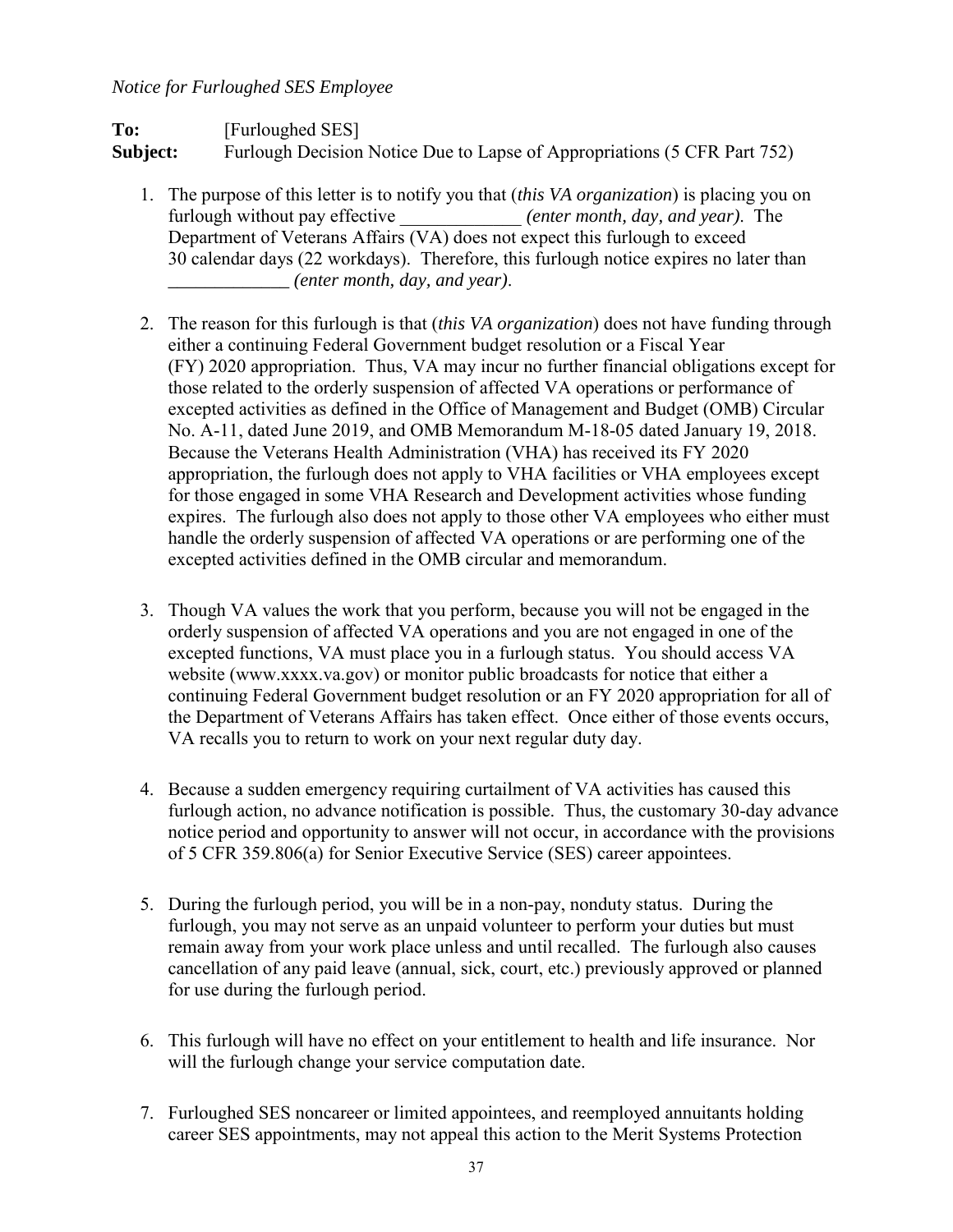#### *Notice for Furloughed SES Employee*

#### To: **IFurloughed SES Subject:** Furlough Decision Notice Due to Lapse of Appropriations (5 CFR Part 752)

- 1. The purpose of this letter is to notify you that (*this VA organization*) is placing you on furlough without pay effective *(enter month, day, and year)*. The Department of Veterans Affairs (VA) does not expect this furlough to exceed 30 calendar days (22 workdays). Therefore, this furlough notice expires no later than *\_\_\_\_\_\_\_\_\_\_\_\_\_ (enter month, day, and year)*.
- 2. The reason for this furlough is that (*this VA organization*) does not have funding through either a continuing Federal Government budget resolution or a Fiscal Year (FY) 2020 appropriation. Thus, VA may incur no further financial obligations except for those related to the orderly suspension of affected VA operations or performance of excepted activities as defined in the Office of Management and Budget (OMB) Circular No. A-11, dated June 2019, and OMB Memorandum M-18-05 dated January 19, 2018. Because the Veterans Health Administration (VHA) has received its FY 2020 appropriation, the furlough does not apply to VHA facilities or VHA employees except for those engaged in some VHA Research and Development activities whose funding expires. The furlough also does not apply to those other VA employees who either must handle the orderly suspension of affected VA operations or are performing one of the excepted activities defined in the OMB circular and memorandum.
- 3. Though VA values the work that you perform, because you will not be engaged in the orderly suspension of affected VA operations and you are not engaged in one of the excepted functions, VA must place you in a furlough status. You should access VA website (www.xxxx.va.gov) or monitor public broadcasts for notice that either a continuing Federal Government budget resolution or an FY 2020 appropriation for all of the Department of Veterans Affairs has taken effect. Once either of those events occurs, VA recalls you to return to work on your next regular duty day.
- 4. Because a sudden emergency requiring curtailment of VA activities has caused this furlough action, no advance notification is possible. Thus, the customary 30-day advance notice period and opportunity to answer will not occur, in accordance with the provisions of 5 CFR 359.806(a) for Senior Executive Service (SES) career appointees.
- 5. During the furlough period, you will be in a non-pay, nonduty status. During the furlough, you may not serve as an unpaid volunteer to perform your duties but must remain away from your work place unless and until recalled. The furlough also causes cancellation of any paid leave (annual, sick, court, etc.) previously approved or planned for use during the furlough period.
- 6. This furlough will have no effect on your entitlement to health and life insurance. Nor will the furlough change your service computation date.
- 7. Furloughed SES noncareer or limited appointees, and reemployed annuitants holding career SES appointments, may not appeal this action to the Merit Systems Protection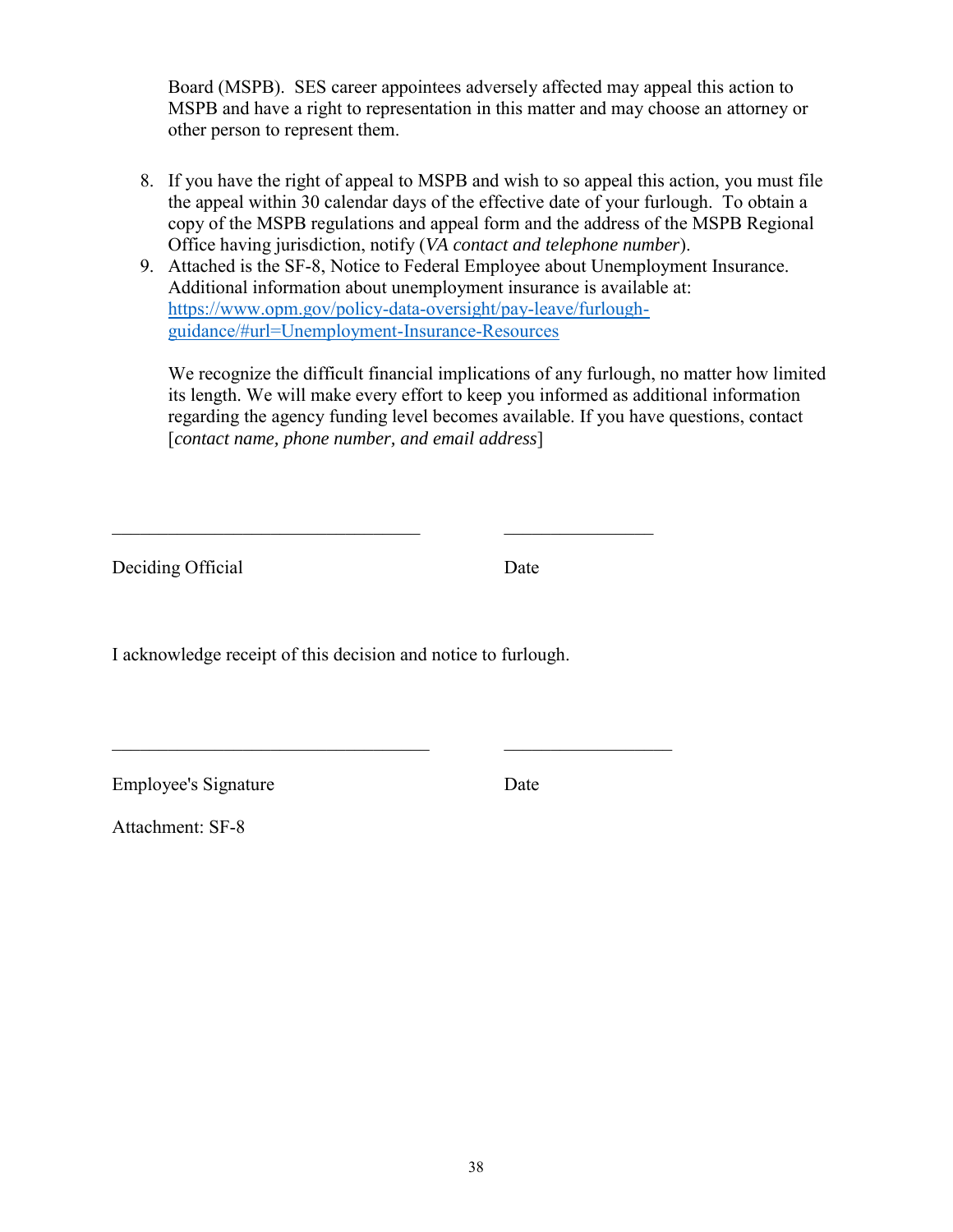Board (MSPB). SES career appointees adversely affected may appeal this action to MSPB and have a right to representation in this matter and may choose an attorney or other person to represent them.

- 8. If you have the right of appeal to MSPB and wish to so appeal this action, you must file the appeal within 30 calendar days of the effective date of your furlough. To obtain a copy of the MSPB regulations and appeal form and the address of the MSPB Regional Office having jurisdiction, notify (*VA contact and telephone number*).
- 9. Attached is the SF-8, Notice to Federal Employee about Unemployment Insurance. Additional information about unemployment insurance is available at: [https://www.opm.gov/policy-data-oversight/pay-leave/furlough](https://www.opm.gov/policy-data-oversight/pay-leave/furlough-guidance/#url=Unemployment-Insurance-Resources)[guidance/#url=Unemployment-Insurance-Resources](https://www.opm.gov/policy-data-oversight/pay-leave/furlough-guidance/#url=Unemployment-Insurance-Resources)

We recognize the difficult financial implications of any furlough, no matter how limited its length. We will make every effort to keep you informed as additional information regarding the agency funding level becomes available. If you have questions, contact [*contact name, phone number, and email address*]

Deciding Official Date

I acknowledge receipt of this decision and notice to furlough.

\_\_\_\_\_\_\_\_\_\_\_\_\_\_\_\_\_\_\_\_\_\_\_\_\_\_\_\_\_\_\_\_\_ \_\_\_\_\_\_\_\_\_\_\_\_\_\_\_\_

\_\_\_\_\_\_\_\_\_\_\_\_\_\_\_\_\_\_\_\_\_\_\_\_\_\_\_\_\_\_\_\_\_\_ \_\_\_\_\_\_\_\_\_\_\_\_\_\_\_\_\_\_

Employee's Signature Date

Attachment: SF-8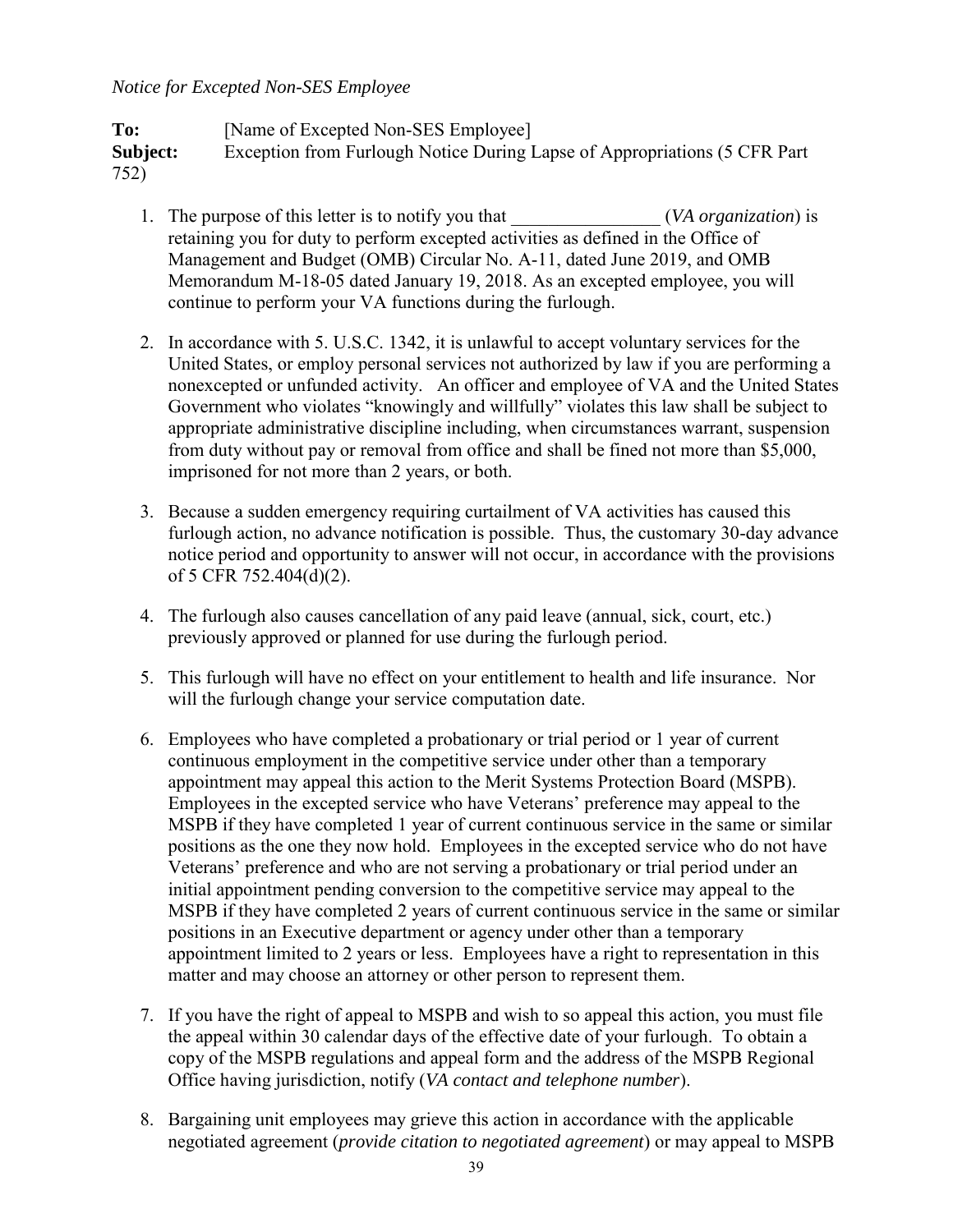#### *Notice for Excepted Non-SES Employee*

To: [Name of Excepted Non-SES Employee] **Subject:** Exception from Furlough Notice During Lapse of Appropriations (5 CFR Part 752)

- 1. The purpose of this letter is to notify you that  $(VA organization)$  is retaining you for duty to perform excepted activities as defined in the Office of Management and Budget (OMB) Circular No. A-11, dated June 2019, and OMB Memorandum M-18-05 dated January 19, 2018. As an excepted employee, you will continue to perform your VA functions during the furlough.
- 2. In accordance with 5. U.S.C. 1342, it is unlawful to accept voluntary services for the United States, or employ personal services not authorized by law if you are performing a nonexcepted or unfunded activity. An officer and employee of VA and the United States Government who violates "knowingly and willfully" violates this law shall be subject to appropriate administrative discipline including, when circumstances warrant, suspension from duty without pay or removal from office and shall be fined not more than \$5,000, imprisoned for not more than 2 years, or both.
- 3. Because a sudden emergency requiring curtailment of VA activities has caused this furlough action, no advance notification is possible. Thus, the customary 30-day advance notice period and opportunity to answer will not occur, in accordance with the provisions of 5 CFR 752.404(d)(2).
- 4. The furlough also causes cancellation of any paid leave (annual, sick, court, etc.) previously approved or planned for use during the furlough period.
- 5. This furlough will have no effect on your entitlement to health and life insurance. Nor will the furlough change your service computation date.
- 6. Employees who have completed a probationary or trial period or 1 year of current continuous employment in the competitive service under other than a temporary appointment may appeal this action to the Merit Systems Protection Board (MSPB). Employees in the excepted service who have Veterans' preference may appeal to the MSPB if they have completed 1 year of current continuous service in the same or similar positions as the one they now hold. Employees in the excepted service who do not have Veterans' preference and who are not serving a probationary or trial period under an initial appointment pending conversion to the competitive service may appeal to the MSPB if they have completed 2 years of current continuous service in the same or similar positions in an Executive department or agency under other than a temporary appointment limited to 2 years or less. Employees have a right to representation in this matter and may choose an attorney or other person to represent them.
- 7. If you have the right of appeal to MSPB and wish to so appeal this action, you must file the appeal within 30 calendar days of the effective date of your furlough. To obtain a copy of the MSPB regulations and appeal form and the address of the MSPB Regional Office having jurisdiction, notify (*VA contact and telephone number*).
- 8. Bargaining unit employees may grieve this action in accordance with the applicable negotiated agreement (*provide citation to negotiated agreement*) or may appeal to MSPB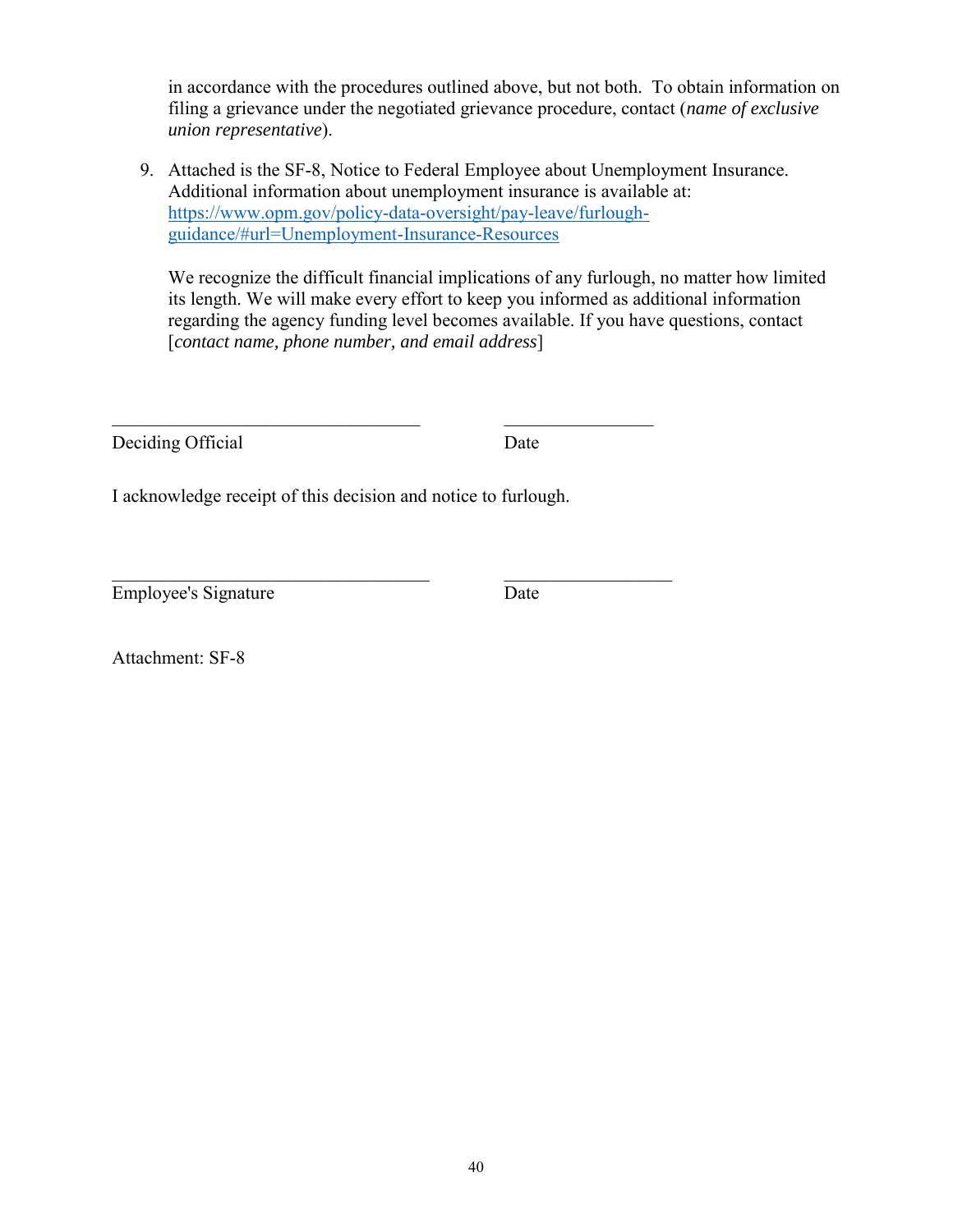in accordance with the procedures outlined above, but not both. To obtain information on filing a grievance under the negotiated grievance procedure, contact (*name of exclusive union representative*).

9. Attached is the SF-8, Notice to Federal Employee about Unemployment Insurance. Additional information about unemployment insurance is available at: [https://www.opm.gov/policy-data-oversight/pay-leave/furlough](https://www.opm.gov/policy-data-oversight/pay-leave/furlough-guidance/#url=Unemployment-Insurance-Resources)[guidance/#url=Unemployment-Insurance-Resources](https://www.opm.gov/policy-data-oversight/pay-leave/furlough-guidance/#url=Unemployment-Insurance-Resources)

We recognize the difficult financial implications of any furlough, no matter how limited its length. We will make every effort to keep you informed as additional information regarding the agency funding level becomes available. If you have questions, contact [*contact name, phone number, and email address*]

Deciding Official Date

I acknowledge receipt of this decision and notice to furlough.

\_\_\_\_\_\_\_\_\_\_\_\_\_\_\_\_\_\_\_\_\_\_\_\_\_\_\_\_\_\_\_\_\_ \_\_\_\_\_\_\_\_\_\_\_\_\_\_\_\_

\_\_\_\_\_\_\_\_\_\_\_\_\_\_\_\_\_\_\_\_\_\_\_\_\_\_\_\_\_\_\_\_\_\_ \_\_\_\_\_\_\_\_\_\_\_\_\_\_\_\_\_\_ Employee's Signature Date

Attachment: SF-8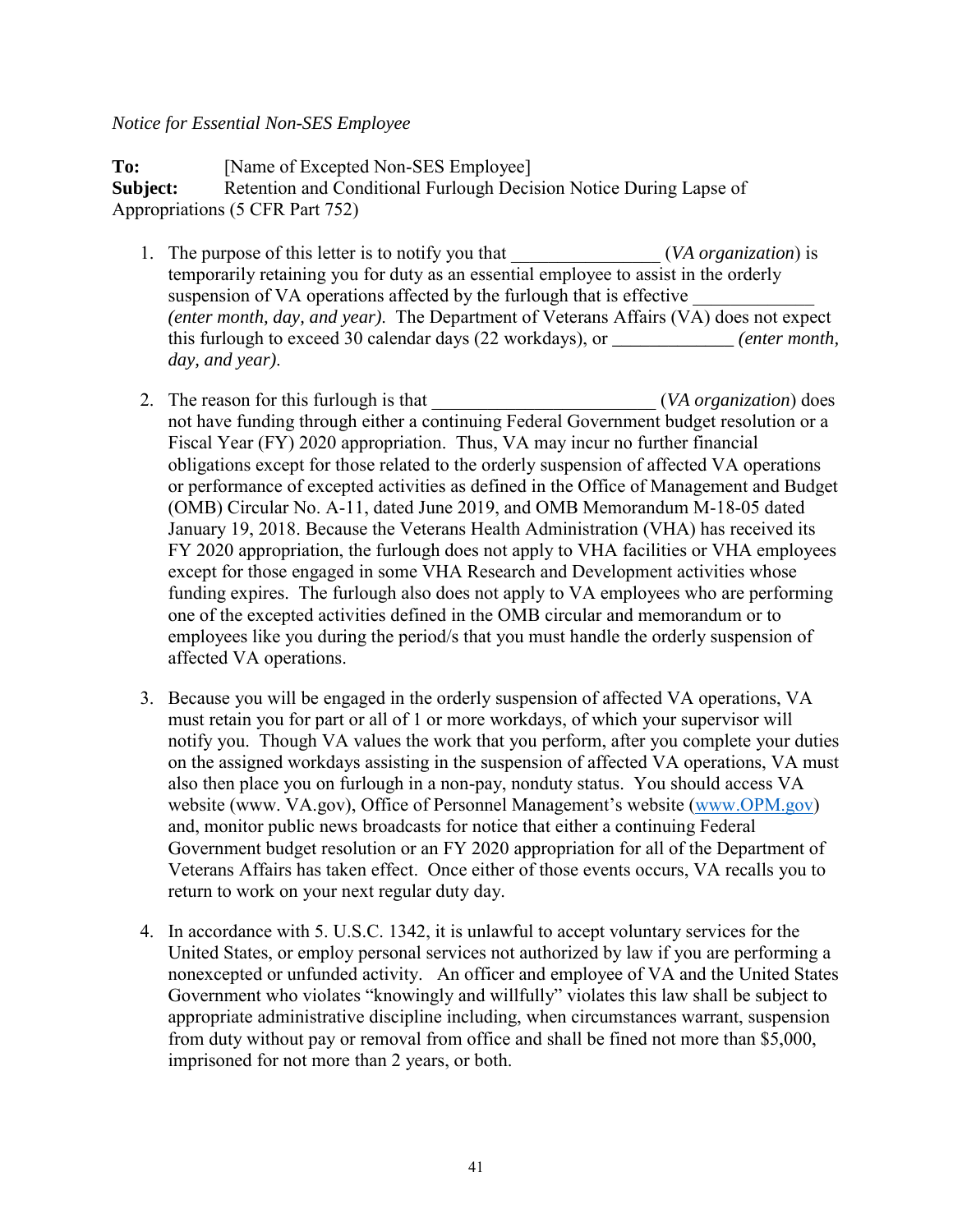#### *Notice for Essential Non-SES Employee*

**To:** [Name of Excepted Non-SES Employee] **Subject:** Retention and Conditional Furlough Decision Notice During Lapse of Appropriations (5 CFR Part 752)

- 1. The purpose of this letter is to notify you that \_\_\_\_\_\_\_\_\_\_\_\_\_\_\_\_ (*VA organization*) is temporarily retaining you for duty as an essential employee to assist in the orderly suspension of VA operations affected by the furlough that is effective *(enter month, day, and year)*. The Department of Veterans Affairs (VA) does not expect this furlough to exceed 30 calendar days (22 workdays), or *\_\_\_\_\_\_\_\_\_\_\_\_\_ (enter month, day, and year)*.
- 2. The reason for this furlough is that  $(VA organization)$  does not have funding through either a continuing Federal Government budget resolution or a Fiscal Year (FY) 2020 appropriation. Thus, VA may incur no further financial obligations except for those related to the orderly suspension of affected VA operations or performance of excepted activities as defined in the Office of Management and Budget (OMB) Circular No. A-11, dated June 2019, and OMB Memorandum M-18-05 dated January 19, 2018. Because the Veterans Health Administration (VHA) has received its FY 2020 appropriation, the furlough does not apply to VHA facilities or VHA employees except for those engaged in some VHA Research and Development activities whose funding expires. The furlough also does not apply to VA employees who are performing one of the excepted activities defined in the OMB circular and memorandum or to employees like you during the period/s that you must handle the orderly suspension of affected VA operations.
- 3. Because you will be engaged in the orderly suspension of affected VA operations, VA must retain you for part or all of 1 or more workdays, of which your supervisor will notify you. Though VA values the work that you perform, after you complete your duties on the assigned workdays assisting in the suspension of affected VA operations, VA must also then place you on furlough in a non-pay, nonduty status. You should access VA website (www. VA.gov), Office of Personnel Management's website [\(www.OPM.gov\)](http://www.opm.gov/) and, monitor public news broadcasts for notice that either a continuing Federal Government budget resolution or an FY 2020 appropriation for all of the Department of Veterans Affairs has taken effect. Once either of those events occurs, VA recalls you to return to work on your next regular duty day.
- 4. In accordance with 5. U.S.C. 1342, it is unlawful to accept voluntary services for the United States, or employ personal services not authorized by law if you are performing a nonexcepted or unfunded activity. An officer and employee of VA and the United States Government who violates "knowingly and willfully" violates this law shall be subject to appropriate administrative discipline including, when circumstances warrant, suspension from duty without pay or removal from office and shall be fined not more than \$5,000, imprisoned for not more than 2 years, or both.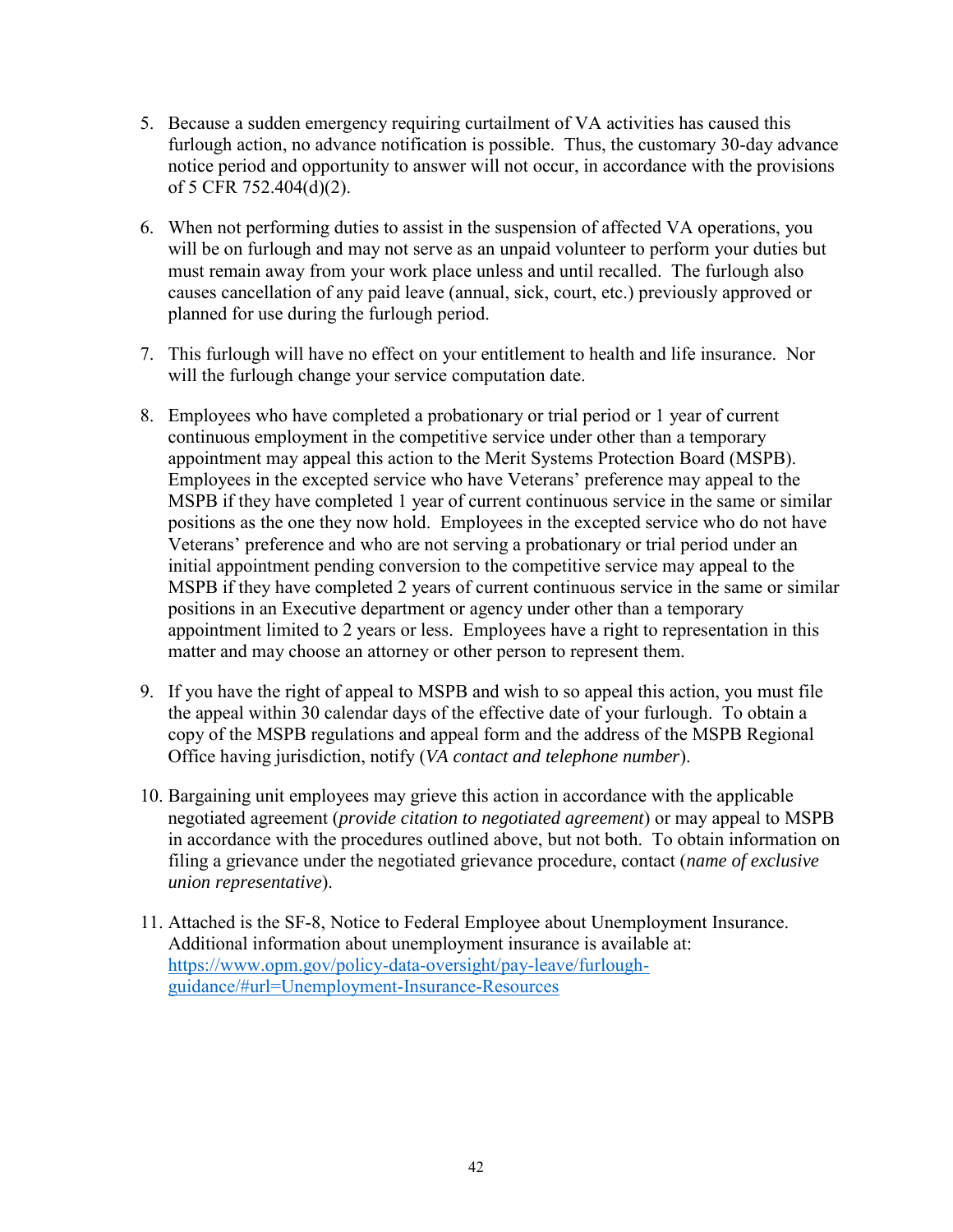- 5. Because a sudden emergency requiring curtailment of VA activities has caused this furlough action, no advance notification is possible. Thus, the customary 30-day advance notice period and opportunity to answer will not occur, in accordance with the provisions of 5 CFR 752.404(d)(2).
- 6. When not performing duties to assist in the suspension of affected VA operations, you will be on furlough and may not serve as an unpaid volunteer to perform your duties but must remain away from your work place unless and until recalled. The furlough also causes cancellation of any paid leave (annual, sick, court, etc.) previously approved or planned for use during the furlough period.
- 7. This furlough will have no effect on your entitlement to health and life insurance. Nor will the furlough change your service computation date.
- 8. Employees who have completed a probationary or trial period or 1 year of current continuous employment in the competitive service under other than a temporary appointment may appeal this action to the Merit Systems Protection Board (MSPB). Employees in the excepted service who have Veterans' preference may appeal to the MSPB if they have completed 1 year of current continuous service in the same or similar positions as the one they now hold. Employees in the excepted service who do not have Veterans' preference and who are not serving a probationary or trial period under an initial appointment pending conversion to the competitive service may appeal to the MSPB if they have completed 2 years of current continuous service in the same or similar positions in an Executive department or agency under other than a temporary appointment limited to 2 years or less. Employees have a right to representation in this matter and may choose an attorney or other person to represent them.
- 9. If you have the right of appeal to MSPB and wish to so appeal this action, you must file the appeal within 30 calendar days of the effective date of your furlough. To obtain a copy of the MSPB regulations and appeal form and the address of the MSPB Regional Office having jurisdiction, notify (*VA contact and telephone number*).
- 10. Bargaining unit employees may grieve this action in accordance with the applicable negotiated agreement (*provide citation to negotiated agreement*) or may appeal to MSPB in accordance with the procedures outlined above, but not both. To obtain information on filing a grievance under the negotiated grievance procedure, contact (*name of exclusive union representative*).
- 11. Attached is the SF-8, Notice to Federal Employee about Unemployment Insurance. Additional information about unemployment insurance is available at: [https://www.opm.gov/policy-data-oversight/pay-leave/furlough](https://www.opm.gov/policy-data-oversight/pay-leave/furlough-guidance/#url=Unemployment-Insurance-Resources)[guidance/#url=Unemployment-Insurance-Resources](https://www.opm.gov/policy-data-oversight/pay-leave/furlough-guidance/#url=Unemployment-Insurance-Resources)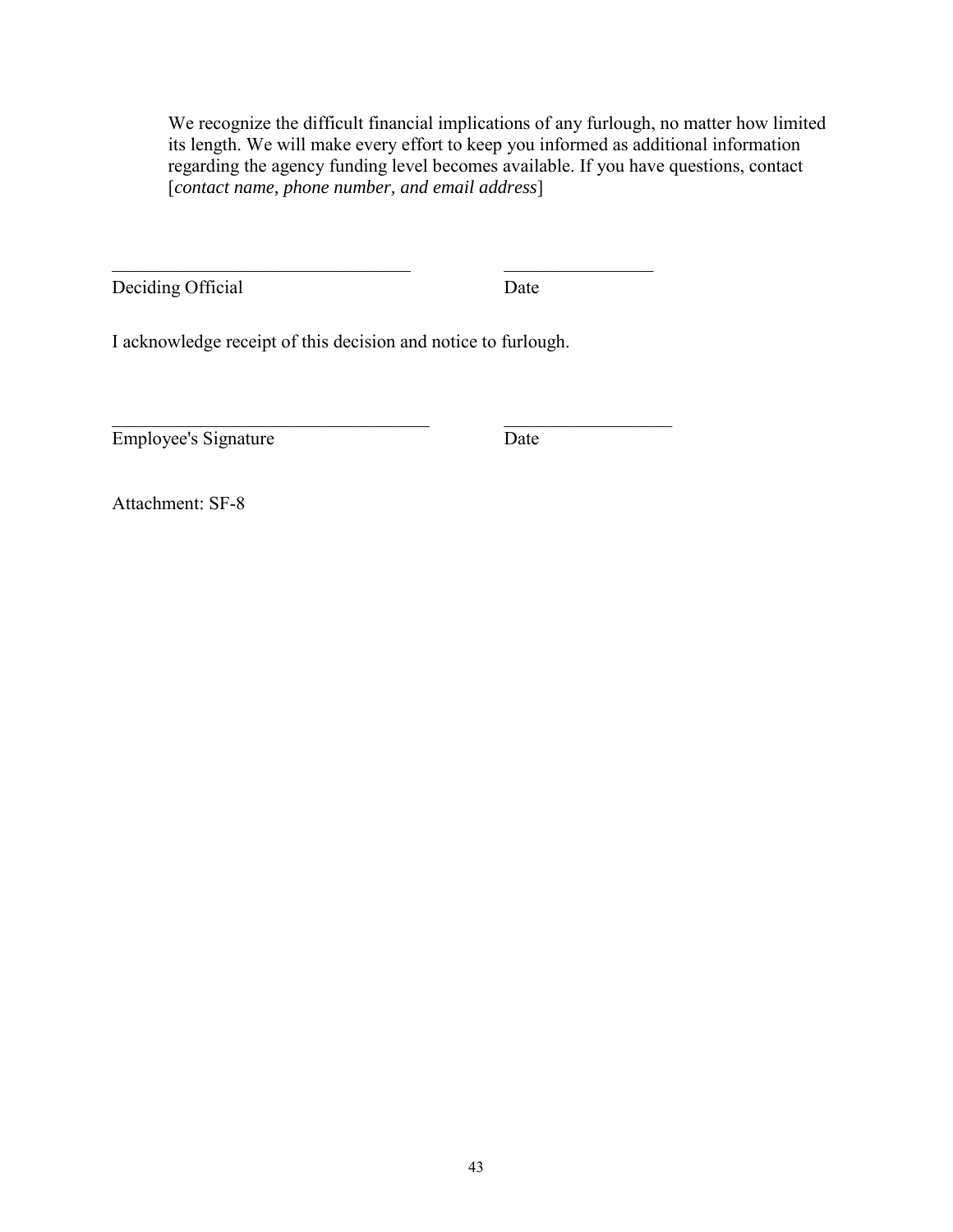We recognize the difficult financial implications of any furlough, no matter how limited its length. We will make every effort to keep you informed as additional information regarding the agency funding level becomes available. If you have questions, contact [*contact name, phone number, and email address*]

Deciding Official Date

I acknowledge receipt of this decision and notice to furlough.

 $\frac{1}{2}$  ,  $\frac{1}{2}$  ,  $\frac{1}{2}$  ,  $\frac{1}{2}$  ,  $\frac{1}{2}$  ,  $\frac{1}{2}$  ,  $\frac{1}{2}$  ,  $\frac{1}{2}$  ,  $\frac{1}{2}$  ,  $\frac{1}{2}$  ,  $\frac{1}{2}$  ,  $\frac{1}{2}$  ,  $\frac{1}{2}$  ,  $\frac{1}{2}$  ,  $\frac{1}{2}$  ,  $\frac{1}{2}$  ,  $\frac{1}{2}$  ,  $\frac{1}{2}$  ,  $\frac{1$ 

\_\_\_\_\_\_\_\_\_\_\_\_\_\_\_\_\_\_\_\_\_\_\_\_\_\_\_\_\_\_\_\_\_\_ \_\_\_\_\_\_\_\_\_\_\_\_\_\_\_\_\_\_ Employee's Signature Date

Attachment: SF-8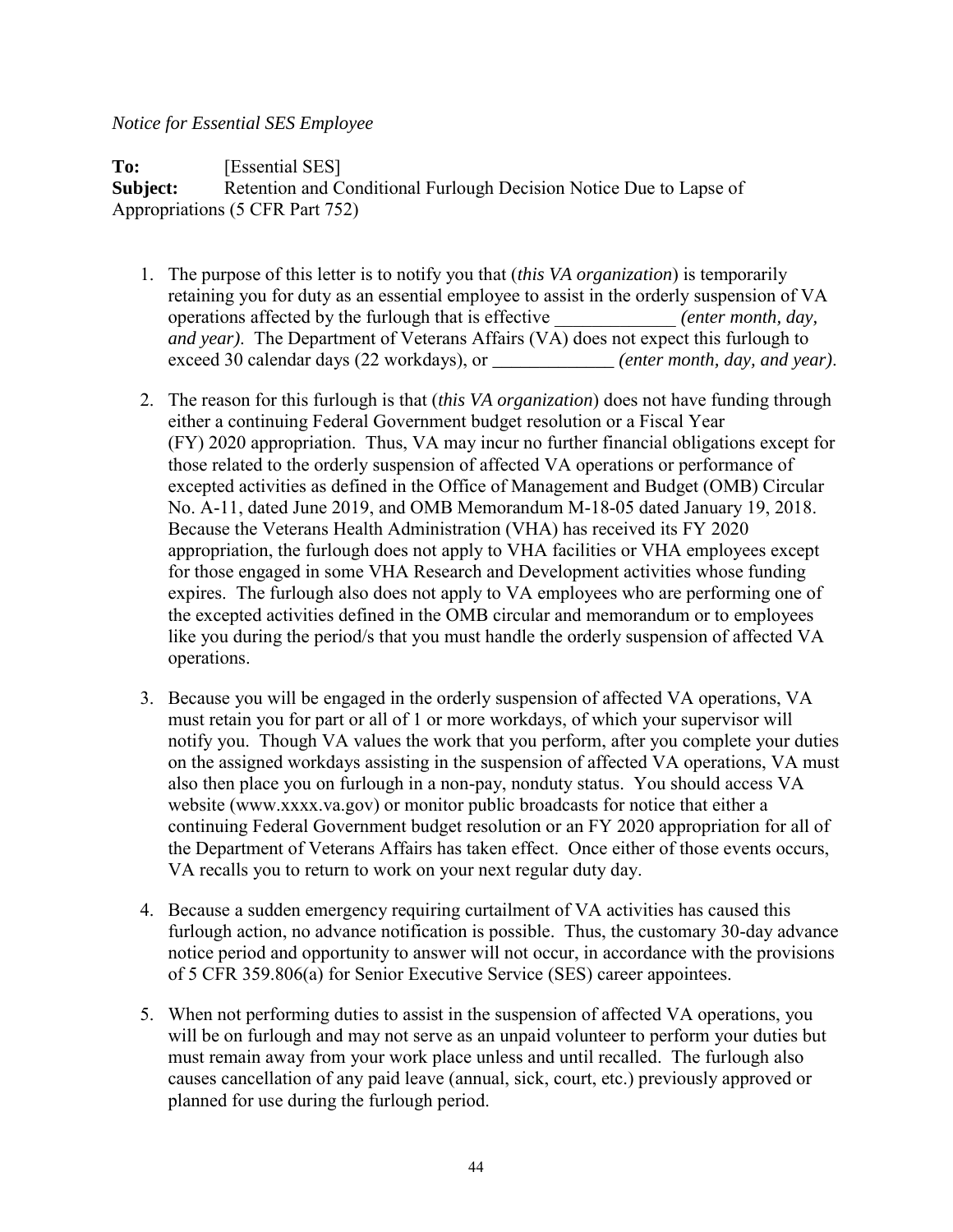#### *Notice for Essential SES Employee*

To: **IEssential SES Subject:** Retention and Conditional Furlough Decision Notice Due to Lapse of Appropriations (5 CFR Part 752)

- 1. The purpose of this letter is to notify you that (*this VA organization*) is temporarily retaining you for duty as an essential employee to assist in the orderly suspension of VA operations affected by the furlough that is effective \_\_\_\_\_\_\_\_\_\_\_\_\_ *(enter month, day, and year)*. The Department of Veterans Affairs (VA) does not expect this furlough to exceed 30 calendar days (22 workdays), or *<i>(enter month, day, and year).*
- 2. The reason for this furlough is that (*this VA organization*) does not have funding through either a continuing Federal Government budget resolution or a Fiscal Year (FY) 2020 appropriation. Thus, VA may incur no further financial obligations except for those related to the orderly suspension of affected VA operations or performance of excepted activities as defined in the Office of Management and Budget (OMB) Circular No. A-11, dated June 2019, and OMB Memorandum M-18-05 dated January 19, 2018. Because the Veterans Health Administration (VHA) has received its FY 2020 appropriation, the furlough does not apply to VHA facilities or VHA employees except for those engaged in some VHA Research and Development activities whose funding expires. The furlough also does not apply to VA employees who are performing one of the excepted activities defined in the OMB circular and memorandum or to employees like you during the period/s that you must handle the orderly suspension of affected VA operations.
- 3. Because you will be engaged in the orderly suspension of affected VA operations, VA must retain you for part or all of 1 or more workdays, of which your supervisor will notify you. Though VA values the work that you perform, after you complete your duties on the assigned workdays assisting in the suspension of affected VA operations, VA must also then place you on furlough in a non-pay, nonduty status. You should access VA website (www.xxxx.va.gov) or monitor public broadcasts for notice that either a continuing Federal Government budget resolution or an FY 2020 appropriation for all of the Department of Veterans Affairs has taken effect. Once either of those events occurs, VA recalls you to return to work on your next regular duty day.
- 4. Because a sudden emergency requiring curtailment of VA activities has caused this furlough action, no advance notification is possible. Thus, the customary 30-day advance notice period and opportunity to answer will not occur, in accordance with the provisions of 5 CFR 359.806(a) for Senior Executive Service (SES) career appointees.
- 5. When not performing duties to assist in the suspension of affected VA operations, you will be on furlough and may not serve as an unpaid volunteer to perform your duties but must remain away from your work place unless and until recalled. The furlough also causes cancellation of any paid leave (annual, sick, court, etc.) previously approved or planned for use during the furlough period.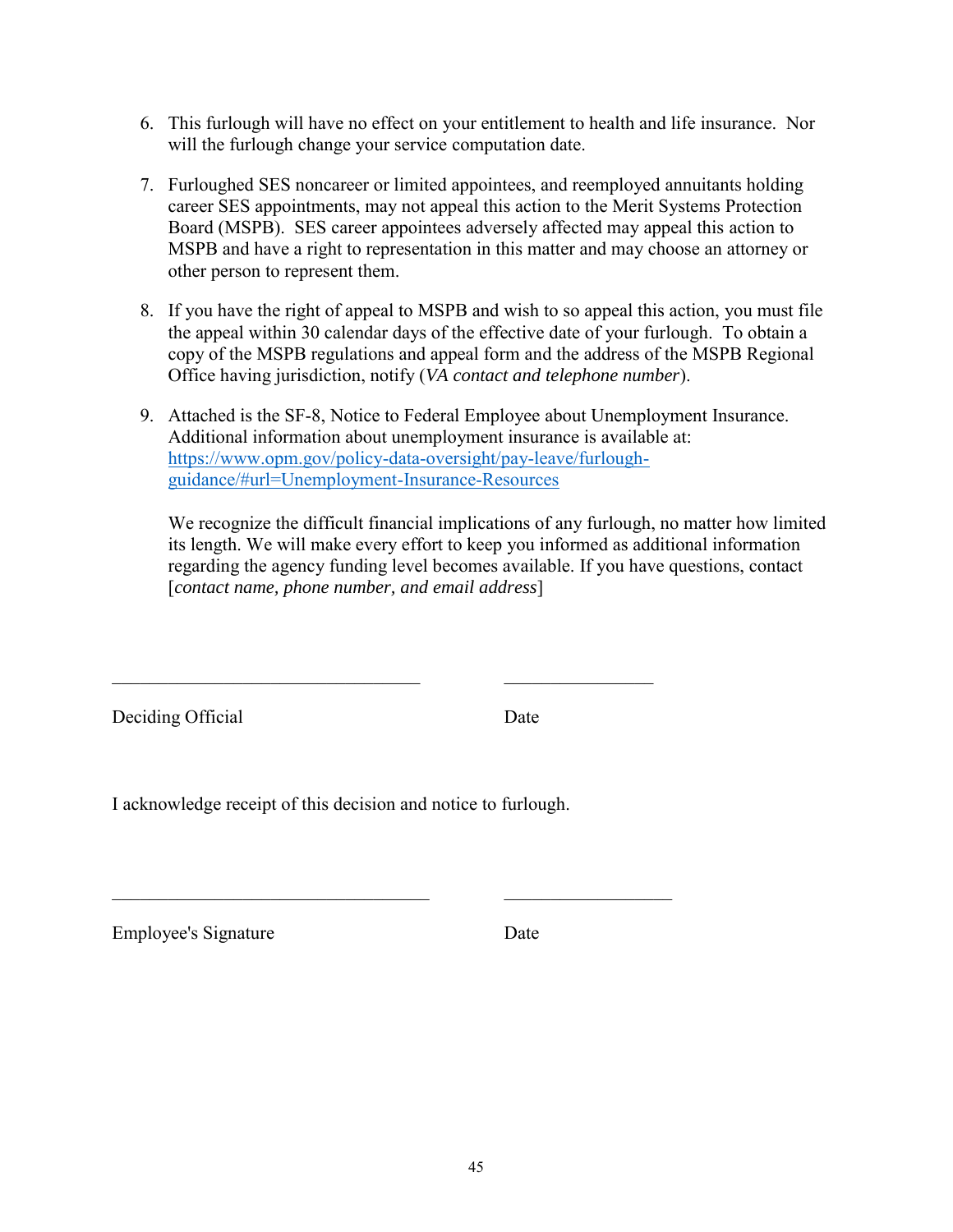- 6. This furlough will have no effect on your entitlement to health and life insurance. Nor will the furlough change your service computation date.
- 7. Furloughed SES noncareer or limited appointees, and reemployed annuitants holding career SES appointments, may not appeal this action to the Merit Systems Protection Board (MSPB). SES career appointees adversely affected may appeal this action to MSPB and have a right to representation in this matter and may choose an attorney or other person to represent them.
- 8. If you have the right of appeal to MSPB and wish to so appeal this action, you must file the appeal within 30 calendar days of the effective date of your furlough. To obtain a copy of the MSPB regulations and appeal form and the address of the MSPB Regional Office having jurisdiction, notify (*VA contact and telephone number*).
- 9. Attached is the SF-8, Notice to Federal Employee about Unemployment Insurance. Additional information about unemployment insurance is available at: [https://www.opm.gov/policy-data-oversight/pay-leave/furlough](https://www.opm.gov/policy-data-oversight/pay-leave/furlough-guidance/#url=Unemployment-Insurance-Resources)[guidance/#url=Unemployment-Insurance-Resources](https://www.opm.gov/policy-data-oversight/pay-leave/furlough-guidance/#url=Unemployment-Insurance-Resources)

We recognize the difficult financial implications of any furlough, no matter how limited its length. We will make every effort to keep you informed as additional information regarding the agency funding level becomes available. If you have questions, contact [*contact name, phone number, and email address*]

Deciding Official Date

I acknowledge receipt of this decision and notice to furlough.

\_\_\_\_\_\_\_\_\_\_\_\_\_\_\_\_\_\_\_\_\_\_\_\_\_\_\_\_\_\_\_\_\_ \_\_\_\_\_\_\_\_\_\_\_\_\_\_\_\_

 $\mathcal{L}_\text{max}$  , and the contribution of the contribution of  $\mathcal{L}_\text{max}$ 

Employee's Signature Date